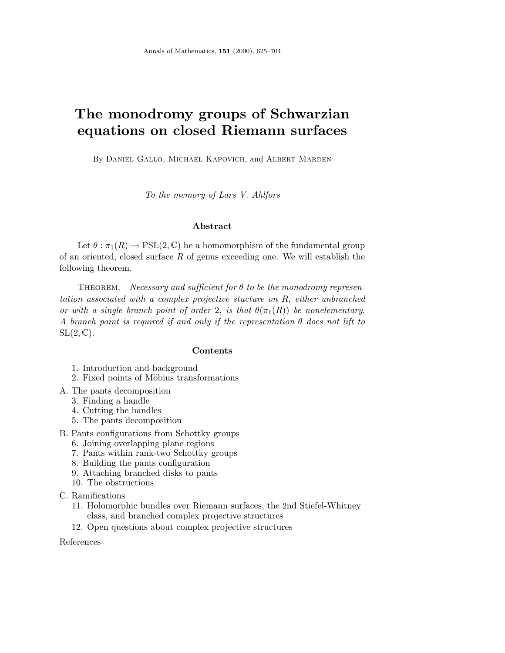# **The monodromy groups of Schwarzian equations on closed Riemann surfaces**

By Daniel Gallo, Michael Kapovich, and Albert Marden

To the memory of Lars V. Ahlfors

# **Abstract**

Let  $\theta : \pi_1(R) \to \text{PSL}(2,\mathbb{C})$  be a homomorphism of the fundamental group of an oriented, closed surface *R* of genus exceeding one. We will establish the following theorem.

Theorem. Necessary and sufficient for *θ* to be the monodromy representation associated with a complex projective stucture on *R*, either unbranched or with a single branch point of order 2, is that  $\theta(\pi_1(R))$  be nonelementary. A branch point is required if and only if the representation *θ* does not lift to  $SL(2,\mathbb{C})$ .

#### **Contents**

- 1. Introduction and background
- 2. Fixed points of Möbius transformations
- A. The pants decomposition
	- 3. Finding a handle
	- 4. Cutting the handles
	- 5. The pants decomposition
- B. Pants configurations from Schottky groups
	- 6. Joining overlapping plane regions
	- 7. Pants within rank-two Schottky groups
	- 8. Building the pants configuration
	- 9. Attaching branched disks to pants
	- 10. The obstructions
- C. Ramifications
	- 11. Holomorphic bundles over Riemann surfaces, the 2nd Stiefel-Whitney class, and branched complex projective structures
	- 12. Open questions about complex projective structures

References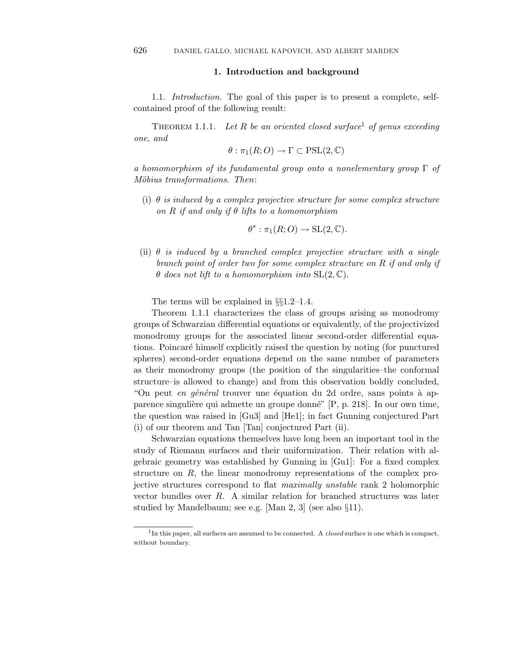## **1. Introduction and background**

1.1. Introduction. The goal of this paper is to present a complete, selfcontained proof of the following result:

THEOREM 1.1.1. Let  $R$  be an oriented closed surface<sup>1</sup> of genus exceeding one, and

$$
\theta : \pi_1(R;O) \to \Gamma \subset \mathrm{PSL}(2,\mathbb{C})
$$

a homomorphism of its fundamental group onto a nonelementary group  $\Gamma$  of Möbius transformations. Then:

(i)  $\theta$  is induced by a complex projective structure for some complex structure on *R* if and only if  $\theta$  lifts to a homomorphism

$$
\theta^*: \pi_1(R;O) \to \mathrm{SL}(2,\mathbb{C}).
$$

(ii)  $\theta$  is induced by a branched complex projective structure with a single branch point of order two for some complex structure on *R* if and only if *θ* does not lift to a homomorphism into SL(2*,* C).

The terms will be explained in §§1.2–1.4.

Theorem 1*.*1*.*1 characterizes the class of groups arising as monodromy groups of Schwarzian differential equations or equivalently, of the projectivized monodromy groups for the associated linear second-order differential equations. Poincaré himself explicitly raised the question by noting (for punctured spheres) second-order equations depend on the same number of parameters as their monodromy groups (the position of the singularities–the conformal structure–is allowed to change) and from this observation boldly concluded, "On peut en général trouver une équation du 2d ordre, sans points à apparence singulière qui admette un groupe donné" [P, p. 218]. In our own time, the question was raised in [Gu3] and [He1]; in fact Gunning conjectured Part (i) of our theorem and Tan [Tan] conjectured Part (ii).

Schwarzian equations themselves have long been an important tool in the study of Riemann surfaces and their uniformization. Their relation with algebraic geometry was established by Gunning in [Gu1]: For a fixed complex structure on *R*, the linear monodromy representations of the complex projective structures correspond to flat maximally unstable rank 2 holomorphic vector bundles over *R*. A similar relation for branched structures was later studied by Mandelbaum; see e.g. [Man 2, 3] (see also §11).

<sup>1</sup>In this paper, all surfaces are assumed to be connected. A *closed* surface is one which is compact, without boundary.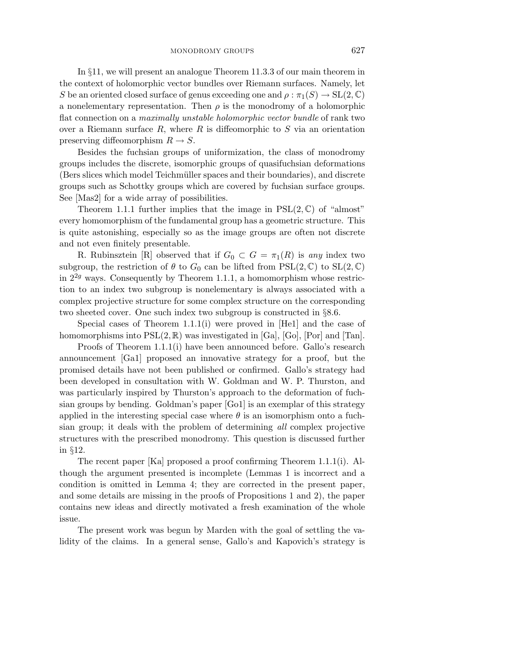In §11, we will present an analogue Theorem 11*.*3*.*3 of our main theorem in the context of holomorphic vector bundles over Riemann surfaces. Namely, let *S* be an oriented closed surface of genus exceeding one and  $\rho : \pi_1(S) \to SL(2, \mathbb{C})$ a nonelementary representation. Then  $\rho$  is the monodromy of a holomorphic flat connection on a maximally unstable holomorphic vector bundle of rank two over a Riemann surface *R*, where *R* is diffeomorphic to *S* via an orientation preserving diffeomorphism  $R \to S$ .

Besides the fuchsian groups of uniformization, the class of monodromy groups includes the discrete, isomorphic groups of quasifuchsian deformations (Bers slices which model Teichmüller spaces and their boundaries), and discrete groups such as Schottky groups which are covered by fuchsian surface groups. See [Mas2] for a wide array of possibilities.

Theorem 1.1.1 further implies that the image in  $PSL(2,\mathbb{C})$  of "almost" every homomorphism of the fundamental group has a geometric structure. This is quite astonishing, especially so as the image groups are often not discrete and not even finitely presentable.

R. Rubinsztein [R] observed that if  $G_0 \subset G = \pi_1(R)$  is any index two subgroup, the restriction of  $\theta$  to  $G_0$  can be lifted from  $PSL(2,\mathbb{C})$  to  $SL(2,\mathbb{C})$ in  $2^{2g}$  ways. Consequently by Theorem 1.1.1, a homomorphism whose restriction to an index two subgroup is nonelementary is always associated with a complex projective structure for some complex structure on the corresponding two sheeted cover. One such index two subgroup is constructed in §8.6.

Special cases of Theorem 1*.*1*.*1(i) were proved in [He1] and the case of homomorphisms into  $PSL(2,\mathbb{R})$  was investigated in [Ga], [Go], [Por] and [Tan].

Proofs of Theorem 1*.*1*.*1(i) have been announced before. Gallo's research announcement [Ga1] proposed an innovative strategy for a proof, but the promised details have not been published or confirmed. Gallo's strategy had been developed in consultation with W. Goldman and W. P. Thurston, and was particularly inspired by Thurston's approach to the deformation of fuchsian groups by bending. Goldman's paper [Go1] is an exemplar of this strategy applied in the interesting special case where  $\theta$  is an isomorphism onto a fuchsian group; it deals with the problem of determining all complex projective structures with the prescribed monodromy. This question is discussed further in §12.

The recent paper [Ka] proposed a proof confirming Theorem 1*.*1*.*1(i). Although the argument presented is incomplete (Lemmas 1 is incorrect and a condition is omitted in Lemma 4; they are corrected in the present paper, and some details are missing in the proofs of Propositions 1 and 2), the paper contains new ideas and directly motivated a fresh examination of the whole issue.

The present work was begun by Marden with the goal of settling the validity of the claims. In a general sense, Gallo's and Kapovich's strategy is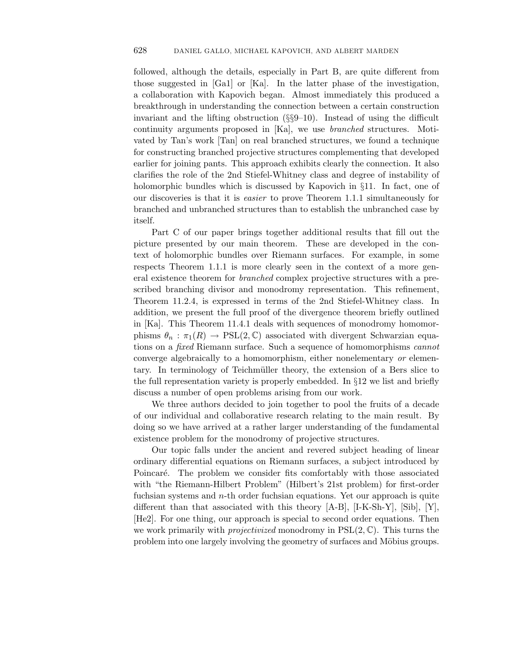followed, although the details, especially in Part B, are quite different from those suggested in [Ga1] or [Ka]. In the latter phase of the investigation, a collaboration with Kapovich began. Almost immediately this produced a breakthrough in understanding the connection between a certain construction invariant and the lifting obstruction (§§9–10). Instead of using the difficult continuity arguments proposed in [Ka], we use branched structures. Motivated by Tan's work [Tan] on real branched structures, we found a technique for constructing branched projective structures complementing that developed earlier for joining pants. This approach exhibits clearly the connection. It also clarifies the role of the 2nd Stiefel-Whitney class and degree of instability of holomorphic bundles which is discussed by Kapovich in §11. In fact, one of our discoveries is that it is easier to prove Theorem 1*.*1*.*1 simultaneously for branched and unbranched structures than to establish the unbranched case by itself.

Part C of our paper brings together additional results that fill out the picture presented by our main theorem. These are developed in the context of holomorphic bundles over Riemann surfaces. For example, in some respects Theorem 1*.*1*.*1 is more clearly seen in the context of a more general existence theorem for branched complex projective structures with a prescribed branching divisor and monodromy representation. This refinement, Theorem 11*.*2*.*4, is expressed in terms of the 2nd Stiefel-Whitney class. In addition, we present the full proof of the divergence theorem briefly outlined in [Ka]. This Theorem 11*.*4*.*1 deals with sequences of monodromy homomorphisms  $\theta_n : \pi_1(R) \to \text{PSL}(2, \mathbb{C})$  associated with divergent Schwarzian equations on a fixed Riemann surface. Such a sequence of homomorphisms cannot converge algebraically to a homomorphism, either nonelementary or elementary. In terminology of Teichmüller theory, the extension of a Bers slice to the full representation variety is properly embedded. In §12 we list and briefly discuss a number of open problems arising from our work.

We three authors decided to join together to pool the fruits of a decade of our individual and collaborative research relating to the main result. By doing so we have arrived at a rather larger understanding of the fundamental existence problem for the monodromy of projective structures.

Our topic falls under the ancient and revered subject heading of linear ordinary differential equations on Riemann surfaces, a subject introduced by Poincaré. The problem we consider fits comfortably with those associated with "the Riemann-Hilbert Problem" (Hilbert's 21st problem) for first-order fuchsian systems and *n*-th order fuchsian equations. Yet our approach is quite different than that associated with this theory [A-B], [I-K-Sh-Y], [Sib], [Y], [He2]. For one thing, our approach is special to second order equations. Then we work primarily with projectivized monodromy in PSL(2*,* C). This turns the problem into one largely involving the geometry of surfaces and Möbius groups.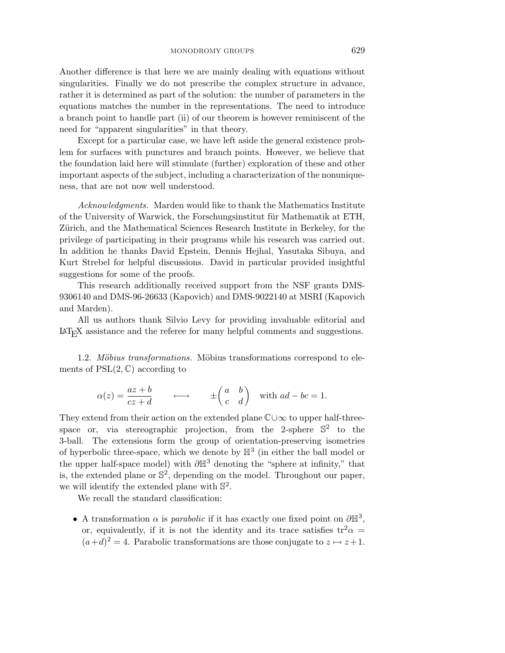Another difference is that here we are mainly dealing with equations without singularities. Finally we do not prescribe the complex structure in advance, rather it is determined as part of the solution: the number of parameters in the equations matches the number in the representations. The need to introduce a branch point to handle part (ii) of our theorem is however reminiscent of the need for "apparent singularities" in that theory.

Except for a particular case, we have left aside the general existence problem for surfaces with punctures and branch points. However, we believe that the foundation laid here will stimulate (further) exploration of these and other important aspects of the subject, including a characterization of the nonuniqueness, that are not now well understood.

Acknowledgments. Marden would like to thank the Mathematics Institute of the University of Warwick, the Forschungsinstitut für Mathematik at ETH, Zürich, and the Mathematical Sciences Research Institute in Berkeley, for the privilege of participating in their programs while his research was carried out. In addition he thanks David Epstein, Dennis Hejhal, Yasutaka Sibuya, and Kurt Strebel for helpful discussions. David in particular provided insightful suggestions for some of the proofs.

This research additionally received support from the NSF grants DMS-9306140 and DMS-96-26633 (Kapovich) and DMS-9022140 at MSRI (Kapovich and Marden).

All us authors thank Silvio Levy for providing invaluable editorial and  $\mu_{\text{L}}$  assistance and the referee for many helpful comments and suggestions.

1.2. Möbius transformations. Möbius transformations correspond to elements of  $PSL(2, \mathbb{C})$  according to

Möbius transformations. Möbius transformations correspond  
\nPSL(2,
$$
\mathbb{C}
$$
) according to  
\n
$$
\alpha(z) = \frac{az+b}{cz+d} \longleftrightarrow \pm \begin{pmatrix} a & b \\ c & d \end{pmatrix} \text{ with } ad-bc=1.
$$

They extend from their action on the extended plane  $\mathbb{C} \cup \infty$  to upper half-threespace or, via stereographic projection, from the 2-sphere  $\mathbb{S}^2$  to the 3-ball. The extensions form the group of orientation-preserving isometries of hyperbolic three-space, which we denote by  $\mathbb{H}^3$  (in either the ball model or the upper half-space model) with  $\partial \mathbb{H}^3$  denoting the "sphere at infinity," that is, the extended plane or  $\mathbb{S}^2$ , depending on the model. Throughout our paper, we will identify the extended plane with  $\mathbb{S}^2$ .

We recall the standard classification:

• A transformation  $\alpha$  is *parabolic* if it has exactly one fixed point on  $\partial \mathbb{H}^3$ , or, equivalently, if it is not the identity and its trace satisfies  $tr^2 \alpha =$  $(a+d)^2 = 4$ . Parabolic transformations are those conjugate to  $z \mapsto z+1$ .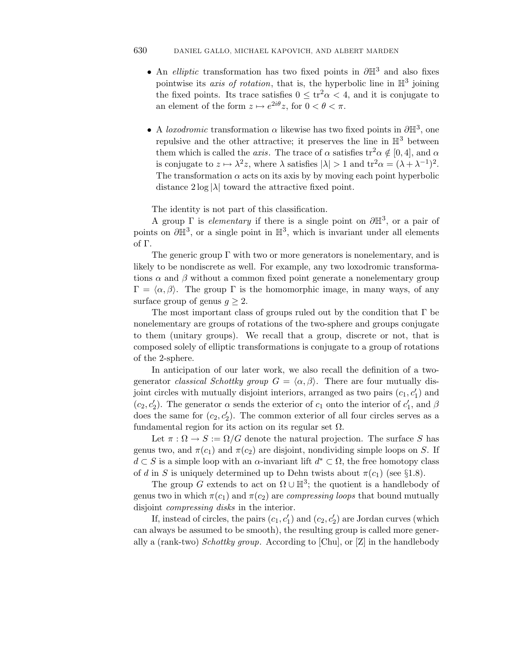# 630 DANIEL GALLO, MICHAEL KAPOVICH, AND ALBERT MARDEN

- An elliptic transformation has two fixed points in *∂*H<sup>3</sup> and also fixes pointwise its *axis of rotation*, that is, the hyperbolic line in  $\mathbb{H}^3$  joining the fixed points. Its trace satisfies  $0 \leq \text{tr}^2 \alpha < 4$ , and it is conjugate to an element of the form  $z \mapsto e^{2i\theta}z$ , for  $0 < \theta < \pi$ .
- A loxodromic transformation *α* likewise has two fixed points in *∂*H3, one repulsive and the other attractive; it preserves the line in  $\mathbb{H}^3$  between them which is called the *axis*. The trace of  $\alpha$  satisfies tr<sup>2</sup> $\alpha \notin [0, 4]$ , and  $\alpha$ is conjugate to  $z \mapsto \lambda^2 z$ , where  $\lambda$  satisfies  $|\lambda| > 1$  and  $tr^2 \alpha = (\lambda + \lambda^{-1})^2$ . The transformation  $\alpha$  acts on its axis by by moving each point hyperbolic distance  $2 \log |\lambda|$  toward the attractive fixed point.

The identity is not part of this classification.

A group  $\Gamma$  is *elementary* if there is a single point on  $\partial \mathbb{H}^3$ , or a pair of points on  $\partial \mathbb{H}^3$ , or a single point in  $\mathbb{H}^3$ , which is invariant under all elements of Γ.

The generic group  $\Gamma$  with two or more generators is nonelementary, and is likely to be nondiscrete as well. For example, any two loxodromic transformations  $\alpha$  and  $\beta$  without a common fixed point generate a nonelementary group  $\Gamma = \langle \alpha, \beta \rangle$ . The group  $\Gamma$  is the homomorphic image, in many ways, of any surface group of genus  $q \geq 2$ .

The most important class of groups ruled out by the condition that  $\Gamma$  be nonelementary are groups of rotations of the two-sphere and groups conjugate to them (unitary groups). We recall that a group, discrete or not, that is composed solely of elliptic transformations is conjugate to a group of rotations of the 2-sphere.

In anticipation of our later work, we also recall the definition of a twogenerator *classical Schottky group*  $G = \langle \alpha, \beta \rangle$ . There are four mutually disjoint circles with mutually disjoint interiors, arranged as two pairs  $(c_1, c'_1)$  and  $(c_2, c'_2)$ . The generator  $\alpha$  sends the exterior of  $c_1$  onto the interior of  $c'_1$ , and  $\beta$ does the same for  $(c_2, c'_2)$ . The common exterior of all four circles serves as a fundamental region for its action on its regular set  $\Omega$ .

Let  $\pi : \Omega \to S := \Omega/G$  denote the natural projection. The surface S has genus two, and  $\pi(c_1)$  and  $\pi(c_2)$  are disjoint, nondividing simple loops on *S*. If  $d \subset S$  is a simple loop with an  $\alpha$ -invariant lift  $d^* \subset \Omega$ , the free homotopy class of *d* in *S* is uniquely determined up to Dehn twists about  $\pi(c_1)$  (see §1.8).

The group *G* extends to act on  $\Omega \cup \mathbb{H}^3$ ; the quotient is a handlebody of genus two in which  $\pi(c_1)$  and  $\pi(c_2)$  are *compressing loops* that bound mutually disjoint compressing disks in the interior.

If, instead of circles, the pairs  $(c_1, c'_1)$  and  $(c_2, c'_2)$  are Jordan curves (which can always be assumed to be smooth), the resulting group is called more generally a (rank-two) Schottky group. According to [Chu], or  $Z$ ] in the handlebody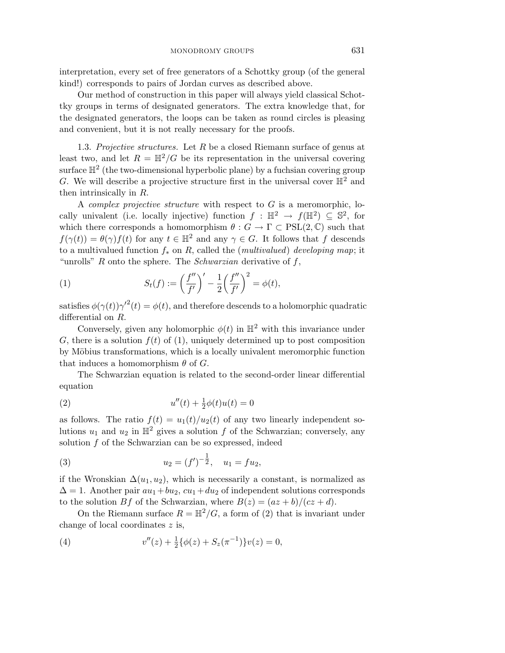interpretation, every set of free generators of a Schottky group (of the general kind!) corresponds to pairs of Jordan curves as described above.

Our method of construction in this paper will always yield classical Schottky groups in terms of designated generators. The extra knowledge that, for the designated generators, the loops can be taken as round circles is pleasing and convenient, but it is not really necessary for the proofs.

1.3. Projective structures. Let *R* be a closed Riemann surface of genus at least two, and let  $R = \mathbb{H}^2/G$  be its representation in the universal covering surface  $\mathbb{H}^2$  (the two-dimensional hyperbolic plane) by a fuchsian covering group *G*. We will describe a projective structure first in the universal cover  $\mathbb{H}^2$  and then intrinsically in *R*.

A complex projective structure with respect to *G* is a meromorphic, locally univalent (i.e. locally injective) function  $f : \mathbb{H}^2 \to f(\mathbb{H}^2) \subseteq \mathbb{S}^2$ , for which there corresponds a homomorphism  $\theta$  :  $G \to \Gamma \subset \text{PSL}(2,\mathbb{C})$  such that  $f(\gamma(t)) = \theta(\gamma) f(t)$  for any  $t \in \mathbb{H}^2$  and any  $\gamma \in G$ . It follows that *f* descends to a multivalued function  $f_*$  on  $R$ , called the (*multivalued*) developing map; it "unrolls" *R* onto the sphere. The Schwarzian derivative of *f*,  $f(\gamma(t)) = \theta(\gamma) f(t)$  for any  $t \in \mathbb{H}^2$ <br>to a multivalued function  $f_*$  on  $R$ ,<br>"unrolls"  $R$  onto the sphere. The  $k$ <br>(1)  $S_t(f) := \left(\frac{f''}{f} + \frac{f''}{f} + \frac{f''}{f'}\right)$ 

(1) 
$$
S_t(f) := \left(\frac{f''}{f'}\right)' - \frac{1}{2}\left(\frac{f''}{f'}\right)^2 = \phi(t),
$$

satisfies  $\phi(\gamma(t))\gamma'^2(t) = \phi(t)$ , and therefore descends to a holomorphic quadratic differential on *R*.

Conversely, given any holomorphic  $\phi(t)$  in  $\mathbb{H}^2$  with this invariance under  $G$ , there is a solution  $f(t)$  of (1), uniquely determined up to post composition by Möbius transformations, which is a locally univalent meromorphic function that induces a homomorphism  $\theta$  of *G*.

The Schwarzian equation is related to the second-order linear differential equation

(2) 
$$
u''(t) + \frac{1}{2}\phi(t)u(t) = 0
$$

as follows. The ratio  $f(t) = u_1(t)/u_2(t)$  of any two linearly independent solutions  $u_1$  and  $u_2$  in  $\mathbb{H}^2$  gives a solution f of the Schwarzian; conversely, any solution *f* of the Schwarzian can be so expressed, indeed

(3) 
$$
u_2 = (f')^{-\frac{1}{2}}, \quad u_1 = f u_2,
$$

if the Wronskian  $\Delta(u_1, u_2)$ , which is necessarily a constant, is normalized as  $\Delta = 1$ . Another pair  $au_1 + bu_2$ ,  $cu_1 + du_2$  of independent solutions corresponds to the solution *Bf* of the Schwarzian, where  $B(z) = (az + b)/(cz + d)$ .

On the Riemann surface  $R = \mathbb{H}^2/G$ , a form of (2) that is invariant under change of local coordinates *z* is,

(4) 
$$
v''(z) + \frac{1}{2} \{ \phi(z) + S_z(\pi^{-1}) \} v(z) = 0,
$$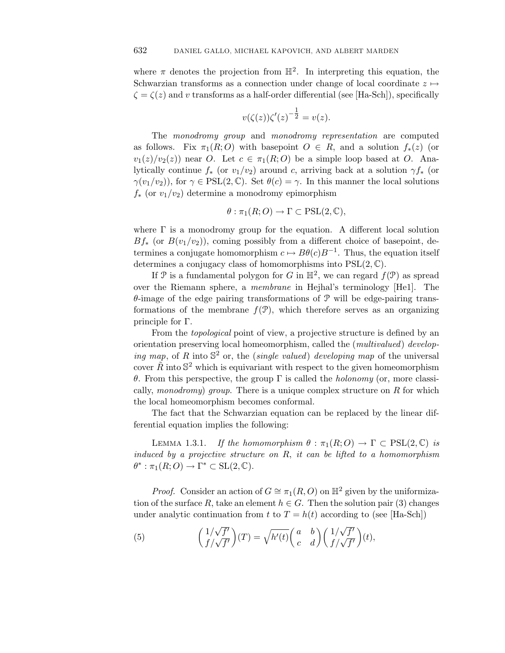where  $\pi$  denotes the projection from  $\mathbb{H}^2$ . In interpreting this equation, the Schwarzian transforms as a connection under change of local coordinate  $z \mapsto$  $\zeta = \zeta(z)$  and *v* transforms as a half-order differential (see [Ha-Sch]), specifically

$$
v(\zeta(z))\zeta'(z)^{-\frac{1}{2}} = v(z).
$$

The *monodromy* group and *monodromy* representation are computed as follows. Fix  $\pi_1(R; O)$  with basepoint  $O \in R$ , and a solution  $f_*(z)$  (or  $v_1(z)/v_2(z)$  near *O*. Let  $c \in \pi_1(R;O)$  be a simple loop based at *O*. Analytically continue  $f_*$  (or  $v_1/v_2$ ) around *c*, arriving back at a solution  $\gamma f_*$  (or *γ*(*v*<sub>1</sub>/*v*<sub>2</sub>)), for *γ* ∈ PSL(2,  $\mathbb{C}$ ). Set  $\theta(c) = \gamma$ . In this manner the local solutions *f*<sup>∗</sup> (or *v*1*/v*2) determine a monodromy epimorphism

$$
\theta : \pi_1(R;O) \to \Gamma \subset \mathrm{PSL}(2,\mathbb{C}),
$$

where  $\Gamma$  is a monodromy group for the equation. A different local solution  $Bf_*$  (or  $B(v_1/v_2)$ ), coming possibly from a different choice of basepoint, determines a conjugate homomorphism  $c \mapsto B\theta(c)B^{-1}$ . Thus, the equation itself determines a conjugacy class of homomorphisms into PSL(2*,* C).

If P is a fundamental polygon for *G* in  $\mathbb{H}^2$ , we can regard  $f(\mathcal{P})$  as spread over the Riemann sphere, a membrane in Hejhal's terminology [He1]. The *θ*-image of the edge pairing transformations of P will be edge-pairing transformations of the membrane  $f(\mathcal{P})$ , which therefore serves as an organizing principle for Γ.

From the *topological* point of view, a projective structure is defined by an orientation preserving local homeomorphism, called the (multivalued) developing map, of R into  $\mathbb{S}^2$  or, the *(single valued)* developing map of the universal cover  $\tilde{R}$  into  $\mathbb{S}^2$  which is equivariant with respect to the given homeomorphism *θ*. From this perspective, the group Γ is called the holonomy (or, more classically, monodromy) group. There is a unique complex structure on *R* for which the local homeomorphism becomes conformal.

The fact that the Schwarzian equation can be replaced by the linear differential equation implies the following:

LEMMA 1.3.1. If the homomorphism  $\theta : \pi_1(R;O) \to \Gamma \subset \text{PSL}(2,\mathbb{C})$  is induced by a projective structure on *R*, it can be lifted to a homomorphism  $\theta^* : \pi_1(R;O) \to \Gamma^* \subset SL(2,\mathbb{C}).$ 

*Proof.* Consider an action of  $G \cong \pi_1(R, O)$  on  $\mathbb{H}^2$  given by the uniformiza-<br>of the surface *R*, take an element  $h \in G$ . Then the solution pair (3) changes<br>r analytic continuation from  $t$  to  $T = h(t)$  according to tion of the surface R, take an element  $h \in G$ . Then the solution pair (3) changes under analytic continuation from *t* to  $T = h(t)$  according to (see [Ha-Sch]) *Proof.* Consider an action of G<br>tion of the surface R, take an element<br>under analytic continuation from t<br>(5)  $\left(\begin{array}{c} 1/\sqrt{f'} \\ f' \end{array}\right)(T) = \sqrt{\frac{f'(\sqrt{f'})}{f'}}$ 

(5) 
$$
\begin{pmatrix} 1/\sqrt{f'} \\ f/\sqrt{f'} \end{pmatrix}(T) = \sqrt{h'(t)} \begin{pmatrix} a & b \\ c & d \end{pmatrix} \begin{pmatrix} 1/\sqrt{f'} \\ f/\sqrt{f'} \end{pmatrix}(t),
$$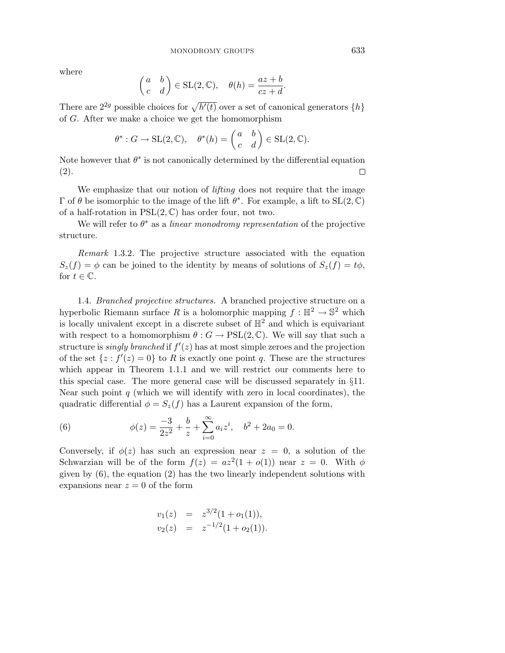where

MONODROW GROUPS

\nwhere

\n
$$
\begin{pmatrix} a & b \\ c & d \end{pmatrix} \in \text{SL}(2, \mathbb{C}), \quad \theta(h) = \frac{az + b}{cz + d}.
$$
\nThere are  $2^{2g}$  possible choices for  $\sqrt{h'(t)}$  over a set of canonical generators  $\{h\}$ .

of *G*. After we make a choice we get the homomorphism

$$
(c \ d)^{-\infty - (-, \infty)}, \quad c \infty \quad c \in \mathcal{A}
$$
  
possible choices for  $\sqrt{h'(t)}$  over a set of canonical  $\mathfrak{g}$   
we make a choice we get the homomorphism  
 $\theta^* : G \to \mathrm{SL}(2, \mathbb{C}), \quad \theta^*(h) = \begin{pmatrix} a & b \\ c & d \end{pmatrix} \in \mathrm{SL}(2, \mathbb{C}).$ 

Note however that  $\theta^*$  is not canonically determined by the differential equation (2).  $\Box$ 

We emphasize that our notion of *lifting* does not require that the image Γ of *θ* be isomorphic to the image of the lift  $\theta^*$ . For example, a lift to SL(2, C) of a half-rotation in PSL(2*,* C) has order four, not two.

We will refer to  $\theta^*$  as a *linear monodromy representation* of the projective structure.

Remark 1.3.2. The projective structure associated with the equation  $S_z(f) = \phi$  can be joined to the identity by means of solutions of  $S_z(f) = t\phi$ , for  $t \in \mathbb{C}$ .

1.4. Branched projective structures. A branched projective structure on a hyperbolic Riemann surface R is a holomorphic mapping  $f : \mathbb{H}^2 \to \mathbb{S}^2$  which is locally univalent except in a discrete subset of  $\mathbb{H}^2$  and which is equivariant with respect to a homomorphism  $\theta$  :  $G \to \text{PSL}(2,\mathbb{C})$ . We will say that such a structure is *singly branched* if  $f'(z)$  has at most simple zeroes and the projection of the set  $\{z: f'(z)=0\}$  to R is exactly one point q. These are the structures which appear in Theorem 1*.*1*.*1 and we will restrict our comments here to this special case. The more general case will be discussed separately in §11. Near such point *q* (which we will identify with zero in local coordinates), the quadratic differential  $\phi = S_z(f)$  has a Laurent expansion of the form, ral ca $\text{identi}\ \text{as a I}\ \text{as a I}\ + \sum_{n=1}^{\infty}$ 

(6) 
$$
\phi(z) = \frac{-3}{2z^2} + \frac{b}{z} + \sum_{i=0}^{\infty} a_i z^i, \quad b^2 + 2a_0 = 0.
$$

Conversely, if  $\phi(z)$  has such an expression near  $z = 0$ , a solution of the Schwarzian will be of the form  $f(z) = az^2(1 + o(1))$  near  $z = 0$ . With  $\phi$ given by  $(6)$ , the equation  $(2)$  has the two linearly independent solutions with expansions near  $z = 0$  of the form

$$
v_1(z) = z^{3/2}(1 + o_1(1)),
$$
  
\n
$$
v_2(z) = z^{-1/2}(1 + o_2(1)).
$$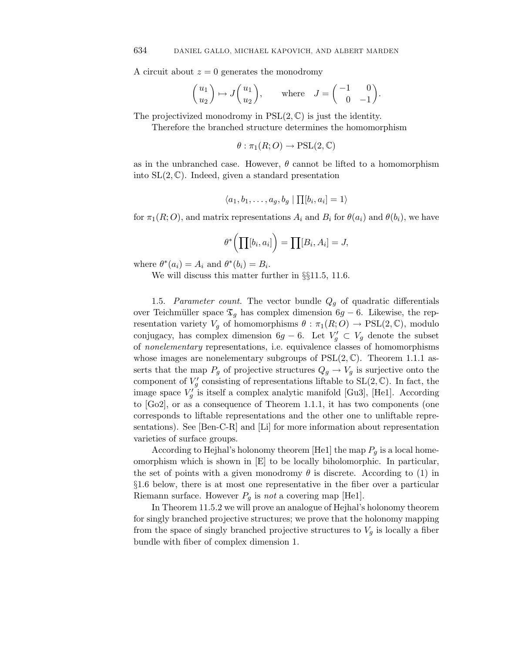A circuit about  $z = 0$  generates the monodromy

$$
\begin{pmatrix} u_1 \\ u_2 \end{pmatrix} \mapsto J \begin{pmatrix} u_1 \\ u_2 \end{pmatrix}, \quad \text{where} \quad J = \begin{pmatrix} -1 & 0 \\ 0 & -1 \end{pmatrix}.
$$

The projectivized monodromy in PSL(2*,* C) is just the identity.

Therefore the branched structure determines the homomorphism

 $\theta$  :  $\pi_1(R;O) \rightarrow \text{PSL}(2,\mathbb{C})$ 

as in the unbranched case. However,  $\theta$  cannot be lifted to a homomorphism into SL(2*,* C). Indeed, given a standard presentation

$$
\langle a_1, b_1, \ldots, a_g, b_g \mid \prod [b_i, a_i] = 1 \rangle
$$

for  $\pi_1(R; O)$ , and matrix representations  $A_i$  and  $B_i$  for  $\theta(a_i)$  and  $\theta(b_i)$ , we have

$$
\langle a_1, b_1, \dots, a_g, b_g \mid \prod [b_i, a_i] = 1 \rangle
$$
  
ix representations  $A_i$  and  $B_i$  for  $\theta^*$   

$$
\theta^* \left( \prod [b_i, a_i] \right) = \prod [B_i, A_i] = J,
$$

where  $\theta^*(a_i) = A_i$  and  $\theta^*(b_i) = B_i$ .

We will discuss this matter further in §§11.5, 11.6.

1.5. Parameter count. The vector bundle *Q<sup>g</sup>* of quadratic differentials over Teichmüller space  $\mathfrak{T}_g$  has complex dimension  $6g - 6$ . Likewise, the representation variety  $V_g$  of homomorphisms  $\theta : \pi_1(R;O) \to \text{PSL}(2,\mathbb{C})$ , modulo conjugacy, has complex dimension  $6g - 6$ . Let  $V'_g \subset V_g$  denote the subset of nonelementary representations, i.e. equivalence classes of homomorphisms whose images are nonelementary subgroups of  $PSL(2,\mathbb{C})$ . Theorem 1.1.1 asserts that the map  $P_g$  of projective structures  $Q_g \to V_g$  is surjective onto the component of  $V_g'$  consisting of representations liftable to  $SL(2,\mathbb{C})$ . In fact, the image space  $V'_g$  is itself a complex analytic manifold [Gu3], [He1]. According to [Go2], or as a consequence of Theorem 1*.*1*.*1, it has two components (one corresponds to liftable representations and the other one to unliftable representations). See  $\lbrack \text{Ben-C-R} \rbrack$  and  $\lbrack \text{Li} \rbrack$  for more information about representation varieties of surface groups.

According to Hejhal's holonomy theorem [He1] the map  $P_g$  is a local homeomorphism which is shown in [E] to be locally biholomorphic. In particular, the set of points with a given monodromy  $\theta$  is discrete. According to (1) in §1.6 below, there is at most one representative in the fiber over a particular Riemann surface. However  $P_q$  is not a covering map [He1].

In Theorem 11.5.2 we will prove an analogue of Hejhal's holonomy theorem for singly branched projective structures; we prove that the holonomy mapping from the space of singly branched projective structures to  $V_q$  is locally a fiber bundle with fiber of complex dimension 1.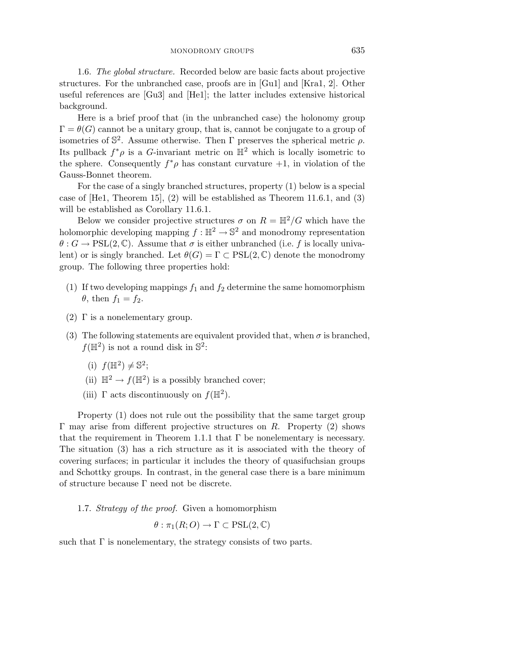1.6. The global structure. Recorded below are basic facts about projective structures. For the unbranched case, proofs are in [Gu1] and [Kra1, 2]. Other useful references are [Gu3] and [He1]; the latter includes extensive historical background.

Here is a brief proof that (in the unbranched case) the holonomy group  $\Gamma = \theta(G)$  cannot be a unitary group, that is, cannot be conjugate to a group of isometries of  $\mathbb{S}^2$ . Assume otherwise. Then  $\Gamma$  preserves the spherical metric  $\rho$ . Its pullback  $f^*\rho$  is a *G*-invariant metric on  $\mathbb{H}^2$  which is locally isometric to the sphere. Consequently  $f^*\rho$  has constant curvature  $+1$ , in violation of the Gauss-Bonnet theorem.

For the case of a singly branched structures, property (1) below is a special case of [He1, Theorem 15], (2) will be established as Theorem 11*.*6*.*1, and (3) will be established as Corollary 11*.*6*.*1.

Below we consider projective structures  $\sigma$  on  $R = \mathbb{H}^2/G$  which have the holomorphic developing mapping  $f : \mathbb{H}^2 \to \mathbb{S}^2$  and monodromy representation  $\theta$  :  $G \to \text{PSL}(2, \mathbb{C})$ . Assume that  $\sigma$  is either unbranched (i.e. f is locally univalent) or is singly branched. Let  $\theta(G) = \Gamma \subset \text{PSL}(2, \mathbb{C})$  denote the monodromy group. The following three properties hold:

- (1) If two developing mappings  $f_1$  and  $f_2$  determine the same homomorphism  $\theta$ , then  $f_1 = f_2$ .
- (2)  $\Gamma$  is a nonelementary group.
- (3) The following statements are equivalent provided that, when  $\sigma$  is branched,  $f(\mathbb{H}^2)$  is not a round disk in  $\mathbb{S}^2$ :
	- (i)  $f(\mathbb{H}^2) \neq \mathbb{S}^2$ ;
	- (ii)  $\mathbb{H}^2 \to f(\mathbb{H}^2)$  is a possibly branched cover;
	- (iii)  $\Gamma$  acts discontinuously on  $f(\mathbb{H}^2)$ .

Property (1) does not rule out the possibility that the same target group Γ may arise from different projective structures on *R*. Property (2) shows that the requirement in Theorem 1.1.1 that  $\Gamma$  be nonelementary is necessary. The situation (3) has a rich structure as it is associated with the theory of covering surfaces; in particular it includes the theory of quasifuchsian groups and Schottky groups. In contrast, in the general case there is a bare minimum of structure because Γ need not be discrete.

1.7. Strategy of the proof. Given a homomorphism

$$
\theta : \pi_1(R;O) \to \Gamma \subset \mathrm{PSL}(2,\mathbb{C})
$$

such that  $\Gamma$  is nonelementary, the strategy consists of two parts.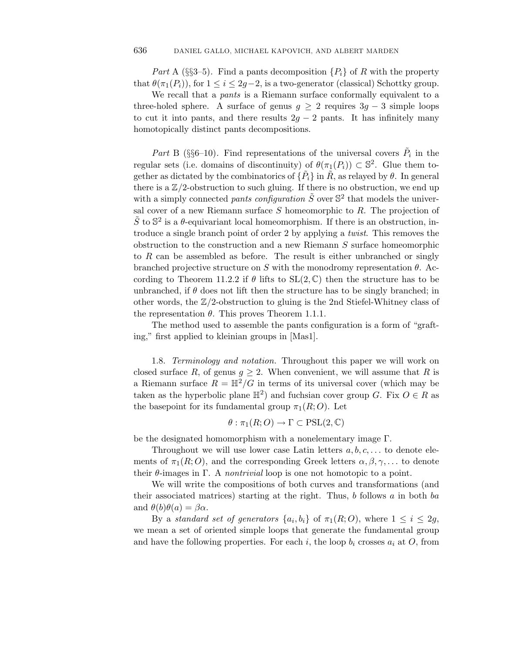*Part* A (§§3–5). Find a pants decomposition  $\{P_i\}$  of R with the property that  $\theta(\pi_1(P_i))$ , for  $1 \leq i \leq 2g-2$ , is a two-generator (classical) Schottky group.

We recall that a *pants* is a Riemann surface conformally equivalent to a three-holed sphere. A surface of genus  $g \geq 2$  requires  $3g - 3$  simple loops to cut it into pants, and there results  $2g - 2$  pants. It has infinitely many homotopically distinct pants decompositions.

*Part* B (§§6–10). Find representations of the universal covers  $\tilde{P}_i$  in the regular sets (i.e. domains of discontinuity) of  $\theta(\pi_1(P_i)) \subset \mathbb{S}^2$ . Glue them together as dictated by the combinatorics of  $\{\tilde{P}_i\}$  in  $\tilde{R}$ , as relayed by  $\theta$ . In general there is a  $\mathbb{Z}/2$ -obstruction to such gluing. If there is no obstruction, we end up with a simply connected *pants configuration*  $\tilde{S}$  over  $\mathbb{S}^2$  that models the universal cover of a new Riemann surface *S* homeomorphic to *R*. The projection of  $\tilde{S}$  to  $\mathbb{S}^2$  is a  $\theta$ -equivariant local homeomorphism. If there is an obstruction, introduce a single branch point of order 2 by applying a twist. This removes the obstruction to the construction and a new Riemann *S* surface homeomorphic to *R* can be assembled as before. The result is either unbranched or singly branched projective structure on  $S$  with the monodromy representation  $\theta$ . According to Theorem 11.2.2 if  $\theta$  lifts to  $SL(2,\mathbb{C})$  then the structure has to be unbranched, if  $\theta$  does not lift then the structure has to be singly branched; in other words, the Z*/*2-obstruction to gluing is the 2nd Stiefel-Whitney class of the representation *θ*. This proves Theorem 1*.*1*.*1.

The method used to assemble the pants configuration is a form of "grafting," first applied to kleinian groups in [Mas1].

1.8. Terminology and notation. Throughout this paper we will work on closed surface R, of genus  $q \ge 2$ . When convenient, we will assume that R is a Riemann surface  $R = \mathbb{H}^2/G$  in terms of its universal cover (which may be taken as the hyperbolic plane  $\mathbb{H}^2$ ) and fuchsian cover group *G*. Fix  $O \in R$  as the basepoint for its fundamental group  $\pi_1(R; O)$ . Let

$$
\theta : \pi_1(R;O) \to \Gamma \subset \mathrm{PSL}(2,\mathbb{C})
$$

be the designated homomorphism with a nonelementary image Γ.

Throughout we will use lower case Latin letters *a, b, c, . . .* to denote elements of  $\pi_1(R; O)$ , and the corresponding Greek letters  $\alpha, \beta, \gamma, \ldots$  to denote their  $\theta$ -images in  $\Gamma$ . A *nontrivial* loop is one not homotopic to a point.

We will write the compositions of both curves and transformations (and their associated matrices) starting at the right. Thus, *b* follows *a* in both *ba* and  $\theta(b)\theta(a) = \beta\alpha$ .

By a standard set of generators  $\{a_i, b_i\}$  of  $\pi_1(R; O)$ , where  $1 \leq i \leq 2g$ , we mean a set of oriented simple loops that generate the fundamental group and have the following properties. For each  $i$ , the loop  $b_i$  crosses  $a_i$  at  $O$ , from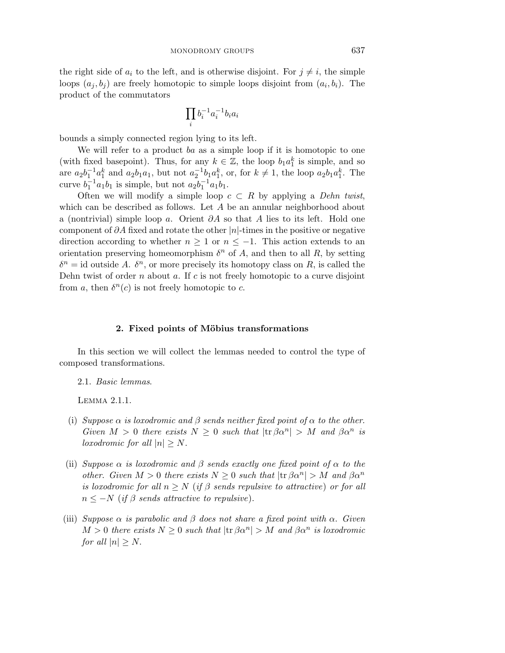the right side of  $a_i$  to the left, and is otherwise disjoint. For  $j \neq i$ , the simple loops  $(a_j, b_j)$  are freely homotopic to simple loops disjoint from  $(a_i, b_i)$ . The product of the commutators

$$
\prod_i b_i^{-1}a_i^{-1}b_ia_i
$$

bounds a simply connected region lying to its left.

We will refer to a product *ba* as a simple loop if it is homotopic to one (with fixed basepoint). Thus, for any  $k \in \mathbb{Z}$ , the loop  $b_1 a_1^k$  is simple, and so are  $a_2b_1^{-1}a_1^k$  and  $a_2b_1a_1$ , but not  $a_2^{-1}b_1a_1^k$ , or, for  $k \neq 1$ , the loop  $a_2b_1a_1^k$ . The curve  $b_1^{-1}a_1b_1$  is simple, but not  $a_2b_1^{-1}a_1b_1$ .

Often we will modify a simple loop  $c \subset R$  by applying a *Dehn twist*, which can be described as follows. Let *A* be an annular neighborhood about a (nontrivial) simple loop *a*. Orient *∂A* so that *A* lies to its left. Hold one component of *∂A* fixed and rotate the other |*n*|-times in the positive or negative direction according to whether  $n \geq 1$  or  $n \leq -1$ . This action extends to an orientation preserving homeomorphism  $\delta^n$  of A, and then to all R, by setting  $\delta^n$  = id outside *A*.  $\delta^n$ , or more precisely its homotopy class on *R*, is called the Dehn twist of order *n* about *a*. If *c* is not freely homotopic to a curve disjoint from *a*, then  $\delta^n(c)$  is not freely homotopic to *c*.

#### 2. Fixed points of Möbius transformations

In this section we will collect the lemmas needed to control the type of composed transformations.

2.1. Basic lemmas.

Lemma 2*.*1*.*1.

- (i) Suppose  $\alpha$  is loxodromic and  $\beta$  sends neither fixed point of  $\alpha$  to the other. Given  $M > 0$  there exists  $N \geq 0$  such that  $|\text{tr}\,\beta\alpha^n| > M$  and  $\beta\alpha^n$  is *loxodromic for all*  $|n| \geq N$ .
- (ii) Suppose  $\alpha$  is loxodromic and  $\beta$  sends exactly one fixed point of  $\alpha$  to the other. Given  $M > 0$  there exists  $N \geq 0$  such that  $|\text{tr } \beta \alpha^n| > M$  and  $\beta \alpha^n$ is loxodromic for all  $n > N$  (if  $\beta$  sends repulsive to attractive) or for all  $n \leq -N$  (if  $\beta$  sends attractive to repulsive).
- (iii) Suppose  $\alpha$  is parabolic and  $\beta$  does not share a fixed point with  $\alpha$ . Given  $M > 0$  there exists  $N \geq 0$  such that  $|\text{tr } \beta \alpha^n| > M$  and  $\beta \alpha^n$  is loxodromic for all  $|n| \geq N$ .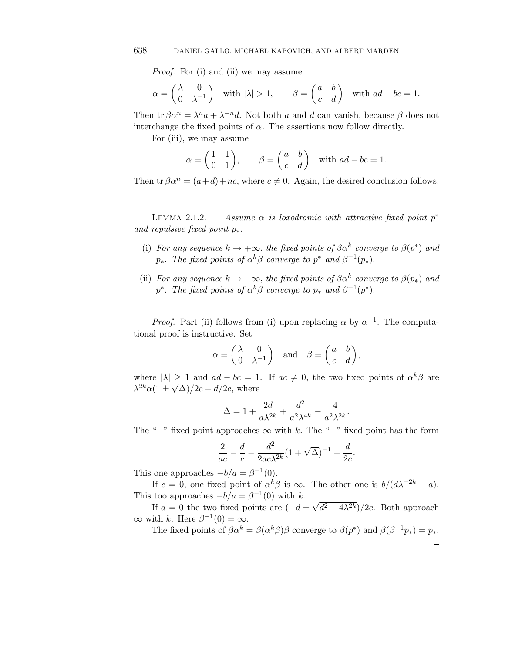Proof. For (i) and (ii) we may assume

638 **DANIEL GALLO, MICHAEL KAPOVICH, AND ALBERT MARDEN**  
\n*Proof.* For (i) and (ii) we may assume\n
$$
\alpha = \begin{pmatrix} \lambda & 0 \\ 0 & \lambda^{-1} \end{pmatrix} \text{ with } |\lambda| > 1, \qquad \beta = \begin{pmatrix} a & b \\ c & d \end{pmatrix} \text{ with } ad - bc = 1.
$$

Then  $\text{tr } \beta \alpha^n = \lambda^n a + \lambda^{-n} d$ . Not both *a* and *d* can vanish, because  $\beta$  does not interchange the fixed points of  $\alpha$ . The assertions now follow directly.

For (iii), we may assume

$$
= \lambda^n a + \lambda^{-n} d.
$$
 Not both *a* and *d* can vanish, becau  
he fixed points of  $\alpha$ . The assertions now follow dire  
we may assume  

$$
\alpha = \begin{pmatrix} 1 & 1 \\ 0 & 1 \end{pmatrix}, \qquad \beta = \begin{pmatrix} a & b \\ c & d \end{pmatrix}
$$
 with  $ad - bc = 1$ .

Then tr  $\beta \alpha^n = (a+d) + nc$ , where  $c \neq 0$ . Again, the desired conclusion follows.  $\Box$ 

LEMMA 2.1.2. Assume  $\alpha$  is loxodromic with attractive fixed point  $p^*$ and repulsive fixed point *p*∗.

- (i) For any sequence  $k \to +\infty$ , the fixed points of  $\beta \alpha^k$  converge to  $\beta(p^*)$  and *p*<sup>∗</sup>. The fixed points of  $\alpha^k\beta$  converge to  $p^*$  and  $\beta^{-1}(p^*)$ .
- (ii) For any sequence  $k \to -\infty$ , the fixed points of  $\beta \alpha^k$  converge to  $\beta(p_*)$  and *p*<sup>∗</sup>. The fixed points of  $\alpha^k \beta$  converge to  $p_*$  and  $\beta^{-1}(p^*)$ .

*Proof.* Part (ii) follows from (i) upon replacing  $\alpha$  by  $\alpha^{-1}$ . The computational proof is instructive. Set

| follows from (i) upon replacing α by  
uctive. Set  

$$
\alpha = \begin{pmatrix} \lambda & 0 \\ 0 & \lambda^{-1} \end{pmatrix} \text{ and } \beta = \begin{pmatrix} a & b \\ c & d \end{pmatrix},
$$

where  $|\lambda| \ge 1$  and  $ad - bc = 1$ . If  $ac \ne 0$ , the two fixed points of  $\alpha^k \beta$  are *λ*<sup>2*k*</sup> $\alpha(1 \pm \sqrt{\Delta})/2c - d/2c$ , where

$$
\Delta = 1 + \frac{2d}{a\lambda^{2k}} + \frac{d^2}{a^2\lambda^{4k}} - \frac{4}{a^2\lambda^{2k}}.
$$

The "+" fixed point approaches  $\infty$  with *k*. The "-" fixed point has the form

$$
\frac{2}{ac} - \frac{d}{c} - \frac{d^2}{2ac\lambda^{2k}}(1+\sqrt{\Delta})^{-1} - \frac{d}{2c}
$$

*.*

This one approaches  $-b/a = \beta^{-1}(0)$ .

If  $c = 0$ , one fixed point of  $\alpha^k \beta$  is  $\infty$ . The other one is  $b/(d\lambda^{-2k} - a)$ . This too approaches  $-b/a = \beta^{-1}(0)$  with *k*.

If  $a = 0$  the two fixed points are  $\left(-d \pm \sqrt{d^2 - 4\lambda^{2k}}\right)/2c$ . Both approach  $\infty$  with *k*. Here  $\beta^{-1}(0) = \infty$ .

The fixed points of  $\beta \alpha^k = \beta(\alpha^k \beta) \beta$  converge to  $\beta(p^*)$  and  $\beta(\beta^{-1} p_*) = p_*$ . П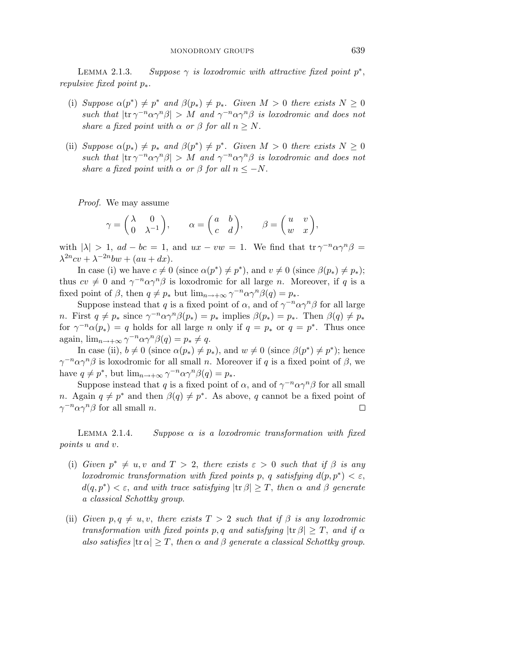LEMMA 2.1.3. Suppose  $\gamma$  is loxodromic with attractive fixed point  $p^*$ , repulsive fixed point *p*∗.

- (i) Suppose  $\alpha(p^*) \neq p^*$  and  $\beta(p_*) \neq p_*$ . Given  $M > 0$  there exists  $N \geq 0$ such that  $|\text{tr }\gamma^{-n}\alpha\gamma^{n}\beta| > M$  and  $\gamma^{-n}\alpha\gamma^{n}\beta$  is loxodromic and does not share a fixed point with  $\alpha$  or  $\beta$  for all  $n \geq N$ .
- (ii) Suppose  $\alpha(p_*) \neq p_*$  and  $\beta(p^*) \neq p^*$ . Given  $M > 0$  there exists  $N \geq 0$ such that  $|\text{tr }\gamma^{-n}\alpha\gamma^{n}\beta| > M$  and  $\gamma^{-n}\alpha\gamma^{n}\beta$  is loxodromic and does not share a fixed point with  $\alpha$  or  $\beta$  for all  $n \leq -N$ .

Proof. We may assume

We may assume  
\n
$$
\gamma = \begin{pmatrix} \lambda & 0 \\ 0 & \lambda^{-1} \end{pmatrix}, \qquad \alpha = \begin{pmatrix} a & b \\ c & d \end{pmatrix}, \qquad \beta = \begin{pmatrix} u & v \\ w & x \end{pmatrix},
$$

with  $|\lambda| > 1$ ,  $ad - bc = 1$ , and  $ux - vw = 1$ . We find that  $\text{tr } \gamma^{-n} a \gamma^{n} \beta =$  $\lambda^{2n}cv + \lambda^{-2n}bw + (au + dx).$ 

In case (i) we have  $c \neq 0$  (since  $\alpha(p^*) \neq p^*$ ), and  $v \neq 0$  (since  $\beta(p_*) \neq p_*$ ); thus  $cv \neq 0$  and  $\gamma^{-n} \alpha \gamma^{n} \beta$  is loxodromic for all large *n*. Moreover, if *q* is a fixed point of *β*, then  $q \neq p_*$  but  $\lim_{n \to +\infty} \gamma^{-n} \alpha \gamma^n \beta(q) = p_*$ .

Suppose instead that *q* is a fixed point of  $\alpha$ , and of  $\gamma^{-n} \alpha \gamma^n \beta$  for all large *n*. First  $q \neq p_*$  since  $\gamma^{-n} \alpha \gamma^n \beta(p_*) = p_*$  implies  $\beta(p_*) = p_*$ . Then  $\beta(q) \neq p_*$ for  $\gamma^{-n}\alpha(p_*) = q$  holds for all large *n* only if  $q = p_*$  or  $q = p^*$ . Thus once again,  $\lim_{n \to +\infty} \gamma^{-n} \alpha \gamma^n \beta(q) = p_* \neq q$ .

In case (ii),  $b \neq 0$  (since  $\alpha(p_*) \neq p_*$ ), and  $w \neq 0$  (since  $\beta(p^*) \neq p^*$ ); hence  $\gamma^{-n} \alpha \gamma^n \beta$  is loxodromic for all small *n*. Moreover if *q* is a fixed point of *β*, we have  $q \neq p^*$ , but  $\lim_{n \to +\infty} \gamma^{-n} \alpha \gamma^n \beta(q) = p_*$ .

Suppose instead that *q* is a fixed point of  $\alpha$ , and of  $\gamma^{-n} \alpha \gamma^n \beta$  for all small *n*. Again  $q \neq p^*$  and then  $\beta(q) \neq p^*$ . As above, *q* cannot be a fixed point of *γ*<sup>−*n*</sup>*αγ*<sup>*n*</sup>*β* for all small *n*.  $\Box$ 

LEMMA  $2.1.4$ .  $Suppose \alpha is a location in transformation with fixed$ points *u* and *v*.

- (i) Given  $p^* \neq u, v$  and  $T > 2$ , there exists  $\varepsilon > 0$  such that if  $\beta$  is any loxodromic transformation with fixed points *p*, *q* satisfying  $d(p, p^*) < \varepsilon$ ,  $d(q, p^*) < \varepsilon$ , and with trace satisfying  $|\text{tr } \beta| \geq T$ , then  $\alpha$  and  $\beta$  generate a classical Schottky group.
- (ii) Given  $p, q \neq u, v$ , there exists  $T > 2$  such that if  $\beta$  is any loxodromic transformation with fixed points p, q and satisfying  $|\text{tr } \beta| \geq T$ , and if  $\alpha$ also satisfies  $|\text{tr } \alpha| \geq T$ , then  $\alpha$  and  $\beta$  generate a classical Schottky group.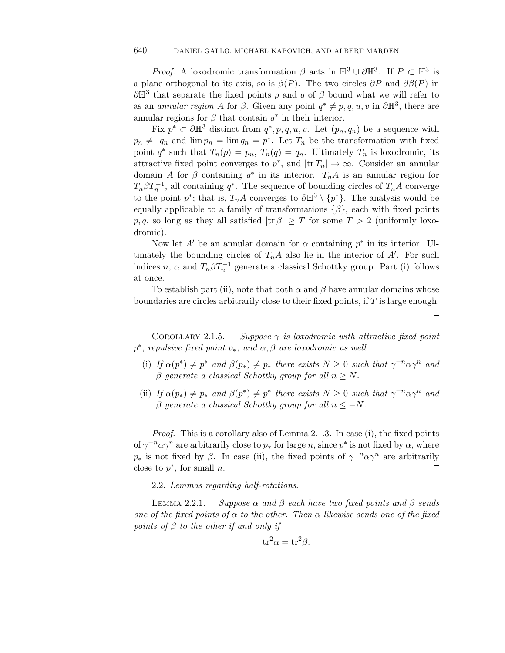*Proof.* A loxodromic transformation  $\beta$  acts in  $\mathbb{H}^3 \cup \partial \mathbb{H}^3$ . If  $P \subset \mathbb{H}^3$  is a plane orthogonal to its axis, so is  $\beta(P)$ . The two circles  $\partial P$  and  $\partial \beta(P)$  in  $\partial \mathbb{H}^3$  that separate the fixed points *p* and *q* of  $\beta$  bound what we will refer to as an *annular region A* for  $\beta$ . Given any point  $q^* \neq p, q, u, v$  in  $\partial \mathbb{H}^3$ , there are annular regions for  $\beta$  that contain  $q^*$  in their interior.

Fix  $p^* \subset \partial \mathbb{H}^3$  distinct from  $q^*, p, q, u, v$ . Let  $(p_n, q_n)$  be a sequence with  $p_n \neq q_n$  and  $\lim p_n = \lim q_n = p^*$ . Let  $T_n$  be the transformation with fixed point  $q^*$  such that  $T_n(p) = p_n$ ,  $T_n(q) = q_n$ . Ultimately  $T_n$  is loxodromic, its attractive fixed point converges to  $p^*$ , and  $|\text{tr } T_n| \to \infty$ . Consider an annular domain *A* for  $\beta$  containing  $q^*$  in its interior.  $T_nA$  is an annular region for  $T_n \beta T_n^{-1}$ , all containing *q*<sup>∗</sup>. The sequence of bounding circles of  $T_n A$  converge to the point  $p^*$ ; that is,  $T_nA$  converges to  $\partial \mathbb{H}^3 \setminus \{p^*\}$ . The analysis would be equally applicable to a family of transformations  $\{\beta\}$ , each with fixed points *p, q,* so long as they all satisfied  $|\text{tr } \beta| \geq T$  for some  $T > 2$  (uniformly loxodromic).

Now let  $A'$  be an annular domain for  $\alpha$  containing  $p^*$  in its interior. Ultimately the bounding circles of  $T_nA$  also lie in the interior of  $A'$ . For such indices *n*,  $\alpha$  and  $T_n \beta T_n^{-1}$  generate a classical Schottky group. Part (i) follows at once.

To establish part (ii), note that both  $\alpha$  and  $\beta$  have annular domains whose boundaries are circles arbitrarily close to their fixed points, if *T* is large enough.  $\Box$ 

COROLLARY 2.1.5.  $Suppose \gamma$  is loxodromic with attractive fixed point  $p^*$ , repulsive fixed point  $p_*$ , and  $\alpha, \beta$  are loxodromic as well.

- (i) If  $\alpha(p^*) \neq p^*$  and  $\beta(p_*) \neq p_*$  there exists  $N \geq 0$  such that  $\gamma^{-n} \alpha \gamma^n$  and *β* generate a classical Schottky group for all *n* ≥ *N*.
- (ii) If  $\alpha(p_*) \neq p_*$  and  $\beta(p^*) \neq p^*$  there exists  $N \geq 0$  such that  $\gamma^{-n} \alpha \gamma^n$  and *β* generate a classical Schottky group for all  $n \leq -N$ .

Proof. This is a corollary also of Lemma 2*.*1*.*3. In case (i), the fixed points of  $\gamma^{-n} \alpha \gamma^n$  are arbitrarily close to  $p_*$  for large *n*, since  $p^*$  is not fixed by  $\alpha$ , where *p*<sup>∗</sup> is not fixed by *β*. In case (ii), the fixed points of  $\gamma^{-n} \alpha \gamma^n$  are arbitrarily close to *p*∗, for small *n*.  $\Box$ 

2.2. Lemmas regarding half-rotations.

LEMMA 2.2.1.  $Suppose \alpha$  and  $\beta$  each have two fixed points and  $\beta$  sends one of the fixed points of  $\alpha$  to the other. Then  $\alpha$  likewise sends one of the fixed points of *β* to the other if and only if

$$
\operatorname{tr}^2 \alpha = \operatorname{tr}^2 \beta.
$$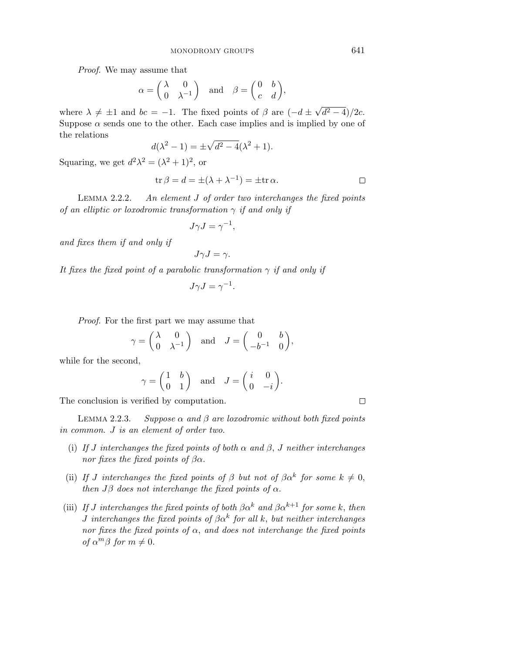Proof. We may assume that

MONODROMY GROUPS  
assume that  

$$
\alpha = \begin{pmatrix} \lambda & 0 \\ 0 & \lambda^{-1} \end{pmatrix} \quad \text{and} \quad \beta = \begin{pmatrix} 0 & b \\ c & d \end{pmatrix},
$$

where  $\lambda \neq \pm 1$  and  $bc = -1$ . The fixed points of  $\beta$  are  $(-d \pm \sqrt{d^2 - 4})/2c$ . Suppose  $\alpha$  sends one to the other. Each case implies and is implied by one of the relations

$$
d(\lambda^2 - 1) = \pm \sqrt{d^2 - 4(\lambda^2 + 1)}.
$$

Squaring, we get  $d^2\lambda^2 = (\lambda^2 + 1)^2$ , or

$$
\operatorname{tr}\beta = d = \pm(\lambda + \lambda^{-1}) = \pm \operatorname{tr}\alpha.
$$

LEMMA 2.2.2. 2*.*2*.*2. An element *J* of order two interchanges the fixed points of an elliptic or loxodromic transformation *γ* if and only if

$$
J\gamma J = \gamma^{-1},
$$

and fixes them if and only if

$$
J\gamma J=\gamma.
$$

It fixes the fixed point of a parabolic transformation  $\gamma$  if and only if

$$
J\gamma J = \gamma^{-1}.
$$

Proof. For the first part we may assume that

$$
\gamma = \begin{pmatrix} \lambda & 0 \\ 0 & \lambda^{-1} \end{pmatrix} \text{ and } J = \begin{pmatrix} 0 & b \\ -b^{-1} & 0 \end{pmatrix},
$$
  
and,  

$$
\gamma = \begin{pmatrix} 1 & b \\ 0 & 1 \end{pmatrix} \text{ and } J = \begin{pmatrix} i & 0 \\ 0 & -i \end{pmatrix}.
$$

while for the second,

$$
\gamma = \begin{pmatrix} 1 & b \\ 0 & 1 \end{pmatrix} \quad \text{and} \quad J = \begin{pmatrix} i & 0 \\ 0 & -i \end{pmatrix}.
$$

The conclusion is verified by computation.

LEMMA 2.2.3.  $Suppose \alpha$  and  $\beta$  are loxodromic without both fixed points in common. *J* is an element of order two.

- (i) If *J* interchanges the fixed points of both  $\alpha$  and  $\beta$ , *J* neither interchanges nor fixes the fixed points of *βα*.
- (ii) If *J* interchanges the fixed points of  $\beta$  but not of  $\beta \alpha^k$  for some  $k \neq 0$ , then  $J\beta$  does not interchange the fixed points of  $\alpha$ .
- (iii) If *J* interchanges the fixed points of both  $\beta \alpha^k$  and  $\beta \alpha^{k+1}$  for some *k*, then *J* interchanges the fixed points of  $\beta \alpha^k$  for all k, but neither interchanges nor fixes the fixed points of  $\alpha$ , and does not interchange the fixed points of  $\alpha^m \beta$  for  $m \neq 0$ .

 $\Box$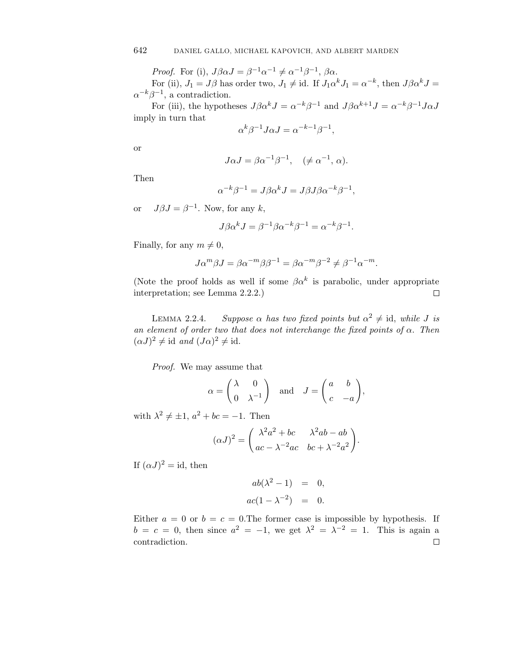*Proof.* For (i),  $J\beta\alpha J = \beta^{-1}\alpha^{-1} \neq \alpha^{-1}\beta^{-1}$ ,  $\beta\alpha$ .

For (ii),  $J_1 = J\beta$  has order two,  $J_1 \neq id$ . If  $J_1 \alpha^k J_1 = \alpha^{-k}$ , then  $J\beta \alpha^k J =$  $\alpha^{-k}\beta^{-1}$ , a contradiction.

For (iii), the hypotheses  $J\beta \alpha^{k} J = \alpha^{-k} \beta^{-1}$  and  $J\beta \alpha^{k+1} J = \alpha^{-k} \beta^{-1} J \alpha J$ imply in turn that

$$
\alpha^k \beta^{-1} J \alpha J = \alpha^{-k-1} \beta^{-1},
$$

or

$$
J\alpha J = \beta \alpha^{-1} \beta^{-1}, \quad (\neq \alpha^{-1}, \alpha).
$$

Then

$$
\alpha^{-k}\beta^{-1} = J\beta\alpha^{k}J = J\beta J\beta\alpha^{-k}\beta^{-1},
$$

or  $J\beta J = \beta^{-1}$ . Now, for any *k*,

$$
J\beta \alpha^{k} J = \beta^{-1} \beta \alpha^{-k} \beta^{-1} = \alpha^{-k} \beta^{-1}.
$$

Finally, for any  $m \neq 0$ ,

$$
J\alpha^m\beta J=\beta\alpha^{-m}\beta\beta^{-1}=\beta\alpha^{-m}\beta^{-2}\neq \beta^{-1}\alpha^{-m}.
$$

(Note the proof holds as well if some  $\beta \alpha^k$  is parabolic, under appropriate interpretation; see Lemma 2.2.2.)  $\Box$ 

LEMMA 2.2.4. *Suppose α* has two fixed points but  $\alpha^2 \neq id$ , while *J* is an element of order two that does not interchange the fixed points of  $\alpha$ . Then  $(\alpha J)^2 \neq$  id and  $(J\alpha)^2 \neq$  id.

Proof. We may assume that

$$
\alpha = \begin{pmatrix} \lambda & 0 \\ 0 & \lambda^{-1} \end{pmatrix} \text{ and } J = \begin{pmatrix} a & b \\ c & -a \end{pmatrix},
$$

with  $\lambda^2 \neq \pm 1$ ,  $a^2 + bc = -1$ . Then

$$
(\alpha J)^2 = \begin{pmatrix} \lambda^2 a^2 + bc & \lambda^2 ab - ab \\ ac - \lambda^{-2} ac & bc + \lambda^{-2} a^2 \end{pmatrix}.
$$

If  $(\alpha J)^2 = id$ , then

$$
ab(\lambda^2 - 1) = 0,
$$
  

$$
ac(1 - \lambda^{-2}) = 0.
$$

Either  $a = 0$  or  $b = c = 0$ . The former case is impossible by hypothesis. If  $b = c = 0$ , then since  $a^2 = -1$ , we get  $\lambda^2 = \lambda^{-2} = 1$ . This is again a contradiction. $\Box$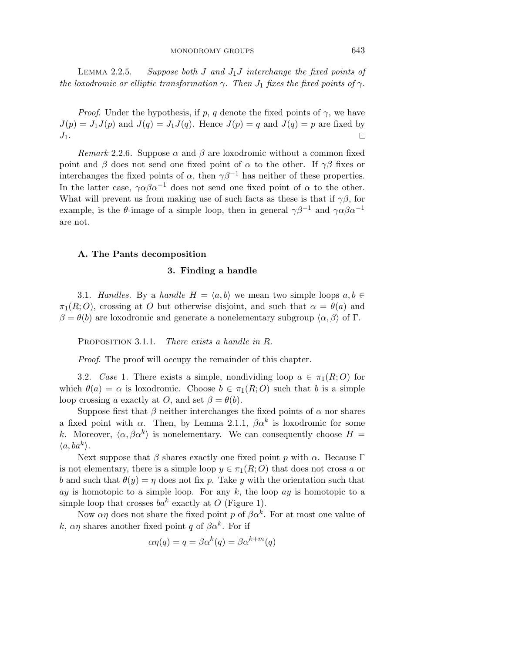LEMMA 2.2.5. Suppose both *J* and  $J_1J$  interchange the fixed points of the loxodromic or elliptic transformation  $\gamma$ . Then  $J_1$  fixes the fixed points of  $\gamma$ .

*Proof.* Under the hypothesis, if  $p$ ,  $q$  denote the fixed points of  $\gamma$ , we have  $J(p) = J_1 J(p)$  and  $J(q) = J_1 J(q)$ . Hence  $J(p) = q$  and  $J(q) = p$  are fixed by  $\Box$  $J_1$ .

Remark 2.2.6. Suppose  $\alpha$  and  $\beta$  are loxodromic without a common fixed point and *β* does not send one fixed point of  $\alpha$  to the other. If  $\gamma\beta$  fixes or interchanges the fixed points of  $\alpha$ , then  $\gamma \beta^{-1}$  has neither of these properties. In the latter case,  $\gamma \alpha \beta \alpha^{-1}$  does not send one fixed point of  $\alpha$  to the other. What will prevent us from making use of such facts as these is that if  $\gamma\beta$ , for example, is the  $\theta$ -image of a simple loop, then in general  $\gamma \beta^{-1}$  and  $\gamma \alpha \beta \alpha^{-1}$ are not.

#### **A. The Pants decomposition**

#### **3. Finding a handle**

3.1. Handles. By a handle  $H = \langle a, b \rangle$  we mean two simple loops  $a, b \in$  $\pi_1(R; O)$ , crossing at *O* but otherwise disjoint, and such that  $\alpha = \theta(a)$  and *β* = *θ*(*b*) are loxodromic and generate a nonelementary subgroup  $\langle α, β \rangle$  of Γ.

Proposition 3*.*1*.*1. There exists a handle in *R*.

Proof. The proof will occupy the remainder of this chapter.

3.2. Case 1. There exists a simple, nondividing loop  $a \in \pi_1(R;O)$  for which  $\theta(a) = \alpha$  is loxodromic. Choose  $b \in \pi_1(R; O)$  such that *b* is a simple loop crossing *a* exactly at *O*, and set  $\beta = \theta(b)$ .

Suppose first that  $\beta$  neither interchanges the fixed points of  $\alpha$  nor shares a fixed point with  $\alpha$ . Then, by Lemma 2.1.1,  $\beta \alpha^k$  is loxodromic for some *k*. Moreover,  $\langle \alpha, \beta \alpha^k \rangle$  is nonelementary. We can consequently choose  $H =$  $\langle a, ba^k \rangle$ .

Next suppose that  $\beta$  shares exactly one fixed point  $p$  with  $\alpha$ . Because  $\Gamma$ is not elementary, there is a simple loop  $y \in \pi_1(R; O)$  that does not cross *a* or *b* and such that  $\theta(y) = \eta$  does not fix *p*. Take *y* with the orientation such that *ay* is homotopic to a simple loop. For any *k*, the loop *ay* is homotopic to a simple loop that crosses  $ba^k$  exactly at *O* (Figure 1).

Now  $\alpha\eta$  does not share the fixed point *p* of  $\beta\alpha^k$ . For at most one value of *k*,  $\alpha\eta$  shares another fixed point *q* of  $\beta\alpha^k$ . For if

$$
\alpha \eta(q) = q = \beta \alpha^k(q) = \beta \alpha^{k+m}(q)
$$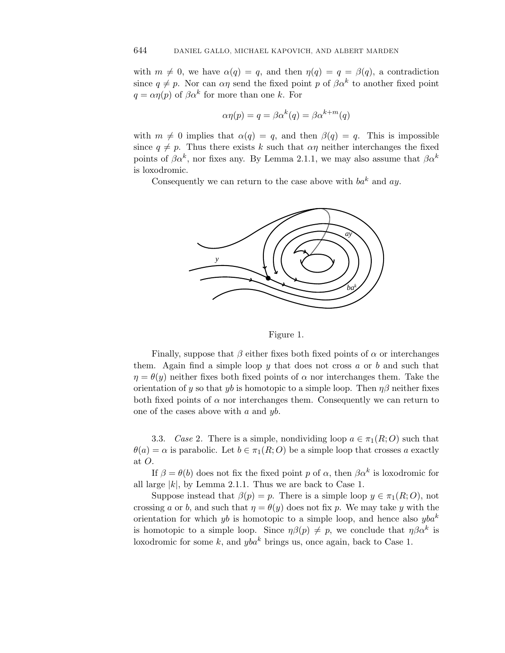with  $m \neq 0$ , we have  $\alpha(q) = q$ , and then  $\eta(q) = q = \beta(q)$ , a contradiction since  $q \neq p$ . Nor can  $\alpha \eta$  send the fixed point *p* of  $\beta \alpha^k$  to another fixed point  $q = \alpha \eta(p)$  of  $\beta \alpha^k$  for more than one *k*. For

$$
\alpha \eta(p) = q = \beta \alpha^k(q) = \beta \alpha^{k+m}(q)
$$

with  $m \neq 0$  implies that  $\alpha(q) = q$ , and then  $\beta(q) = q$ . This is impossible since  $q \neq p$ . Thus there exists k such that  $\alpha \eta$  neither interchanges the fixed points of  $\beta \alpha^k$ , nor fixes any. By Lemma 2.1.1, we may also assume that  $\beta \alpha^k$ is loxodromic.

Consequently we can return to the case above with *ba<sup>k</sup>* and *ay*.



#### Figure 1.

Finally, suppose that  $\beta$  either fixes both fixed points of  $\alpha$  or interchanges them. Again find a simple loop *y* that does not cross *a* or *b* and such that  $\eta = \theta(y)$  neither fixes both fixed points of  $\alpha$  nor interchanges them. Take the orientation of *y* so that *yb* is homotopic to a simple loop. Then  $\eta\beta$  neither fixes both fixed points of  $\alpha$  nor interchanges them. Consequently we can return to one of the cases above with *a* and *yb*.

3.3. Case 2. There is a simple, nondividing loop  $a \in \pi_1(R;O)$  such that  $\theta(a) = \alpha$  is parabolic. Let  $b \in \pi_1(R; O)$  be a simple loop that crosses *a* exactly at *O*.

If  $\beta = \theta(b)$  does not fix the fixed point *p* of *α*, then  $\beta \alpha^k$  is loxodromic for all large  $|k|$ , by Lemma 2.1.1. Thus we are back to Case 1.

Suppose instead that  $\beta(p) = p$ . There is a simple loop  $y \in \pi_1(R; O)$ , not crossing *a* or *b*, and such that  $\eta = \theta(y)$  does not fix *p*. We may take *y* with the orientation for which *yb* is homotopic to a simple loop, and hence also *yba<sup>k</sup>* is homotopic to a simple loop. Since  $\eta\beta(p) \neq p$ , we conclude that  $\eta\beta\alpha^k$  is loxodromic for some *k*, and *yba<sup>k</sup>* brings us, once again, back to Case 1.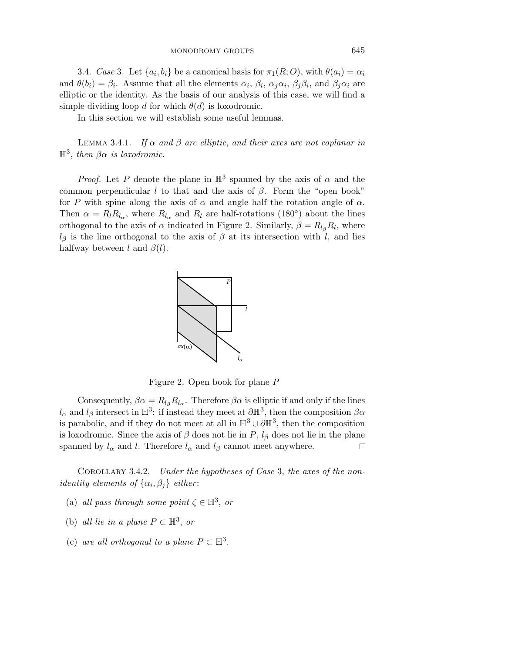3.4. Case 3. Let  $\{a_i, b_i\}$  be a canonical basis for  $\pi_1(R; O)$ , with  $\theta(a_i) = \alpha_i$ and  $\theta(b_i) = \beta_i$ . Assume that all the elements  $\alpha_i$ ,  $\beta_i$ ,  $\alpha_j \alpha_i$ ,  $\beta_j \beta_i$ , and  $\beta_j \alpha_i$  are elliptic or the identity. As the basis of our analysis of this case, we will find a simple dividing loop *d* for which  $\theta(d)$  is loxodromic.

In this section we will establish some useful lemmas.

LEMMA 3.4.1. If  $\alpha$  and  $\beta$  are elliptic, and their axes are not coplanar in  $\mathbb{H}^3$ , then  $\beta\alpha$  is loxodromic.

*Proof.* Let *P* denote the plane in  $\mathbb{H}^3$  spanned by the axis of  $\alpha$  and the common perpendicular *l* to that and the axis of  $\beta$ . Form the "open book" for *P* with spine along the axis of  $\alpha$  and angle half the rotation angle of  $\alpha$ . Then  $\alpha = R_l R_{l_{\alpha}}$ , where  $R_{l_{\alpha}}$  and  $R_l$  are half-rotations (180°) about the lines orthogonal to the axis of  $\alpha$  indicated in Figure 2. Similarly,  $\beta = R_{l_{\beta}}R_{l}$ , where  $l_\beta$  is the line orthogonal to the axis of  $\beta$  at its intersection with *l*, and lies halfway between *l* and *β*(*l*).



Figure 2. Open book for plane *P*

Consequently,  $\beta \alpha = R_{l_{\beta}} R_{l_{\alpha}}$ . Therefore  $\beta \alpha$  is elliptic if and only if the lines  $l_{\alpha}$  and  $l_{\beta}$  intersect in  $\mathbb{H}^3$ : if instead they meet at  $\partial \mathbb{H}^3$ , then the composition  $\beta \alpha$ is parabolic, and if they do not meet at all in  $\mathbb{H}^3 \cup \partial \mathbb{H}^3$ , then the composition is loxodromic. Since the axis of  $\beta$  does not lie in  $P$ ,  $l_{\beta}$  does not lie in the plane spanned by  $l_{\alpha}$  and *l*. Therefore  $l_{\alpha}$  and  $l_{\beta}$  cannot meet anywhere. □

COROLLARY 3.4.2. *Under the hypotheses of Case 3, the axes of the nonidentity elements of*  $\{\alpha_i, \beta_j\}$  *either:* 

- (a) all pass through some point  $\zeta \in \mathbb{H}^3$ , or
- (b) all lie in a plane  $P \subset \mathbb{H}^3$ , or
- (c) are all orthogonal to a plane  $P \subset \mathbb{H}^3$ .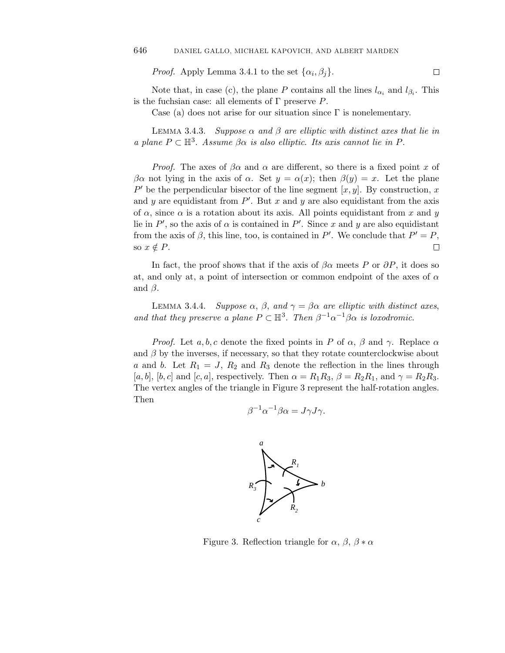*Proof.* Apply Lemma 3.4.1 to the set  $\{\alpha_i, \beta_j\}$ .

Note that, in case (c), the plane *P* contains all the lines  $l_{\alpha_i}$  and  $l_{\beta_i}$ . This is the fuchsian case: all elements of Γ preserve *P*.

Case (a) does not arise for our situation since  $\Gamma$  is nonelementary.

LEMMA 3.4.3. Suppose  $\alpha$  and  $\beta$  are elliptic with distinct axes that lie in a plane  $P \subset \mathbb{H}^3$ . Assume  $\beta \alpha$  is also elliptic. Its axis cannot lie in P.

*Proof.* The axes of  $\beta \alpha$  and  $\alpha$  are different, so there is a fixed point x of *βα* not lying in the axis of *α*. Set  $y = α(x)$ ; then  $β(y) = x$ . Let the plane  $P'$  be the perpendicular bisector of the line segment [x, y]. By construction, x and  $y$  are equidistant from  $P'$ . But  $x$  and  $y$  are also equidistant from the axis of  $\alpha$ , since  $\alpha$  is a rotation about its axis. All points equidistant from  $x$  and  $y$ lie in  $P'$ , so the axis of  $\alpha$  is contained in  $P'$ . Since  $x$  and  $y$  are also equidistant from the axis of  $\beta$ , this line, too, is contained in *P'*. We conclude that  $P' = P$ , so  $x \notin P$ .  $\Box$ 

In fact, the proof shows that if the axis of  $\beta \alpha$  meets P or  $\partial P$ , it does so at, and only at, a point of intersection or common endpoint of the axes of *α* and  $\beta$ .

LEMMA 3.4.4. Suppose  $\alpha$ ,  $\beta$ , and  $\gamma = \beta \alpha$  are elliptic with distinct axes, and that they preserve a plane  $P \subset \mathbb{H}^3$ . Then  $\beta^{-1} \alpha^{-1} \beta \alpha$  is loxodromic.

*Proof.* Let *a, b, c* denote the fixed points in *P* of  $\alpha$ ,  $\beta$  and  $\gamma$ . Replace  $\alpha$ and  $\beta$  by the inverses, if necessary, so that they rotate counterclockwise about *a* and *b*. Let  $R_1 = J$ ,  $R_2$  and  $R_3$  denote the reflection in the lines through  $[a, b]$ ,  $[b, c]$  and  $[c, a]$ , respectively. Then  $\alpha = R_1 R_3$ ,  $\beta = R_2 R_1$ , and  $\gamma = R_2 R_3$ . The vertex angles of the triangle in Figure 3 represent the half-rotation angles. Then

$$
\beta^{-1}\alpha^{-1}\beta\alpha = J\gamma J\gamma.
$$



Figure 3. Reflection triangle for  $\alpha$ ,  $\beta$ ,  $\beta * \alpha$ 

 $\Box$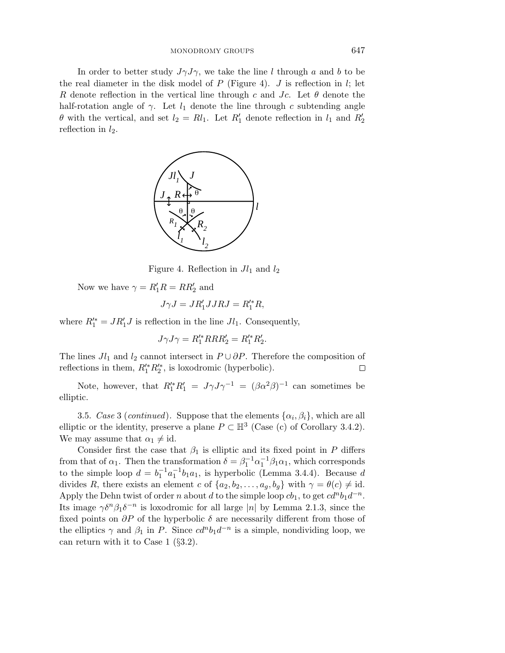In order to better study  $J\gamma J\gamma$ , we take the line *l* through *a* and *b* to be the real diameter in the disk model of  $P$  (Figure 4).  $J$  is reflection in  $l$ ; let *R* denote reflection in the vertical line through *c* and *Jc*. Let *θ* denote the half-rotation angle of  $\gamma$ . Let  $l_1$  denote the line through c subtending angle *θ* with the vertical, and set  $l_2 = Rl_1$ . Let  $R'_1$  denote reflection in  $l_1$  and  $R'_2$ reflection in *l*2.



Figure 4. Reflection in *Jl*<sup>1</sup> and *l*<sup>2</sup>

Now we have  $\gamma = R'_1 R = R R'_2$  and

$$
J\gamma J = J R_1' J J R J = R_1'^* R,
$$

where  $R_1^* = JR_1'J$  is reflection in the line  $Jl_1$ . Consequently,

$$
J\gamma J\gamma = R_1^{\prime *} R R R_2^{\prime} = R_1^{\prime *} R_2^{\prime}.
$$

The lines  $Jl_1$  and  $l_2$  cannot intersect in  $P \cup \partial P$ . Therefore the composition of reflections in them,  $R_1^{\prime*} R_2^{\prime*}$ , is loxodromic (hyperbolic).  $\Box$ 

Note, however, that  $R_1^{\prime*}R_1^{\prime} = J\gamma J\gamma^{-1} = (\beta \alpha^2 \beta)^{-1}$  can sometimes be elliptic.

3.5. Case 3 (continued). Suppose that the elements  $\{\alpha_i, \beta_i\}$ , which are all elliptic or the identity, preserve a plane  $P \subset \mathbb{H}^3$  (Case (c) of Corollary 3.4.2). We may assume that  $\alpha_1 \neq id$ .

Consider first the case that  $\beta_1$  is elliptic and its fixed point in  $P$  differs from that of  $\alpha_1$ . Then the transformation  $\delta = \beta_1^{-1} \alpha_1^{-1} \beta_1 \alpha_1$ , which corresponds to the simple loop  $d = b_1^{-1}a_1^{-1}b_1a_1$ , is hyperbolic (Lemma 3.4.4). Because *d* divides *R*, there exists an element *c* of  $\{a_2, b_2, \ldots, a_g, b_g\}$  with  $\gamma = \theta(c) \neq id$ . Apply the Dehn twist of order *n* about *d* to the simple loop  $cb_1$ , to get  $cd^n b_1 d^{-n}$ . Its image  $\gamma \delta^n \beta_1 \delta^{-n}$  is loxodromic for all large |*n*| by Lemma 2*.*1*.*3, since the fixed points on *∂P* of the hyperbolic *δ* are necessarily different from those of the elliptics  $\gamma$  and  $\beta_1$  in *P*. Since  $cd^nb_1d^{-n}$  is a simple, nondividing loop, we can return with it to Case 1  $(\S3.2)$ .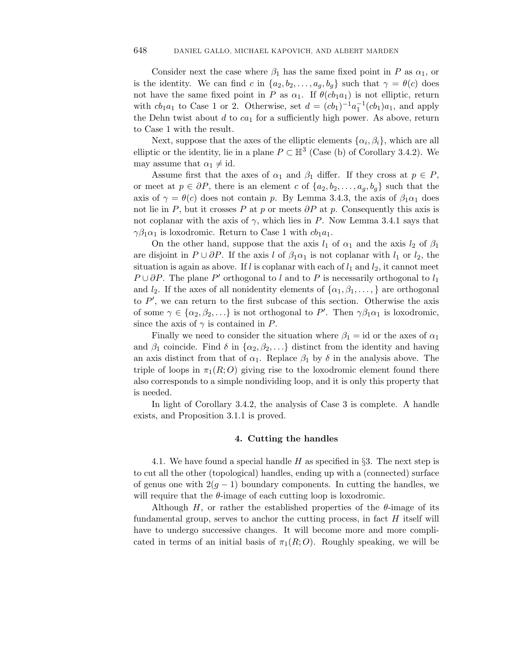Consider next the case where  $\beta_1$  has the same fixed point in *P* as  $\alpha_1$ , or is the identity. We can find *c* in  $\{a_2, b_2, \ldots, a_g, b_g\}$  such that  $\gamma = \theta(c)$  does not have the same fixed point in *P* as  $\alpha_1$ . If  $\theta$ ( $cb_1a_1$ ) is not elliptic, return with  $cb_1a_1$  to Case 1 or 2. Otherwise, set  $d = (cb_1)^{-1}a_1^{-1}(cb_1)a_1$ , and apply the Dehn twist about  $d$  to  $ca_1$  for a sufficiently high power. As above, return to Case 1 with the result.

Next, suppose that the axes of the elliptic elements  $\{\alpha_i, \beta_i\}$ , which are all elliptic or the identity, lie in a plane  $P \subset \mathbb{H}^3$  (Case (b) of Corollary 3.4.2). We may assume that  $\alpha_1 \neq id$ .

Assume first that the axes of  $\alpha_1$  and  $\beta_1$  differ. If they cross at  $p \in P$ , or meet at  $p \in \partial P$ , there is an element *c* of  $\{a_2, b_2, \ldots, a_q, b_q\}$  such that the axis of  $\gamma = \theta(c)$  does not contain *p*. By Lemma 3.4.3, the axis of  $\beta_1\alpha_1$  does not lie in *P*, but it crosses *P* at *p* or meets  $\partial P$  at *p*. Consequently this axis is not coplanar with the axis of  $\gamma$ , which lies in *P*. Now Lemma 3.4.1 says that *γ* $β_1α_1$  is loxodromic. Return to Case 1 with  $cb_1a_1$ .

On the other hand, suppose that the axis  $l_1$  of  $\alpha_1$  and the axis  $l_2$  of  $\beta_1$ are disjoint in  $P \cup \partial P$ . If the axis *l* of  $\beta_1 \alpha_1$  is not coplanar with  $l_1$  or  $l_2$ , the situation is again as above. If  $l$  is coplanar with each of  $l_1$  and  $l_2$ , it cannot meet *P* ∪  $\partial P$ . The plane *P*<sup> $\prime$ </sup> orthogonal to *l* and to *P* is necessarily orthogonal to *l*<sub>1</sub> and  $l_2$ . If the axes of all nonidentity elements of  $\{\alpha_1, \beta_1, \ldots\}$  are orthogonal to  $P'$ , we can return to the first subcase of this section. Otherwise the axis of some  $\gamma \in {\alpha_2, \beta_2, \ldots}$  is not orthogonal to *P'*. Then  $\gamma\beta_1\alpha_1$  is loxodromic, since the axis of  $\gamma$  is contained in *P*.

Finally we need to consider the situation where  $\beta_1 = id$  or the axes of  $\alpha_1$ and  $\beta_1$  coincide. Find  $\delta$  in  $\{\alpha_2, \beta_2, \ldots\}$  distinct from the identity and having an axis distinct from that of  $\alpha_1$ . Replace  $\beta_1$  by  $\delta$  in the analysis above. The triple of loops in  $\pi_1(R; O)$  giving rise to the loxodromic element found there also corresponds to a simple nondividing loop, and it is only this property that is needed.

In light of Corollary 3*.*4*.*2, the analysis of Case 3 is complete. A handle exists, and Proposition 3*.*1*.*1 is proved.

#### **4. Cutting the handles**

4.1. We have found a special handle *H* as specified in §3. The next step is to cut all the other (topological) handles, ending up with a (connected) surface of genus one with  $2(g-1)$  boundary components. In cutting the handles, we will require that the  $\theta$ -image of each cutting loop is loxodromic.

Although  $H$ , or rather the established properties of the  $\theta$ -image of its fundamental group, serves to anchor the cutting process, in fact *H* itself will have to undergo successive changes. It will become more and more complicated in terms of an initial basis of  $\pi_1(R; O)$ . Roughly speaking, we will be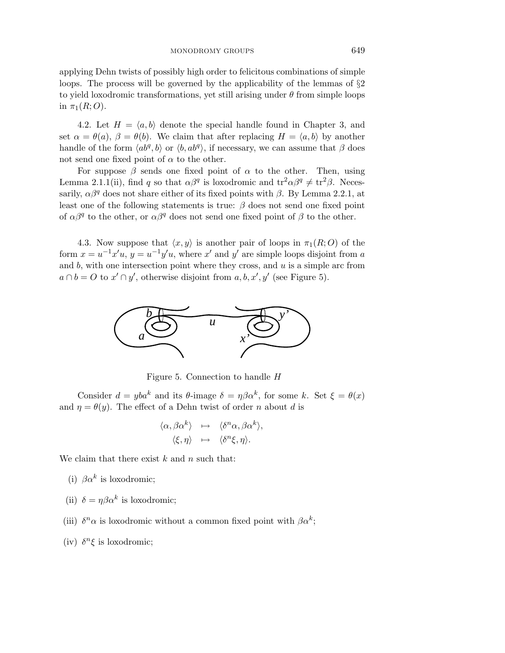applying Dehn twists of possibly high order to felicitous combinations of simple loops. The process will be governed by the applicability of the lemmas of  $\S2$ to yield loxodromic transformations, yet still arising under *θ* from simple loops in  $\pi_1(R;O)$ .

4.2. Let  $H = \langle a, b \rangle$  denote the special handle found in Chapter 3, and set  $\alpha = \theta(a)$ ,  $\beta = \theta(b)$ . We claim that after replacing  $H = \langle a, b \rangle$  by another handle of the form  $\langle ab^q, b \rangle$  or  $\langle b, ab^q \rangle$ , if necessary, we can assume that  $\beta$  does not send one fixed point of  $\alpha$  to the other.

For suppose  $\beta$  sends one fixed point of  $\alpha$  to the other. Then, using Lemma 2.1.1(ii), find *q* so that  $\alpha\beta^q$  is loxodromic and tr<sup>2</sup> $\alpha\beta^q \neq \text{tr}^2\beta$ . Necessarily,  $\alpha\beta^q$  does not share either of its fixed points with  $\beta$ . By Lemma 2.2.1, at least one of the following statements is true: *β* does not send one fixed point of  $\alpha\beta^q$  to the other, or  $\alpha\beta^q$  does not send one fixed point of  $\beta$  to the other.

4.3. Now suppose that  $\langle x, y \rangle$  is another pair of loops in  $\pi_1(R; O)$  of the form  $x = u^{-1}x'u$ ,  $y = u^{-1}y'u$ , where  $x'$  and  $y'$  are simple loops disjoint from *a* and *b*, with one intersection point where they cross, and *u* is a simple arc from  $a \cap b = O$  to  $x' \cap y'$ , otherwise disjoint from  $a, b, x', y'$  (see Figure 5).



Figure 5. Connection to handle *H*

Consider  $d = yba^k$  and its  $\theta$ -image  $\delta = \eta \beta \alpha^k$ , for some *k*. Set  $\xi = \theta(x)$ and  $\eta = \theta(y)$ . The effect of a Dehn twist of order *n* about *d* is

$$
\langle \alpha, \beta \alpha^k \rangle \quad \mapsto \quad \langle \delta^n \alpha, \beta \alpha^k \rangle, \n\langle \xi, \eta \rangle \quad \mapsto \quad \langle \delta^n \xi, \eta \rangle.
$$

We claim that there exist *k* and *n* such that:

- (i)  $\beta \alpha^k$  is loxodromic;
- (ii)  $\delta = \eta \beta \alpha^k$  is loxodromic;
- (iii)  $\delta^n \alpha$  is loxodromic without a common fixed point with  $\beta \alpha^k$ ;
- (iv)  $\delta^n \xi$  is loxodromic;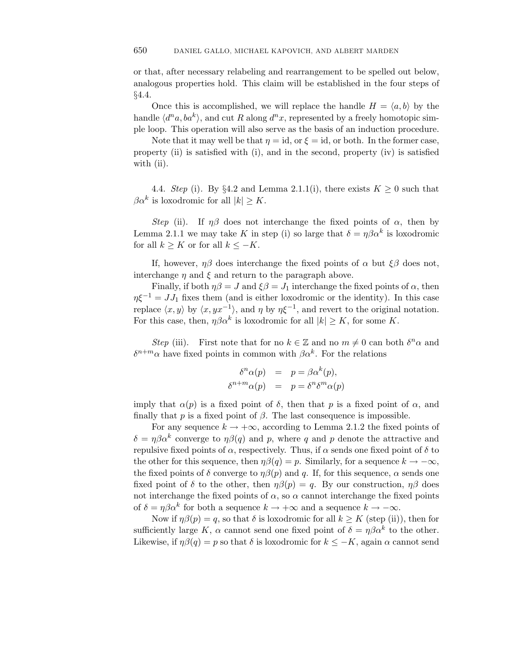or that, after necessary relabeling and rearrangement to be spelled out below, analogous properties hold. This claim will be established in the four steps of §4.4.

Once this is accomplished, we will replace the handle  $H = \langle a, b \rangle$  by the handle  $\langle d^n a, ba^k \rangle$ , and cut *R* along  $d^n x$ , represented by a freely homotopic simple loop. This operation will also serve as the basis of an induction procedure.

Note that it may well be that  $\eta = id$ , or  $\xi = id$ , or both. In the former case, property (ii) is satisfied with (i), and in the second, property (iv) is satisfied with (ii).

4.4. Step (i). By §4.2 and Lemma 2.1.1(i), there exists  $K \geq 0$  such that  $\beta \alpha^k$  is loxodromic for all  $|k| > K$ .

Step (ii). If  $\eta\beta$  does not interchange the fixed points of  $\alpha$ , then by Lemma 2.1.1 we may take *K* in step (i) so large that  $\delta = \eta \beta \alpha^k$  is loxodromic for all  $k \geq K$  or for all  $k \leq -K$ .

If, however,  $\eta\beta$  does interchange the fixed points of  $\alpha$  but  $\xi\beta$  does not, interchange  $\eta$  and  $\xi$  and return to the paragraph above.

Finally, if both  $\eta\beta = J$  and  $\xi\beta = J_1$  interchange the fixed points of  $\alpha$ , then  $\eta \xi^{-1} = J J_1$  fixes them (and is either loxodromic or the identity). In this case replace  $\langle x, y \rangle$  by  $\langle x, yx^{-1} \rangle$ , and *η* by  $\eta \xi^{-1}$ , and revert to the original notation. For this case, then,  $\eta \beta \alpha^k$  is loxodromic for all  $|k| \geq K$ , for some *K*.

Step (iii). First note that for no  $k \in \mathbb{Z}$  and no  $m \neq 0$  can both  $\delta^n \alpha$  and  $\delta^{n+m}$ *α* have fixed points in common with  $\beta \alpha^k$ . For the relations

$$
\begin{aligned}\n\delta^n \alpha(p) &= p = \beta \alpha^k(p), \\
\delta^{n+m} \alpha(p) &= p = \delta^n \delta^m \alpha(p)\n\end{aligned}
$$

imply that  $\alpha(p)$  is a fixed point of  $\delta$ , then that p is a fixed point of  $\alpha$ , and finally that  $p$  is a fixed point of  $\beta$ . The last consequence is impossible.

For any sequence  $k \to +\infty$ , according to Lemma 2.1.2 the fixed points of  $\delta = \eta \beta \alpha^k$  converge to  $\eta \beta(q)$  and *p*, where *q* and *p* denote the attractive and repulsive fixed points of *α*, respectively. Thus, if *α* sends one fixed point of *δ* to the other for this sequence, then  $\eta\beta(q) = p$ . Similarly, for a sequence  $k \to -\infty$ , the fixed points of  $\delta$  converge to  $\eta \beta(p)$  and q. If, for this sequence,  $\alpha$  sends one fixed point of  $\delta$  to the other, then  $\eta\beta(p) = q$ . By our construction,  $\eta\beta$  does not interchange the fixed points of  $\alpha$ , so  $\alpha$  cannot interchange the fixed points of  $\delta = \eta \beta \alpha^k$  for both a sequence  $k \to +\infty$  and a sequence  $k \to -\infty$ .

Now if  $\eta\beta(p) = q$ , so that  $\delta$  is loxodromic for all  $k \geq K$  (step (ii)), then for sufficiently large *K*,  $\alpha$  cannot send one fixed point of  $\delta = \eta \beta \alpha^k$  to the other. Likewise, if  $\eta\beta(q) = p$  so that  $\delta$  is loxodromic for  $k \leq -K$ , again  $\alpha$  cannot send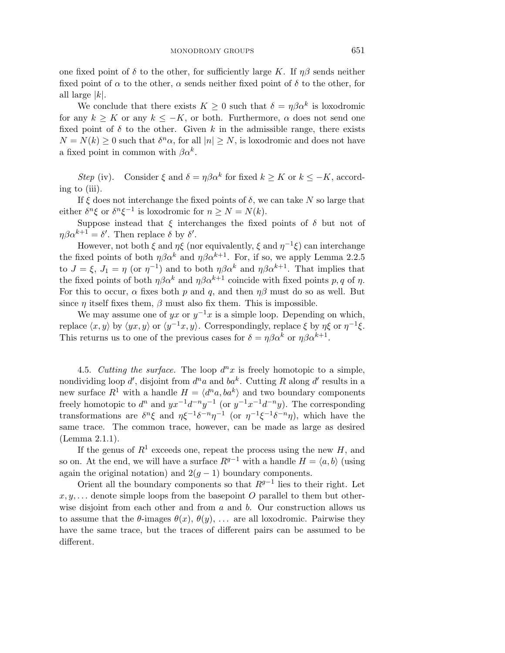one fixed point of  $\delta$  to the other, for sufficiently large *K*. If  $\eta\beta$  sends neither fixed point of  $\alpha$  to the other,  $\alpha$  sends neither fixed point of  $\delta$  to the other, for all large |*k*|.

We conclude that there exists  $K \geq 0$  such that  $\delta = \eta \beta \alpha^k$  is loxodromic for any  $k \geq K$  or any  $k \leq -K$ , or both. Furthermore,  $\alpha$  does not send one fixed point of  $\delta$  to the other. Given k in the admissible range, there exists  $N = N(k) \geq 0$  such that  $\delta^n \alpha$ , for all  $|n| \geq N$ , is loxodromic and does not have a fixed point in common with  $\beta \alpha^k$ .

Step (iv). Consider  $\xi$  and  $\delta = \eta \beta \alpha^k$  for fixed  $k \geq K$  or  $k \leq -K$ , according to (iii).

If  $\xi$  does not interchange the fixed points of  $\delta$ , we can take  $N$  so large that either  $\delta^n \xi$  or  $\delta^n \xi^{-1}$  is loxodromic for  $n > N = N(k)$ .

Suppose instead that  $\xi$  interchanges the fixed points of  $\delta$  but not of  $\eta\beta\alpha^{k+1} = \delta'$ . Then replace  $\delta$  by  $\delta'$ .

However, not both  $\xi$  and  $\eta\xi$  (nor equivalently,  $\xi$  and  $\eta^{-1}\xi$ ) can interchange the fixed points of both  $\eta \beta \alpha^k$  and  $\eta \beta \alpha^{k+1}$ . For, if so, we apply Lemma 2.2.5 to  $J = \xi$ ,  $J_1 = \eta$  (or  $\eta^{-1}$ ) and to both  $\eta \beta \alpha^k$  and  $\eta \beta \alpha^{k+1}$ . That implies that the fixed points of both  $\eta \beta \alpha^k$  and  $\eta \beta \alpha^{k+1}$  coincide with fixed points p, q of  $\eta$ . For this to occur,  $\alpha$  fixes both  $p$  and  $q$ , and then  $\eta\beta$  must do so as well. But since  $\eta$  itself fixes them,  $\beta$  must also fix them. This is impossible.

We may assume one of *yx* or  $y^{-1}x$  is a simple loop. Depending on which, replace  $\langle x, y \rangle$  by  $\langle yx, y \rangle$  or  $\langle y^{-1}x, y \rangle$ . Correspondingly, replace  $\xi$  by  $\eta \xi$  or  $\eta^{-1} \xi$ . This returns us to one of the previous cases for  $\delta = \eta \beta \alpha^k$  or  $\eta \beta \alpha^{k+1}$ .

4.5. Cutting the surface. The loop  $d^n x$  is freely homotopic to a simple, nondividing loop  $d'$ , disjoint from  $d^n a$  and  $b a^k$ . Cutting R along  $d'$  results in a new surface  $R^1$  with a handle  $H = \langle d^n a, ba^k \rangle$  and two boundary components freely homotopic to  $d^n$  and  $yx^{-1}d^{-n}y^{-1}$  (or  $y^{-1}x^{-1}d^{-n}y$ ). The corresponding transformations are  $\delta^n \xi$  and  $\eta \xi^{-1} \delta^{-n} \eta^{-1}$  (or  $\eta^{-1} \xi^{-1} \delta^{-n} \eta$ ), which have the same trace. The common trace, however, can be made as large as desired (Lemma 2*.*1*.*1).

If the genus of  $R^1$  exceeds one, repeat the process using the new *H*, and so on. At the end, we will have a surface  $R^{g-1}$  with a handle  $H = \langle a, b \rangle$  (using again the original notation) and  $2(g-1)$  boundary components.

Orient all the boundary components so that *Rg*−<sup>1</sup> lies to their right. Let *x, y, . . .* denote simple loops from the basepoint *O* parallel to them but otherwise disjoint from each other and from *a* and *b*. Our construction allows us to assume that the  $\theta$ -images  $\theta(x)$ ,  $\theta(y)$ ,  $\ldots$  are all loxodromic. Pairwise they have the same trace, but the traces of different pairs can be assumed to be different.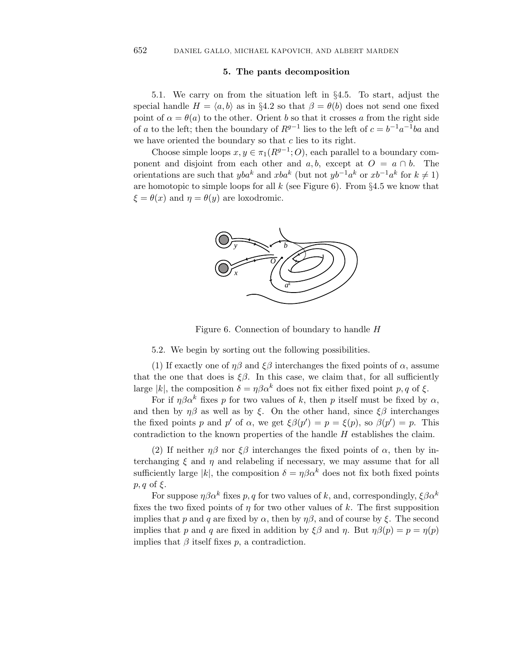## **5. The pants decomposition**

5.1. We carry on from the situation left in §4.5. To start, adjust the special handle  $H = \langle a, b \rangle$  as in §4.2 so that  $\beta = \theta(b)$  does not send one fixed point of  $\alpha = \theta(a)$  to the other. Orient *b* so that it crosses *a* from the right side of *a* to the left; then the boundary of  $R^{g-1}$  lies to the left of  $c = b^{-1}a^{-1}ba$  and we have oriented the boundary so that *c* lies to its right.

Choose simple loops  $x, y \in \pi_1(R^{g-1}; O)$ , each parallel to a boundary component and disjoint from each other and  $a, b$ , except at  $O = a \cap b$ . The orientations are such that *yba*<sup>*k*</sup> and *xba*<sup>*k*</sup> (but not  $yb^{-1}a^k$  or  $xb^{-1}a^k$  for  $k \neq 1$ ) are homotopic to simple loops for all  $k$  (see Figure 6). From  $\S 4.5$  we know that  $\xi = \theta(x)$  and  $\eta = \theta(y)$  are loxodromic.



Figure 6. Connection of boundary to handle *H*

5.2. We begin by sorting out the following possibilities.

(1) If exactly one of  $\eta\beta$  and  $\xi\beta$  interchanges the fixed points of  $\alpha$ , assume that the one that does is  $\xi \beta$ . In this case, we claim that, for all sufficiently large |k|, the composition  $\delta = \eta \beta \alpha^k$  does not fix either fixed point p, q of  $\xi$ .

For if  $\eta \beta \alpha^k$  fixes *p* for two values of *k*, then *p* itself must be fixed by  $\alpha$ , and then by  $\eta\beta$  as well as by *ξ*. On the other hand, since  $\xi\beta$  interchanges the fixed points *p* and *p'* of *α*, we get  $\xi \beta(p') = p = \xi(p)$ , so  $\beta(p') = p$ . This contradiction to the known properties of the handle *H* establishes the claim.

(2) If neither  $\eta\beta$  nor  $\xi\beta$  interchanges the fixed points of  $\alpha$ , then by interchanging  $\xi$  and  $\eta$  and relabeling if necessary, we may assume that for all sufficiently large |k|, the composition  $\delta = \eta \beta \alpha^k$  does not fix both fixed points *p, q* of *ξ*.

For suppose  $\eta \beta \alpha^k$  fixes p, q for two values of k, and, correspondingly,  $\xi \beta \alpha^k$ fixes the two fixed points of  $\eta$  for two other values of  $k$ . The first supposition implies that *p* and *q* are fixed by  $\alpha$ , then by  $\eta\beta$ , and of course by  $\xi$ . The second implies that *p* and *q* are fixed in addition by  $\xi \beta$  and *η*. But  $\eta \beta(p) = p = \eta(p)$ implies that  $\beta$  itself fixes  $p$ , a contradiction.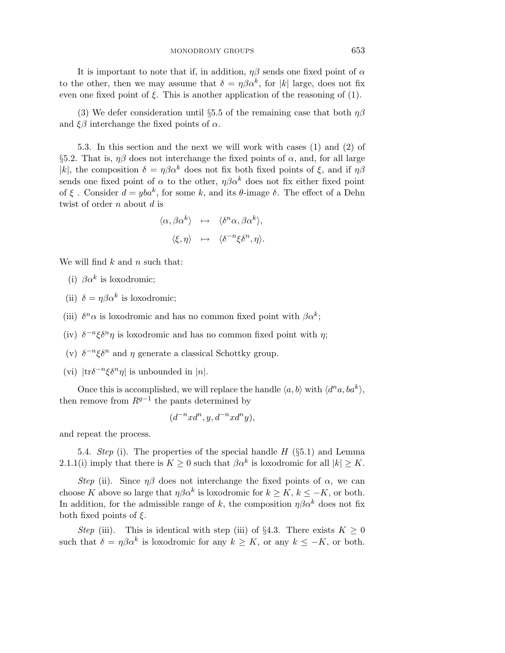It is important to note that if, in addition,  $\eta\beta$  sends one fixed point of  $\alpha$ to the other, then we may assume that  $\delta = \eta \beta \alpha^k$ , for |k| large, does not fix even one fixed point of  $\xi$ . This is another application of the reasoning of (1).

(3) We defer consideration until §5.5 of the remaining case that both *ηβ* and  $\xi\beta$  interchange the fixed points of  $\alpha$ .

5.3. In this section and the next we will work with cases (1) and (2) of §5.2. That is,  $\eta\beta$  does not interchange the fixed points of  $\alpha$ , and, for all large |k|, the composition  $\delta = \eta \beta \alpha^k$  does not fix both fixed points of  $\xi$ , and if  $\eta \beta$ sends one fixed point of  $\alpha$  to the other,  $\eta \beta \alpha^k$  does not fix either fixed point of *ξ* . Consider  $d = yba^k$ , for some *k*, and its *θ*-image *δ*. The effect of a Dehn twist of order *n* about *d* is

$$
\langle \alpha, \beta \alpha^k \rangle \rightarrow \langle \delta^n \alpha, \beta \alpha^k \rangle,
$$
  

$$
\langle \xi, \eta \rangle \rightarrow \langle \delta^{-n} \xi \delta^n, \eta \rangle.
$$

We will find *k* and *n* such that:

(i)  $\beta \alpha^k$  is loxodromic;

- (ii)  $\delta = \eta \beta \alpha^k$  is loxodromic;
- (iii)  $\delta^n \alpha$  is loxodromic and has no common fixed point with  $\beta \alpha^k$ ;
- (iv)  $\delta^{-n}\xi\delta^{n}\eta$  is loxodromic and has no common fixed point with  $\eta$ ;
- (v)  $\delta^{-n}\xi\delta^{n}$  and  $\eta$  generate a classical Schottky group.

(vi)  $|\text{tr}\delta^{-n}\xi\delta^{n}\eta|$  is unbounded in |n|.

Once this is accomplished, we will replace the handle  $\langle a, b \rangle$  with  $\langle d^n a, ba^k \rangle$ , then remove from  $R^{g-1}$  the pants determined by

$$
(d^{-n}xd^n, y, d^{-n}xd^ny),
$$

and repeat the process.

5.4. Step (i). The properties of the special handle *H* (§5.1) and Lemma 2.1.1(i) imply that there is  $K \geq 0$  such that  $\beta \alpha^k$  is loxodromic for all  $|k| \geq K$ .

Step (ii). Since  $\eta\beta$  does not interchange the fixed points of  $\alpha$ , we can choose *K* above so large that  $\eta \beta \alpha^k$  is loxodromic for  $k \geq K$ ,  $k \leq -K$ , or both. In addition, for the admissible range of k, the composition  $\eta \beta \alpha^k$  does not fix both fixed points of *ξ*.

Step (iii). This is identical with step (iii) of §4.3. There exists  $K \geq 0$ such that  $\delta = \eta \beta \alpha^k$  is loxodromic for any  $k \geq K$ , or any  $k \leq -K$ , or both.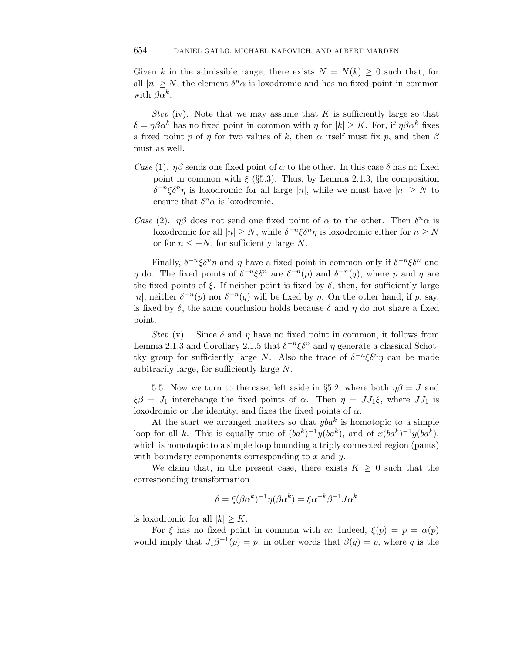Given *k* in the admissible range, there exists  $N = N(k) \geq 0$  such that, for all  $|n| > N$ , the element  $\delta^n \alpha$  is loxodromic and has no fixed point in common with  $\beta \alpha^k$ .

*Step* (iv). Note that we may assume that  $K$  is sufficiently large so that  $\delta = \eta \beta \alpha^k$  has no fixed point in common with  $\eta$  for  $|k| \geq K$ . For, if  $\eta \beta \alpha^k$  fixes a fixed point *p* of *η* for two values of *k*, then  $\alpha$  itself must fix *p*, and then  $\beta$ must as well.

- Case (1).  $\eta\beta$  sends one fixed point of  $\alpha$  to the other. In this case  $\delta$  has no fixed point in common with  $\xi$  (§5.3). Thus, by Lemma 2.1.3, the composition *δ*<sup>−*n*</sup>ξδ<sup>*n*</sup>*η* is loxodromic for all large |*n*|, while we must have  $|n|$  ≥ *N* to ensure that  $\delta^n \alpha$  is loxodromic.
- Case (2). *ηβ* does not send one fixed point of  $\alpha$  to the other. Then  $\delta^n \alpha$  is loxodromic for all  $|n| > N$ , while  $\delta^{-n}\xi\delta^{n}\eta$  is loxodromic either for  $n > N$ or for *n* ≤ −*N*, for sufficiently large *N*.

Finally,  $\delta^{-n}\xi\delta^{n}\eta$  and  $\eta$  have a fixed point in common only if  $\delta^{-n}\xi\delta^{n}$  and *η* do. The fixed points of  $\delta^{-n}\xi\delta^n$  are  $\delta^{-n}(p)$  and  $\delta^{-n}(q)$ , where *p* and *q* are the fixed points of  $\xi$ . If neither point is fixed by  $\delta$ , then, for sufficiently large |n|, neither  $\delta^{-n}(p)$  nor  $\delta^{-n}(q)$  will be fixed by *η*. On the other hand, if *p*, say, is fixed by  $\delta$ , the same conclusion holds because  $\delta$  and  $\eta$  do not share a fixed point.

*Step* (v). Since  $\delta$  and  $\eta$  have no fixed point in common, it follows from Lemma 2.1.3 and Corollary 2.1.5 that  $\delta^{-n}\xi\delta^n$  and  $\eta$  generate a classical Schottky group for sufficiently large *N*. Also the trace of  $\delta^{-n}\xi\delta^{n}\eta$  can be made arbitrarily large, for sufficiently large *N*.

5.5. Now we turn to the case, left aside in §5.2, where both  $\eta\beta = J$  and  $\xi \beta = J_1$  interchange the fixed points of *α*. Then  $\eta = JJ_1\xi$ , where  $JJ_1$  is loxodromic or the identity, and fixes the fixed points of *α*.

At the start we arranged matters so that  $yba^k$  is homotopic to a simple loop for all *k*. This is equally true of  $(ba^k)^{-1}y(ba^k)$ , and of  $x(ba^k)^{-1}y(ba^k)$ , which is homotopic to a simple loop bounding a triply connected region (pants) with boundary components corresponding to *x* and *y*.

We claim that, in the present case, there exists  $K \geq 0$  such that the corresponding transformation

$$
\delta = \xi(\beta \alpha^k)^{-1} \eta(\beta \alpha^k) = \xi \alpha^{-k} \beta^{-1} J \alpha^k
$$

is loxodromic for all  $|k| \geq K$ .

For  $\xi$  has no fixed point in common with  $\alpha$ : Indeed,  $\xi(p) = p = \alpha(p)$ would imply that  $J_1\beta^{-1}(p) = p$ , in other words that  $\beta(q) = p$ , where *q* is the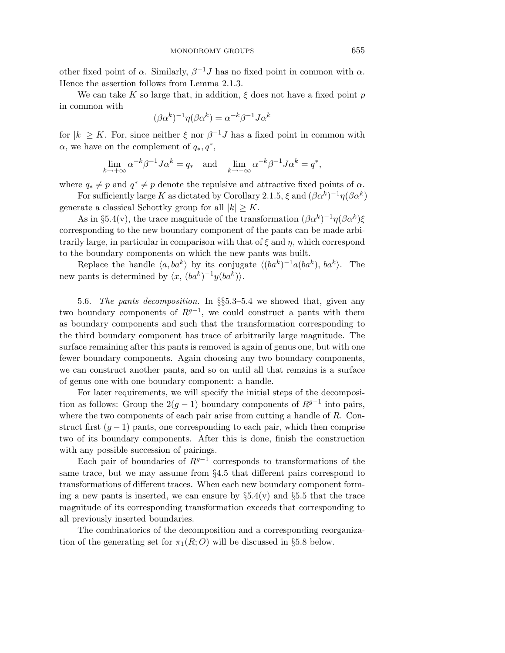other fixed point of  $\alpha$ . Similarly,  $\beta^{-1}J$  has no fixed point in common with  $\alpha$ . Hence the assertion follows from Lemma 2*.*1*.*3.

We can take K so large that, in addition,  $\xi$  does not have a fixed point p in common with

$$
(\beta \alpha^k)^{-1} \eta (\beta \alpha^k) = \alpha^{-k} \beta^{-1} J \alpha^k
$$

for  $|k| \geq K$ . For, since neither  $\xi$  nor  $\beta^{-1}J$  has a fixed point in common with *α*, we have on the complement of *q*∗*, q*∗,

$$
\lim_{k \to +\infty} \alpha^{-k} \beta^{-1} J \alpha^{k} = q_{*} \quad \text{and} \quad \lim_{k \to -\infty} \alpha^{-k} \beta^{-1} J \alpha^{k} = q^{*},
$$

where  $q_* \neq p$  and  $q^* \neq p$  denote the repulsive and attractive fixed points of  $\alpha$ .

For sufficiently large *K* as dictated by Corollary 2.1.5,  $\xi$  and  $(\beta \alpha^k)^{-1} \eta (\beta \alpha^k)$ generate a classical Schottky group for all  $|k| \geq K$ .

As in §5.4(v), the trace magnitude of the transformation  $(\beta \alpha^k)^{-1} \eta (\beta \alpha^k) \xi$ corresponding to the new boundary component of the pants can be made arbitrarily large, in particular in comparison with that of *ξ* and *η*, which correspond to the boundary components on which the new pants was built.

Replace the handle  $\langle a, ba^k \rangle$  by its conjugate  $\langle (ba^k)^{-1}a(ba^k), ba^k \rangle$ . The new pants is determined by  $\langle x, (ba^k)^{-1}y(ba^k) \rangle$ .

5.6. The pants decomposition. In §§5.3–5.4 we showed that, given any two boundary components of  $R^{g-1}$ , we could construct a pants with them as boundary components and such that the transformation corresponding to the third boundary component has trace of arbitrarily large magnitude. The surface remaining after this pants is removed is again of genus one, but with one fewer boundary components. Again choosing any two boundary components, we can construct another pants, and so on until all that remains is a surface of genus one with one boundary component: a handle.

For later requirements, we will specify the initial steps of the decomposition as follows: Group the  $2(g-1)$  boundary components of  $R^{g-1}$  into pairs, where the two components of each pair arise from cutting a handle of *R*. Construct first  $(q-1)$  pants, one corresponding to each pair, which then comprise two of its boundary components. After this is done, finish the construction with any possible succession of pairings.

Each pair of boundaries of  $R^{g-1}$  corresponds to transformations of the same trace, but we may assume from §4.5 that different pairs correspond to transformations of different traces. When each new boundary component forming a new pants is inserted, we can ensure by  $\S 5.4(v)$  and  $\S 5.5$  that the trace magnitude of its corresponding transformation exceeds that corresponding to all previously inserted boundaries.

The combinatorics of the decomposition and a corresponding reorganization of the generating set for  $\pi_1(R; O)$  will be discussed in §5.8 below.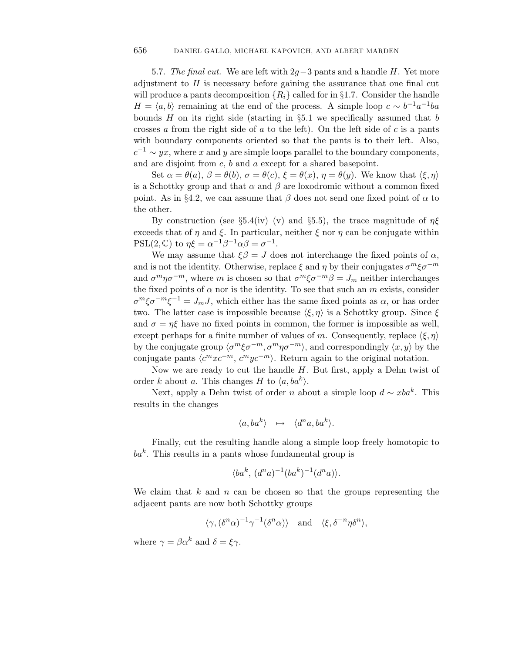5.7. The final cut. We are left with 2*g*−3 pants and a handle *H*. Yet more adjustment to *H* is necessary before gaining the assurance that one final cut will produce a pants decomposition  ${R_i}$  called for in §1.7. Consider the handle  $H = \langle a, b \rangle$  remaining at the end of the process. A simple loop  $c \sim b^{-1}a^{-1}ba$ bounds *H* on its right side (starting in §5.1 we specifically assumed that *b* crosses *a* from the right side of *a* to the left). On the left side of *c* is a pants with boundary components oriented so that the pants is to their left. Also,  $c^{-1} \sim yx$ , where *x* and *y* are simple loops parallel to the boundary components, and are disjoint from *c*, *b* and *a* except for a shared basepoint.

Set  $\alpha = \theta(a), \beta = \theta(b), \sigma = \theta(c), \xi = \theta(x), \eta = \theta(y)$ . We know that  $\langle \xi, \eta \rangle$ is a Schottky group and that  $\alpha$  and  $\beta$  are loxodromic without a common fixed point. As in §4.2, we can assume that  $\beta$  does not send one fixed point of  $\alpha$  to the other.

By construction (see  $\S 5.4(iv)$ –(v) and  $\S 5.5$ ), the trace magnitude of  $\eta \xi$ exceeds that of *η* and  $\xi$ . In particular, neither  $\xi$  nor *η* can be conjugate within  $PSL(2,\mathbb{C})$  to  $\eta \xi = \alpha^{-1} \beta^{-1} \alpha \beta = \sigma^{-1}$ .

We may assume that  $\xi \beta = J$  does not interchange the fixed points of  $\alpha$ , and is not the identity. Otherwise, replace  $\xi$  and  $\eta$  by their conjugates  $\sigma^m \xi \sigma^{-m}$ and  $\sigma^m \eta \sigma^{-m}$ , where *m* is chosen so that  $\sigma^m \xi \sigma^{-m} \beta = J_m$  neither interchanges the fixed points of  $\alpha$  nor is the identity. To see that such an  $m$  exists, consider  $\sigma^{m}\xi\sigma^{-m}\xi^{-1} = J_{m}J$ , which either has the same fixed points as  $\alpha$ , or has order two. The latter case is impossible because  $\langle \xi, \eta \rangle$  is a Schottky group. Since  $\xi$ and  $\sigma = \eta \xi$  have no fixed points in common, the former is impossible as well, except perhaps for a finite number of values of *m*. Consequently, replace  $\langle \xi, \eta \rangle$ by the conjugate group  $\langle \sigma^m \xi \sigma^{-m}, \sigma^m \eta \sigma^{-m} \rangle$ , and correspondingly  $\langle x, y \rangle$  by the conjugate pants  $\langle c^m x c^{-m}, c^m y c^{-m} \rangle$ . Return again to the original notation.

Now we are ready to cut the handle *H*. But first, apply a Dehn twist of order *k* about *a*. This changes *H* to  $\langle a, ba^k \rangle$ .

Next, apply a Dehn twist of order *n* about a simple loop  $d \sim xba^k$ . This results in the changes

$$
\langle a, ba^k \rangle \quad \mapsto \quad \langle d^n a, ba^k \rangle.
$$

Finally, cut the resulting handle along a simple loop freely homotopic to  $ba^k$ . This results in a pants whose fundamental group is

$$
\langle ba^k, (d^n a)^{-1} (ba^k)^{-1} (d^n a) \rangle.
$$

We claim that *k* and *n* can be chosen so that the groups representing the adjacent pants are now both Schottky groups

$$
\langle \gamma, (\delta^n \alpha)^{-1} \gamma^{-1} (\delta^n \alpha) \rangle
$$
 and  $\langle \xi, \delta^{-n} \eta \delta^n \rangle$ ,

where  $\gamma = \beta \alpha^k$  and  $\delta = \xi \gamma$ .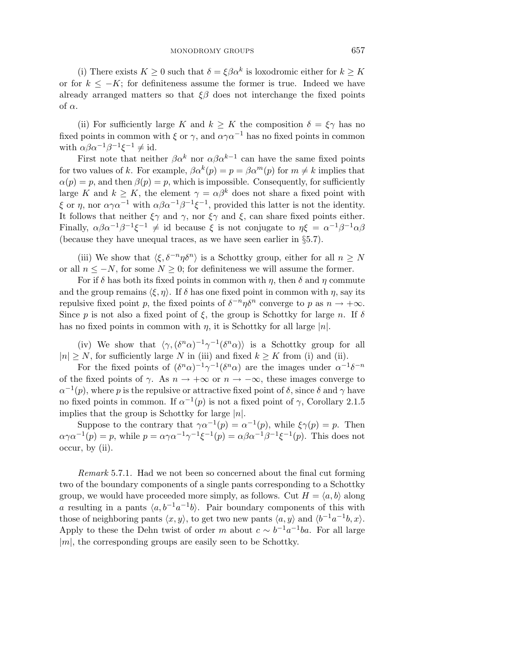(i) There exists  $K \geq 0$  such that  $\delta = \xi \beta \alpha^k$  is loxodromic either for  $k \geq K$ or for  $k \leq -K$ ; for definiteness assume the former is true. Indeed we have already arranged matters so that  $\xi\beta$  does not interchange the fixed points of *α*.

(ii) For sufficiently large *K* and  $k \geq K$  the composition  $\delta = \xi \gamma$  has no fixed points in common with  $\xi$  or  $\gamma$ , and  $\alpha \gamma \alpha^{-1}$  has no fixed points in common with  $\alpha \beta \alpha^{-1} \beta^{-1} \xi^{-1} \neq id$ .

First note that neither  $\beta \alpha^k$  nor  $\alpha \beta \alpha^{k-1}$  can have the same fixed points for two values of *k*. For example,  $\beta \alpha^k(p) = p = \beta \alpha^m(p)$  for  $m \neq k$  implies that  $\alpha(p) = p$ , and then  $\beta(p) = p$ , which is impossible. Consequently, for sufficiently large *K* and  $k \geq K$ , the element  $\gamma = \alpha \beta^k$  does not share a fixed point with *ξ* or *η*, nor  $\alpha \gamma \alpha^{-1}$  with  $\alpha \beta \alpha^{-1} \beta^{-1} \xi^{-1}$ , provided this latter is not the identity. It follows that neither  $\xi \gamma$  and  $\gamma$ , nor  $\xi \gamma$  and  $\xi$ , can share fixed points either. Finally,  $\alpha \beta \alpha^{-1} \beta^{-1} \xi^{-1} \neq \text{id}$  because  $\xi$  is not conjugate to  $\eta \xi = \alpha^{-1} \beta^{-1} \alpha \beta$ (because they have unequal traces, as we have seen earlier in §5.7).

(iii) We show that  $\langle \xi, \delta^{-n} \eta \delta^n \rangle$  is a Schottky group, either for all  $n \geq N$ or all  $n \leq -N$ , for some  $N \geq 0$ ; for definiteness we will assume the former.

For if  $\delta$  has both its fixed points in common with  $\eta$ , then  $\delta$  and  $\eta$  commute and the group remains  $\langle \xi, \eta \rangle$ . If  $\delta$  has one fixed point in common with  $\eta$ , say its repulsive fixed point *p*, the fixed points of  $\delta^{-n}\eta\delta^n$  converge to *p* as  $n \to +\infty$ . Since *p* is not also a fixed point of  $\xi$ , the group is Schottky for large *n*. If  $\delta$ has no fixed points in common with  $\eta$ , it is Schottky for all large  $|n|$ .

(iv) We show that  $\langle \gamma, (\delta^n \alpha)^{-1} \gamma^{-1} (\delta^n \alpha) \rangle$  is a Schottky group for all  $|n| \geq N$ , for sufficiently large *N* in (iii) and fixed  $k \geq K$  from (i) and (ii).

For the fixed points of  $(\delta^n \alpha)^{-1} \gamma^{-1} (\delta^n \alpha)$  are the images under  $\alpha^{-1} \delta^{-n}$ of the fixed points of  $\gamma$ . As  $n \to +\infty$  or  $n \to -\infty$ , these images converge to  $\alpha^{-1}(p)$ , where *p* is the repulsive or attractive fixed point of *δ*, since *δ* and *γ* have no fixed points in common. If  $\alpha^{-1}(p)$  is not a fixed point of  $\gamma$ , Corollary 2*.*1*.5* implies that the group is Schottky for large |*n*|.

Suppose to the contrary that  $\gamma \alpha^{-1}(p) = \alpha^{-1}(p)$ , while  $\xi \gamma(p) = p$ . Then  $a\gamma a^{-1}(p) = p$ , while  $p = a\gamma a^{-1}\gamma^{-1}\xi^{-1}(p) = a\beta a^{-1}\beta^{-1}\xi^{-1}(p)$ . This does not occur, by (ii).

Remark 5.7.1. Had we not been so concerned about the final cut forming two of the boundary components of a single pants corresponding to a Schottky group, we would have proceeded more simply, as follows. Cut  $H = \langle a, b \rangle$  along *a* resulting in a pants  $\langle a, b^{-1}a^{-1}b \rangle$ . Pair boundary components of this with those of neighboring pants  $\langle x, y \rangle$ , to get two new pants  $\langle a, y \rangle$  and  $\langle b^{-1}a^{-1}b, x \rangle$ . Apply to these the Dehn twist of order *m* about  $c \sim b^{-1}a^{-1}ba$ . For all large |*m*|, the corresponding groups are easily seen to be Schottky.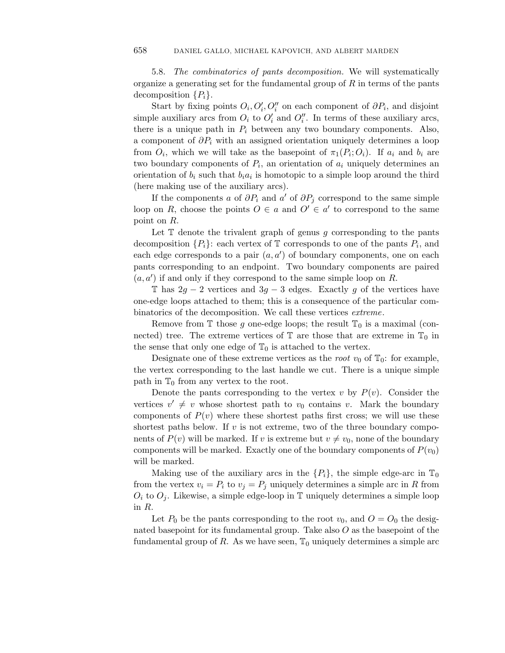5.8. The combinatorics of pants decomposition. We will systematically organize a generating set for the fundamental group of *R* in terms of the pants decomposition  $\{P_i\}$ .

Start by fixing points  $O_i$ ,  $O_i'$ ,  $O_i''$  on each component of  $\partial P_i$ , and disjoint simple auxiliary arcs from  $O_i$  to  $O'_i$  and  $O''_i$ . In terms of these auxiliary arcs, there is a unique path in  $P_i$  between any two boundary components. Also, a component of  $\partial P_i$  with an assigned orientation uniquely determines a loop from  $O_i$ , which we will take as the basepoint of  $\pi_1(P_i; O_i)$ . If  $a_i$  and  $b_i$  are two boundary components of  $P_i$ , an orientation of  $a_i$  uniquely determines an orientation of  $b_i$  such that  $b_i a_i$  is homotopic to a simple loop around the third (here making use of the auxiliary arcs).

If the components *a* of  $\partial P_i$  and *a'* of  $\partial P_j$  correspond to the same simple loop on *R*, choose the points  $O \in a$  and  $O' \in a'$  to correspond to the same point on *R*.

Let  $T$  denote the trivalent graph of genus  $g$  corresponding to the pants decomposition  $\{P_i\}$ : each vertex of  $\mathbb T$  corresponds to one of the pants  $P_i$ , and each edge corresponds to a pair  $(a, a')$  of boundary components, one on each pants corresponding to an endpoint. Two boundary components are paired  $(a, a')$  if and only if they correspond to the same simple loop on *R*.

T has  $2g - 2$  vertices and  $3g - 3$  edges. Exactly g of the vertices have one-edge loops attached to them; this is a consequence of the particular combinatorics of the decomposition. We call these vertices extreme.

Remove from  $\mathbb T$  those g one-edge loops; the result  $\mathbb T_0$  is a maximal (connected) tree. The extreme vertices of  $\mathbb T$  are those that are extreme in  $\mathbb T_0$  in the sense that only one edge of  $\mathbb{T}_0$  is attached to the vertex.

Designate one of these extreme vertices as the *root*  $v_0$  of  $\mathbb{T}_0$ : for example, the vertex corresponding to the last handle we cut. There is a unique simple path in  $\mathbb{T}_0$  from any vertex to the root.

Denote the pants corresponding to the vertex *v* by  $P(v)$ . Consider the vertices  $v' \neq v$  whose shortest path to  $v_0$  contains *v*. Mark the boundary components of  $P(v)$  where these shortest paths first cross; we will use these shortest paths below. If *v* is not extreme, two of the three boundary components of  $P(v)$  will be marked. If *v* is extreme but  $v \neq v_0$ , none of the boundary components will be marked. Exactly one of the boundary components of  $P(v_0)$ will be marked.

Making use of the auxiliary arcs in the  $\{P_i\}$ , the simple edge-arc in  $\mathbb{T}_0$ from the vertex  $v_i = P_i$  to  $v_j = P_j$  uniquely determines a simple arc in R from  $O_i$  to  $O_j$ . Likewise, a simple edge-loop in  $\mathbb T$  uniquely determines a simple loop in *R*.

Let  $P_0$  be the pants corresponding to the root  $v_0$ , and  $O = O_0$  the designated basepoint for its fundamental group. Take also *O* as the basepoint of the fundamental group of R. As we have seen,  $\mathbb{T}_0$  uniquely determines a simple arc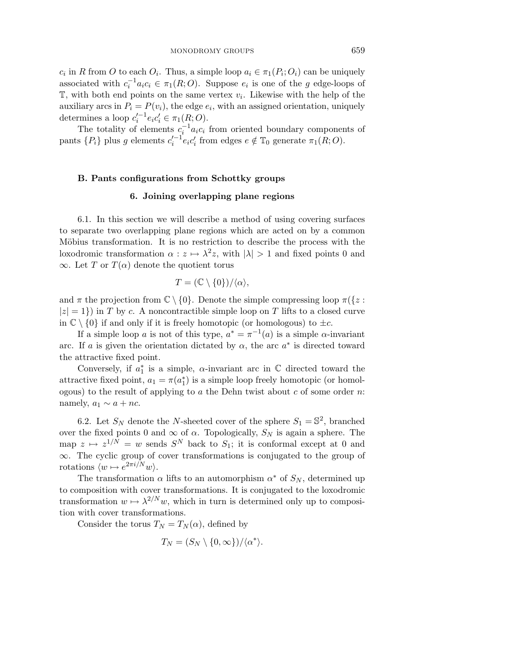*c<sub>i</sub>* in *R* from *O* to each  $O_i$ . Thus, a simple loop  $a_i \in \pi_1(P_i; O_i)$  can be uniquely associated with  $c_i^{-1}a_ic_i \in \pi_1(R;O)$ . Suppose  $e_i$  is one of the *g* edge-loops of  $\mathbb{T}$ , with both end points on the same vertex  $v_i$ . Likewise with the help of the auxiliary arcs in  $P_i = P(v_i)$ , the edge  $e_i$ , with an assigned orientation, uniquely determines a loop  $c_i'^{-1}e_ic_i' \in \pi_1(R;O)$ .

The totality of elements  $c_i^{-1} a_i c_i$  from oriented boundary components of pants  $\{P_i\}$  plus *g* elements  $c_i'^{-1}e_ic_i'$  from edges  $e \notin \mathbb{T}_0$  generate  $\pi_1(R; O)$ .

#### **B. Pants configurations from Schottky groups**

#### **6. Joining overlapping plane regions**

6.1. In this section we will describe a method of using covering surfaces to separate two overlapping plane regions which are acted on by a common Möbius transformation. It is no restriction to describe the process with the loxodromic transformation  $\alpha : z \mapsto \lambda^2 z$ , with  $|\lambda| > 1$  and fixed points 0 and  $\infty$ . Let *T* or  $T(\alpha)$  denote the quotient torus

$$
T = (\mathbb{C} \setminus \{0\})/\langle \alpha \rangle,
$$

and  $\pi$  the projection from  $\mathbb{C} \setminus \{0\}$ . Denote the simple compressing loop  $\pi(\{z :$  $|z| = 1$ ) in *T* by *c*. A noncontractible simple loop on *T* lifts to a closed curve in  $\mathbb{C} \setminus \{0\}$  if and only if it is freely homotopic (or homologous) to  $\pm c$ .

If a simple loop *a* is not of this type,  $a^* = \pi^{-1}(a)$  is a simple  $\alpha$ -invariant arc. If *a* is given the orientation dictated by  $\alpha$ , the arc  $a^*$  is directed toward the attractive fixed point.

Conversely, if  $a_1^*$  is a simple,  $\alpha$ -invariant arc in  $\mathbb C$  directed toward the attractive fixed point,  $a_1 = \pi(a_1^*)$  is a simple loop freely homotopic (or homologous) to the result of applying to *a* the Dehn twist about *c* of some order *n*: namely,  $a_1 \sim a + nc$ .

6.2. Let  $S_N$  denote the *N*-sheeted cover of the sphere  $S_1 = \mathbb{S}^2$ , branched over the fixed points 0 and  $\infty$  of  $\alpha$ . Topologically,  $S_N$  is again a sphere. The map  $z \mapsto z^{1/N} = w$  sends  $S^N$  back to  $S_1$ ; it is conformal except at 0 and ∞. The cyclic group of cover transformations is conjugated to the group of rotations  $\langle w \mapsto e^{2\pi i/N}w \rangle$ .

The transformation  $\alpha$  lifts to an automorphism  $\alpha^*$  of  $S_N$ , determined up to composition with cover transformations. It is conjugated to the loxodromic transformation  $w \mapsto \lambda^{2/N} w$ , which in turn is determined only up to composition with cover transformations.

Consider the torus  $T_N = T_N(\alpha)$ , defined by

$$
T_N = (S_N \setminus \{0, \infty\})/\langle \alpha^* \rangle.
$$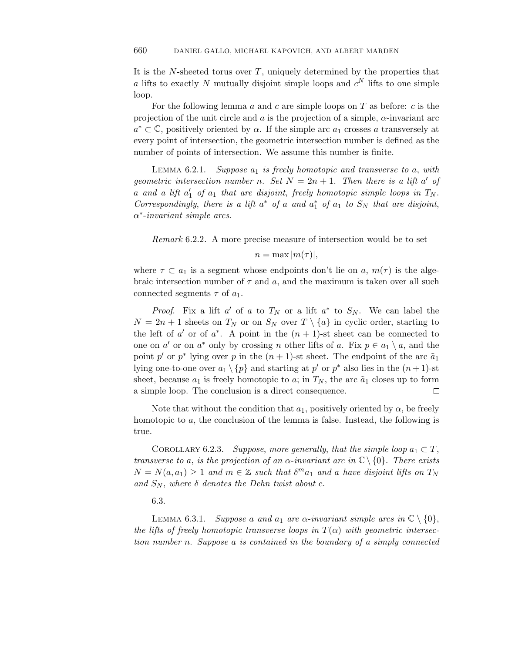It is the *N*-sheeted torus over *T*, uniquely determined by the properties that *a* lifts to exactly *N* mutually disjoint simple loops and  $c^N$  lifts to one simple loop.

For the following lemma *a* and *c* are simple loops on *T* as before: *c* is the projection of the unit circle and *a* is the projection of a simple, *α*-invariant arc  $a^* \subset \mathbb{C}$ , positively oriented by  $\alpha$ . If the simple arc  $a_1$  crosses  $a$  transversely at every point of intersection, the geometric intersection number is defined as the number of points of intersection. We assume this number is finite.

Lemma 6*.*2*.*1. Suppose *a*<sup>1</sup> is freely homotopic and transverse to *a*, with geometric intersection number *n*. Set  $N = 2n + 1$ . Then there is a lift *a'* of  $a$  and  $a$  lift  $a'_1$  of  $a_1$  that are disjoint, freely homotopic simple loops in  $T_N$ . Correspondingly, there is a lift  $a^*$  of a and  $a_1^*$  of  $a_1$  to  $S_N$  that are disjoint, *α*∗-invariant simple arcs.

Remark 6.2.2. A more precise measure of intersection would be to set

# $n = \max |m(\tau)|$ ,

where  $\tau \subset a_1$  is a segment whose endpoints don't lie on a,  $m(\tau)$  is the algebraic intersection number of  $\tau$  and  $a$ , and the maximum is taken over all such connected segments *τ* of *a*1.

*Proof.* Fix a lift  $a'$  of  $a$  to  $T_N$  or a lift  $a^*$  to  $S_N$ . We can label the  $N = 2n + 1$  sheets on  $T_N$  or on  $S_N$  over  $T \setminus \{a\}$  in cyclic order, starting to the left of *a'* or of  $a^*$ . A point in the  $(n + 1)$ -st sheet can be connected to one on *a'* or on *a*<sup>\*</sup> only by crossing *n* other lifts of *a*. Fix  $p \in a_1 \setminus a$ , and the point *p'* or *p*<sup>∗</sup> lying over *p* in the  $(n + 1)$ -st sheet. The endpoint of the arc  $\tilde{a}_1$ lying one-to-one over  $a_1 \setminus \{p\}$  and starting at  $p'$  or  $p^*$  also lies in the  $(n+1)$ -st sheet, because  $a_1$  is freely homotopic to  $a$ ; in  $T_N$ , the arc  $\tilde{a}_1$  closes up to form a simple loop. The conclusion is a direct consequence.

Note that without the condition that  $a_1$ , positively oriented by  $\alpha$ , be freely homotopic to *a*, the conclusion of the lemma is false. Instead, the following is true.

COROLLARY 6.2.3. Suppose, more generally, that the simple loop  $a_1 \subset T$ , transverse to *a*, is the projection of an  $\alpha$ -invariant arc in  $\mathbb{C} \setminus \{0\}$ . There exists  $N = N(a, a_1) \geq 1$  and  $m \in \mathbb{Z}$  such that  $\delta^m a_1$  and *a* have disjoint lifts on  $T_N$ and  $S_N$ , where  $\delta$  denotes the Dehn twist about c.

6.3.

LEMMA 6.3.1. Suppose *a* and  $a_1$  are  $\alpha$ -invariant simple arcs in  $\mathbb{C} \setminus \{0\},$ the lifts of freely homotopic transverse loops in  $T(\alpha)$  with geometric intersection number *n*. Suppose *a* is contained in the boundary of a simply connected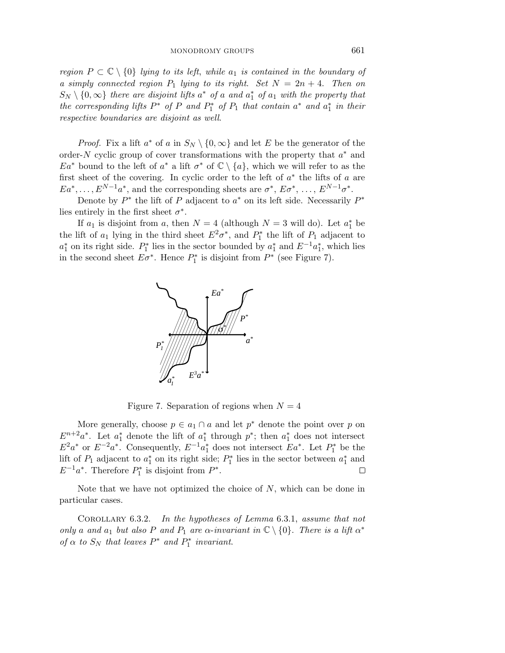region  $P \subset \mathbb{C} \setminus \{0\}$  lying to its left, while  $a_1$  is contained in the boundary of a simply connected region  $P_1$  lying to its right. Set  $N = 2n + 4$ . Then on  $S_N \setminus \{0,\infty\}$  there are disjoint lifts  $a^*$  of *a* and  $a_1^*$  of  $a_1$  with the property that the corresponding lifts  $P^*$  of  $P$  and  $P_1^*$  of  $P_1$  that contain  $a^*$  and  $a_1^*$  in their respective boundaries are disjoint as well.

*Proof.* Fix a lift  $a^*$  of  $a$  in  $S_N \setminus \{0,\infty\}$  and let  $E$  be the generator of the order-*N* cyclic group of cover transformations with the property that *a*∗ and  $Ea^*$  bound to the left of  $a^*$  a lift  $\sigma^*$  of  $\mathbb{C} \setminus \{a\}$ , which we will refer to as the first sheet of the covering. In cyclic order to the left of *a*∗ the lifts of *a* are  $Ea^*, \ldots, E^{N-1}a^*$ , and the corresponding sheets are  $\sigma^*, E\sigma^*, \ldots, E^{N-1}\sigma^*$ .

Denote by *P*∗ the lift of *P* adjacent to *a*∗ on its left side. Necessarily *P*∗ lies entirely in the first sheet  $\sigma^*$ .

If  $a_1$  is disjoint from  $a$ , then  $N = 4$  (although  $N = 3$  will do). Let  $a_1^*$  be the lift of  $a_1$  lying in the third sheet  $E^2 \sigma^*$ , and  $P_1^*$  the lift of  $P_1$  adjacent to  $a_1^*$  on its right side.  $P_1^*$  lies in the sector bounded by  $a_1^*$  and  $E^{-1}a_1^*$ , which lies in the second sheet  $E\sigma^*$ . Hence  $P_1^*$  is disjoint from  $P^*$  (see Figure 7).



Figure 7. Separation of regions when  $N = 4$ 

More generally, choose  $p \in a_1 \cap a$  and let  $p^*$  denote the point over p on  $E^{n+2}a^*$ . Let  $a_1^*$  denote the lift of  $a_1^*$  through  $p^*$ ; then  $a_1^*$  does not intersect  $E^2a^*$  or  $E^{-2}a^*$ . Consequently,  $E^{-1}a_1^*$  does not intersect  $Ea^*$ . Let  $P_1^*$  be the lift of  $P_1$  adjacent to  $a_1^*$  on its right side;  $P_1^*$  lies in the sector between  $a_1^*$  and  $E^{-1}a^*$ . Therefore  $P_1^*$  is disjoint from  $P^*$ .  $\Box$ 

Note that we have not optimized the choice of *N*, which can be done in particular cases.

Corollary 6*.*3*.*2. In the hypotheses of Lemma 6.3.1, assume that not only *a* and *a*<sub>1</sub> but also *P* and *P*<sub>1</sub> are *α*-invariant in  $\mathbb{C} \setminus \{0\}$ . There is a lift  $\alpha^*$ of  $\alpha$  to  $S_N$  that leaves  $P^*$  and  $P_1^*$  invariant.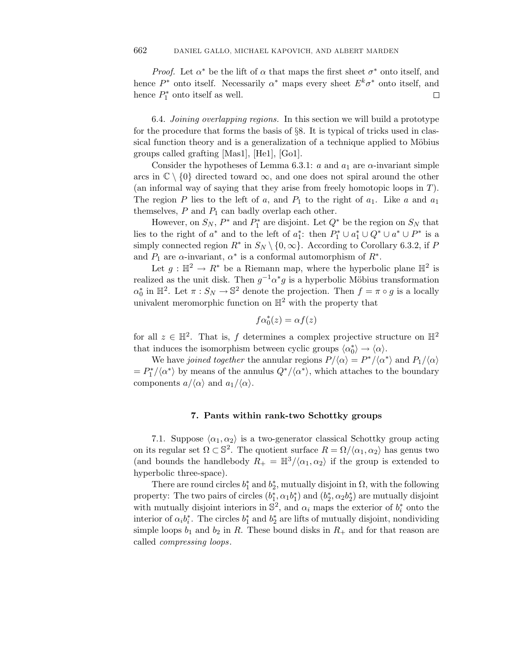*Proof.* Let  $\alpha^*$  be the lift of  $\alpha$  that maps the first sheet  $\sigma^*$  onto itself, and hence  $P^*$  onto itself. Necessarily  $\alpha^*$  maps every sheet  $E^k \sigma^*$  onto itself, and hence  $P_1^*$  onto itself as well. 口

6.4. Joining overlapping regions. In this section we will build a prototype for the procedure that forms the basis of §8. It is typical of tricks used in classical function theory and is a generalization of a technique applied to Möbius groups called grafting [Mas1], [He1], [Go1].

Consider the hypotheses of Lemma 6.3.1:  $a$  and  $a_1$  are  $\alpha$ -invariant simple arcs in  $\mathbb{C} \setminus \{0\}$  directed toward  $\infty$ , and one does not spiral around the other (an informal way of saying that they arise from freely homotopic loops in *T*). The region *P* lies to the left of *a*, and  $P_1$  to the right of  $a_1$ . Like *a* and  $a_1$ themselves, *P* and *P*<sup>1</sup> can badly overlap each other.

However, on  $S_N$ ,  $P^*$  and  $P_1^*$  are disjoint. Let  $Q^*$  be the region on  $S_N$  that lies to the right of  $a^*$  and to the left of  $a_1^*$ : then  $P_1^* \cup a_1^* \cup Q^* \cup a^* \cup P^*$  is a simply connected region  $R^*$  in  $S_N \setminus \{0,\infty\}$ . According to Corollary 6.3.2, if *P* and  $P_1$  are  $\alpha$ -invariant,  $\alpha^*$  is a conformal automorphism of  $R^*$ .

Let  $g: \mathbb{H}^2 \to R^*$  be a Riemann map, where the hyperbolic plane  $\mathbb{H}^2$  is realized as the unit disk. Then  $g^{-1} \alpha^* g$  is a hyperbolic Möbius transformation  $\alpha_0^*$  in  $\mathbb{H}^2$ . Let  $\pi : S_N \to \mathbb{S}^2$  denote the projection. Then  $f = \pi \circ g$  is a locally univalent meromorphic function on  $\mathbb{H}^2$  with the property that

$$
f\alpha_0^*(z) = \alpha f(z)
$$

for all  $z \in \mathbb{H}^2$ . That is, *f* determines a complex projective structure on  $\mathbb{H}^2$ that induces the isomorphism between cyclic groups  $\langle \alpha_0^* \rangle \to \langle \alpha \rangle$ .

We have *joined together* the annular regions  $P/\langle \alpha \rangle = P^*/\langle \alpha^* \rangle$  and  $P_1/\langle \alpha \rangle$  $= P_1^* / \langle \alpha^* \rangle$  by means of the annulus  $Q^* / \langle \alpha^* \rangle$ , which attaches to the boundary components  $a/\langle \alpha \rangle$  and  $a_1/\langle \alpha \rangle$ .

## **7. Pants within rank-two Schottky groups**

7.1. Suppose  $\langle \alpha_1, \alpha_2 \rangle$  is a two-generator classical Schottky group acting on its regular set  $\Omega \subset \mathbb{S}^2$ . The quotient surface  $R = \Omega / \langle \alpha_1, \alpha_2 \rangle$  has genus two (and bounds the handlebody  $R_+ = \mathbb{H}^3/\langle \alpha_1, \alpha_2 \rangle$  if the group is extended to hyperbolic three-space).

There are round circles  $b_1^*$  and  $b_2^*$ , mutually disjoint in  $\Omega$ , with the following property: The two pairs of circles  $(b_1^*, \alpha_1 b_1^*)$  and  $(b_2^*, \alpha_2 b_2^*)$  are mutually disjoint with mutually disjoint interiors in  $\mathbb{S}^2$ , and  $\alpha_i$  maps the exterior of  $b_i^*$  onto the interior of  $\alpha_i b_i^*$ . The circles  $b_1^*$  and  $b_2^*$  are lifts of mutually disjoint, nondividing simple loops  $b_1$  and  $b_2$  in R. These bound disks in  $R_+$  and for that reason are called compressing loops.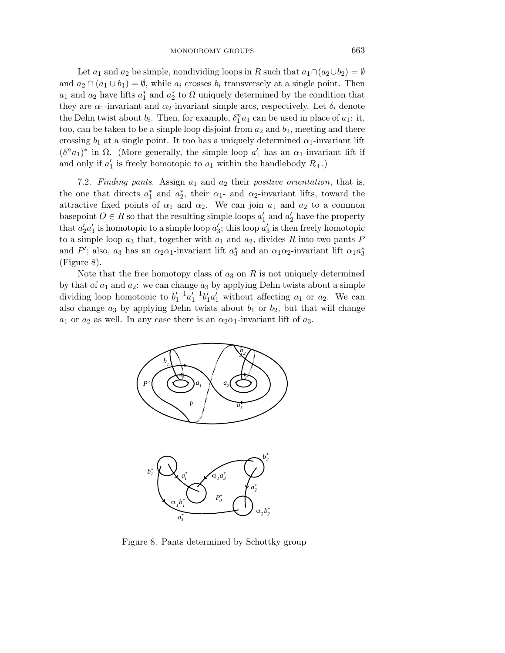Let *a*<sub>1</sub> and *a*<sub>2</sub> be simple, nondividing loops in *R* such that  $a_1 \cap (a_2 \cup b_2) = \emptyset$ and  $a_2 \cap (a_1 \cup b_1) = \emptyset$ , while  $a_i$  crosses  $b_i$  transversely at a single point. Then *a*<sub>1</sub> and *a*<sub>2</sub> have lifts  $a_1^*$  and  $a_2^*$  to  $\Omega$  uniquely determined by the condition that they are  $\alpha_1$ -invariant and  $\alpha_2$ -invariant simple arcs, respectively. Let  $\delta_i$  denote the Dehn twist about  $b_i$ . Then, for example,  $\delta_1^n a_1$  can be used in place of  $a_1$ : it, too, can be taken to be a simple loop disjoint from  $a_2$  and  $b_2$ , meeting and there crossing  $b_1$  at a single point. It too has a uniquely determined  $\alpha_1$ -invariant lift  $(\delta^n a_1)^*$  in  $\Omega$ . (More generally, the simple loop  $a'_1$  has an  $\alpha_1$ -invariant lift if and only if  $a'_1$  is freely homotopic to  $a_1$  within the handlebody  $R_+$ .)

7.2. Finding pants. Assign *a*<sup>1</sup> and *a*<sup>2</sup> their positive orientation, that is, the one that directs  $a_1^*$  and  $a_2^*$ , their  $\alpha_1$ - and  $\alpha_2$ -invariant lifts, toward the attractive fixed points of  $\alpha_1$  and  $\alpha_2$ . We can join  $a_1$  and  $a_2$  to a common basepoint  $O \in R$  so that the resulting simple loops  $a'_1$  and  $a'_2$  have the property that  $a_2'a_1'$  is homotopic to a simple loop  $a_3'$ ; this loop  $a_3'$  is then freely homotopic to a simple loop  $a_3$  that, together with  $a_1$  and  $a_2$ , divides  $R$  into two pants  $P$ and *P*<sup>'</sup>; also, *a*<sub>3</sub> has an  $\alpha_2\alpha_1$ -invariant lift  $a_3^*$  and an  $\alpha_1\alpha_2$ -invariant lift  $\alpha_1a_3^*$ (Figure 8).

Note that the free homotopy class of  $a_3$  on  $R$  is not uniquely determined by that of  $a_1$  and  $a_2$ : we can change  $a_3$  by applying Dehn twists about a simple dividing loop homotopic to  $b_1^{l-1} a_1^{l-1} b_1^l a_1^l$  without affecting  $a_1$  or  $a_2$ . We can also change  $a_3$  by applying Dehn twists about  $b_1$  or  $b_2$ , but that will change *a*<sub>1</sub> or *a*<sub>2</sub> as well. In any case there is an  $\alpha_2 \alpha_1$ -invariant lift of *a*<sub>3</sub>.



Figure 8. Pants determined by Schottky group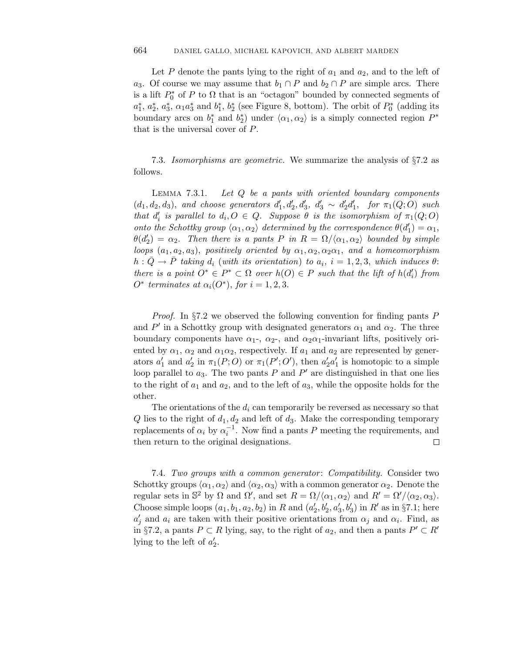Let  $P$  denote the pants lying to the right of  $a_1$  and  $a_2$ , and to the left of *a*<sub>3</sub>. Of course we may assume that  $b_1 \cap P$  and  $b_2 \cap P$  are simple arcs. There is a lift  $P_0^*$  of  $P$  to  $\Omega$  that is an "octagon" bounded by connected segments of  $a_1^*, a_2^*, a_3^*, \alpha_1 a_3^*$  and  $b_1^*, b_2^*$  (see Figure 8, bottom). The orbit of  $P_0^*$  (adding its boundary arcs on  $b_1^*$  and  $b_2^*$ ) under  $\langle \alpha_1, \alpha_2 \rangle$  is a simply connected region  $P^*$ that is the universal cover of *P*.

7.3. Isomorphisms are geometric. We summarize the analysis of  $\S 7.2$  as follows.

LEMMA  $7.3.1$ . 7*.*3*.*1. Let *Q* be a pants with oriented boundary components  $(d_1, d_2, d_3)$ , and choose generators  $d'_1, d'_2, d'_3, d'_3 \sim d'_2d'_1$ , for  $\pi_1(Q; O)$  such that  $d'_i$  is parallel to  $d_i, O \in Q$ . Suppose  $\theta$  is the isomorphism of  $\pi_1(Q; O)$ onto the Schottky group  $\langle \alpha_1, \alpha_2 \rangle$  determined by the correspondence  $\theta(d'_1) = \alpha_1$ ,  $\theta(d'_2) = \alpha_2$ . Then there is a pants *P* in  $R = \Omega/\langle \alpha_1, \alpha_2 \rangle$  bounded by simple *loops*  $(a_1, a_2, a_3)$ , positively oriented by  $\alpha_1, \alpha_2, \alpha_2\alpha_1$ , and a homeomorphism  $h: \overline{Q} \to \overline{P}$  taking  $d_i$  (with its orientation) to  $a_i$ ,  $i = 1, 2, 3$ , which induces  $\theta$ : there is a point  $O^* \in P^* \subset \Omega$  over  $h(O) \in P$  such that the lift of  $h(d'_i)$  from *O*<sup>∗</sup> terminates at  $α<sub>i</sub>(O<sup>*</sup>)$ , for  $i = 1, 2, 3$ .

Proof. In §7.2 we observed the following convention for finding pants *P* and  $P'$  in a Schottky group with designated generators  $\alpha_1$  and  $\alpha_2$ . The three boundary components have  $\alpha_1$ -,  $\alpha_2$ -, and  $\alpha_2\alpha_1$ -invariant lifts, positively oriented by  $\alpha_1$ ,  $\alpha_2$  and  $\alpha_1\alpha_2$ , respectively. If  $a_1$  and  $a_2$  are represented by generators  $a'_1$  and  $a'_2$  in  $\pi_1(P;O)$  or  $\pi_1(P';O')$ , then  $a'_2a'_1$  is homotopic to a simple loop parallel to  $a_3$ . The two pants  $P$  and  $P'$  are distinguished in that one lies to the right of  $a_1$  and  $a_2$ , and to the left of  $a_3$ , while the opposite holds for the other.

The orientations of the  $d_i$  can temporarily be reversed as necessary so that  $Q$  lies to the right of  $d_1, d_2$  and left of  $d_3$ . Make the corresponding temporary replacements of  $\alpha_i$  by  $\alpha_i^{-1}$ . Now find a pants *P* meeting the requirements, and then return to the original designations.  $\Box$ 

7.4. Two groups with a common generator: Compatibility. Consider two Schottky groups  $\langle \alpha_1, \alpha_2 \rangle$  and  $\langle \alpha_2, \alpha_3 \rangle$  with a common generator  $\alpha_2$ . Denote the regular sets in  $\mathbb{S}^2$  by  $\Omega$  and  $\Omega'$ , and set  $R = \Omega / \langle \alpha_1, \alpha_2 \rangle$  and  $R' = \Omega' / \langle \alpha_2, \alpha_3 \rangle$ . Choose simple loops  $(a_1, b_1, a_2, b_2)$  in *R* and  $(a'_2, b'_2, a'_3, b'_3)$  in *R'* as in §7.1; here  $a'_j$  and  $a_i$  are taken with their positive orientations from  $\alpha_j$  and  $\alpha_i$ . Find, as in §7.2, a pants *P* ⊂ *R* lying, say, to the right of  $a_2$ , and then a pants *P'* ⊂ *R'* lying to the left of  $a'_2$ .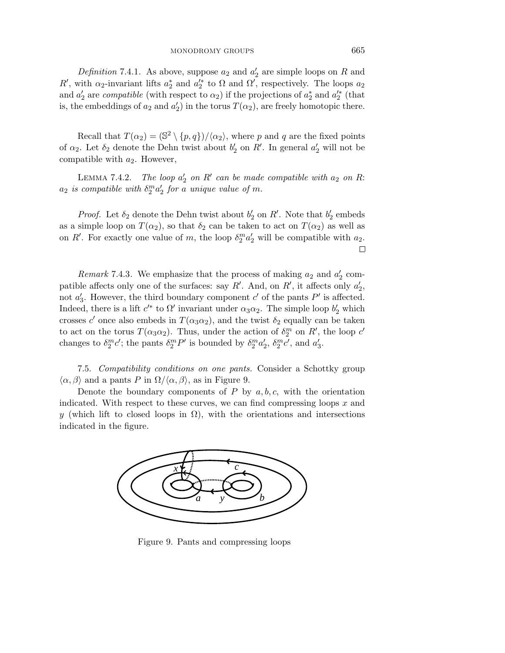Definition 7.4.1. As above, suppose  $a_2$  and  $a_2'$  are simple loops on R and *R*<sup> $\prime$ </sup>, with *α*<sub>2</sub>-invariant lifts *a*<sup>\*</sup><sub>2</sub> and *a*<sup> $\prime$ </sup><sub>2</sub><sup>\*</sup> to Ω and Ω<sup> $\prime$ </sup>, respectively. The loops *a*<sub>2</sub> and  $a'_2$  are *compatible* (with respect to  $\alpha_2$ ) if the projections of  $a_2^*$  and  $a_2^{'*}$  (that is, the embeddings of  $a_2$  and  $a_2'$ ) in the torus  $T(\alpha_2)$ , are freely homotopic there.

Recall that  $T(\alpha_2) = (\mathbb{S}^2 \setminus \{p,q\})/\langle \alpha_2 \rangle$ , where *p* and *q* are the fixed points of  $\alpha_2$ . Let  $\delta_2$  denote the Dehn twist about  $b'_2$  on  $R'$ . In general  $a'_2$  will not be compatible with *a*2. However,

LEMMA 7.4.2. The loop  $a'_2$  on  $R'$  can be made compatible with  $a_2$  on  $R$ :  $a_2$  *is compatible with*  $\delta_2^m a_2'$  *for a unique value of m.* 

*Proof.* Let  $\delta_2$  denote the Dehn twist about  $b'_2$  on  $R'$ . Note that  $b'_2$  embeds as a simple loop on  $T(\alpha_2)$ , so that  $\delta_2$  can be taken to act on  $T(\alpha_2)$  as well as on *R'*. For exactly one value of *m*, the loop  $\delta_2^m a_2'$  will be compatible with  $a_2$ .  $\Box$ 

*Remark* 7.4.3. We emphasize that the process of making  $a_2$  and  $a'_2$  compatible affects only one of the surfaces: say  $R'$ . And, on  $R'$ , it affects only  $a'_2$ , not  $a'_3$ . However, the third boundary component  $c'$  of the pants  $P'$  is affected. Indeed, there is a lift  $c^{(*)}$  to  $\Omega'$  invariant under  $\alpha_3\alpha_2$ . The simple loop  $b'_2$  which crosses *c*<sup> $\prime$ </sup> once also embeds in  $T(\alpha_3 \alpha_2)$ , and the twist  $\delta_2$  equally can be taken to act on the torus  $T(\alpha_3 \alpha_2)$ . Thus, under the action of  $\delta_2^m$  on  $R'$ , the loop  $c'$ changes to  $\delta_2^m c'$ ; the pants  $\delta_2^m P'$  is bounded by  $\delta_2^m a_2'$ ,  $\delta_2^m c'$ , and  $a_3'$ .

7.5. Compatibility conditions on one pants. Consider a Schottky group  $\langle \alpha, \beta \rangle$  and a pants *P* in  $\Omega/\langle \alpha, \beta \rangle$ , as in Figure 9.

Denote the boundary components of  $P$  by  $a, b, c$ , with the orientation indicated. With respect to these curves, we can find compressing loops *x* and *y* (which lift to closed loops in  $\Omega$ ), with the orientations and intersections indicated in the figure.



Figure 9. Pants and compressing loops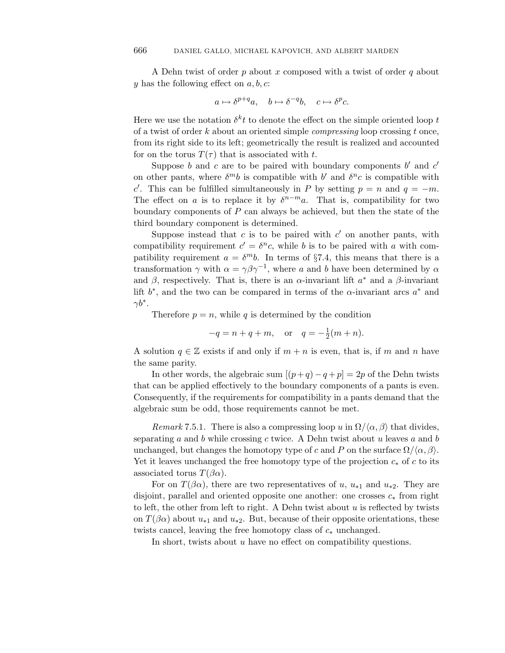A Dehn twist of order *p* about *x* composed with a twist of order *q* about *y* has the following effect on *a, b, c*:

$$
a \mapsto \delta^{p+q}a, \quad b \mapsto \delta^{-q}b, \quad c \mapsto \delta^p c.
$$

Here we use the notation  $\delta^k t$  to denote the effect on the simple oriented loop  $t$ of a twist of order *k* about an oriented simple compressing loop crossing *t* once, from its right side to its left; geometrically the result is realized and accounted for on the torus  $T(\tau)$  that is associated with *t*.

Suppose *b* and *c* are to be paired with boundary components  $b'$  and  $c'$ on other pants, where  $\delta^{m}b$  is compatible with *b'* and  $\delta^{n}c$  is compatible with *c*. This can be fulfilled simultaneously in *P* by setting  $p = n$  and  $q = -m$ . The effect on *a* is to replace it by  $\delta^{n-m}a$ . That is, compatibility for two boundary components of *P* can always be achieved, but then the state of the third boundary component is determined.

Suppose instead that  $c$  is to be paired with  $c'$  on another pants, with compatibility requirement  $c' = \delta^n c$ , while *b* is to be paired with *a* with compatibility requirement  $a = \delta^m b$ . In terms of §7.4, this means that there is a transformation  $\gamma$  with  $\alpha = \gamma \beta \gamma^{-1}$ , where *a* and *b* have been determined by  $\alpha$ and  $\beta$ , respectively. That is, there is an  $\alpha$ -invariant lift  $a^*$  and a  $\beta$ -invariant lift *b*∗, and the two can be compared in terms of the *α*-invariant arcs *a*∗ and *γb*∗.

Therefore  $p = n$ , while q is determined by the condition

$$
-q = n + q + m
$$
, or  $q = -\frac{1}{2}(m + n)$ .

A solution  $q \in \mathbb{Z}$  exists if and only if  $m + n$  is even, that is, if m and n have the same parity.

In other words, the algebraic sum  $[(p+q)-q+p]=2p$  of the Dehn twists that can be applied effectively to the boundary components of a pants is even. Consequently, if the requirements for compatibility in a pants demand that the algebraic sum be odd, those requirements cannot be met.

Remark 7.5.1. There is also a compressing loop *u* in  $\Omega/\langle \alpha, \beta \rangle$  that divides, separating *a* and *b* while crossing *c* twice. A Dehn twist about *u* leaves *a* and *b* unchanged, but changes the homotopy type of *c* and *P* on the surface  $\Omega/\langle \alpha, \beta \rangle$ . Yet it leaves unchanged the free homotopy type of the projection *c*<sup>∗</sup> of *c* to its associated torus  $T(\beta \alpha)$ .

For on  $T(\beta \alpha)$ , there are two representatives of *u*,  $u_{*1}$  and  $u_{*2}$ . They are disjoint, parallel and oriented opposite one another: one crosses *c*<sup>∗</sup> from right to left, the other from left to right. A Dehn twist about *u* is reflected by twists on  $T(\beta\alpha)$  about  $u_{*1}$  and  $u_{*2}$ . But, because of their opposite orientations, these twists cancel, leaving the free homotopy class of *c*<sup>∗</sup> unchanged.

In short, twists about *u* have no effect on compatibility questions.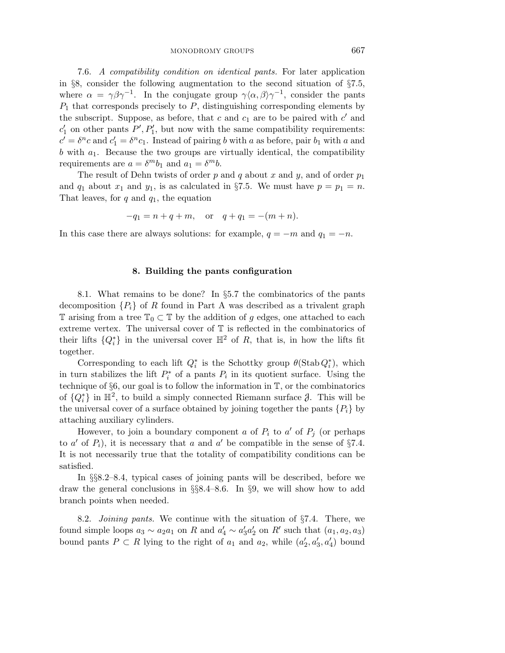7.6. A compatibility condition on identical pants. For later application in §8, consider the following augmentation to the second situation of §7.5, where  $\alpha = \gamma \beta \gamma^{-1}$ . In the conjugate group  $\gamma \langle \alpha, \beta \rangle \gamma^{-1}$ , consider the pants *P*<sup>1</sup> that corresponds precisely to *P*, distinguishing corresponding elements by the subscript. Suppose, as before, that  $c$  and  $c_1$  are to be paired with  $c'$  and  $c'_{1}$  on other pants  $P', P'_{1}$ , but now with the same compatibility requirements:  $c' = \delta^n c$  and  $c'_1 = \delta^n c_1$ . Instead of pairing *b* with *a* as before, pair  $b_1$  with *a* and *b* with *a*1. Because the two groups are virtually identical, the compatibility requirements are  $a = \delta^m b_1$  and  $a_1 = \delta^m b$ .

The result of Dehn twists of order *p* and *q* about *x* and *y*, and of order *p*<sup>1</sup> and  $q_1$  about  $x_1$  and  $y_1$ , is as calculated in §7.5. We must have  $p = p_1 = n$ . That leaves, for *q* and *q*1, the equation

$$
-q_1 = n + q + m
$$
, or  $q + q_1 = -(m + n)$ .

In this case there are always solutions: for example,  $q = -m$  and  $q_1 = -n$ .

## **8. Building the pants configuration**

8.1. What remains to be done? In §5.7 the combinatorics of the pants decomposition  ${P_i}$  of *R* found in Part A was described as a trivalent graph T arising from a tree  $\mathbb{T}_0 \subset \mathbb{T}$  by the addition of *g* edges, one attached to each extreme vertex. The universal cover of T is reflected in the combinatorics of their lifts  $\{Q_i^*\}$  in the universal cover  $\mathbb{H}^2$  of *R*, that is, in how the lifts fit together.

Corresponding to each lift  $Q_i^*$  is the Schottky group  $\theta(\text{Stab } Q_i^*)$ , which in turn stabilizes the lift  $P_i^*$  of a pants  $P_i$  in its quotient surface. Using the technique of §6, our goal is to follow the information in T, or the combinatorics of  $\{Q_i^*\}$  in  $\mathbb{H}^2$ , to build a simply connected Riemann surface  $\beta$ . This will be the universal cover of a surface obtained by joining together the pants  $\{P_i\}$  by attaching auxiliary cylinders.

However, to join a boundary component *a* of  $P_i$  to  $a'$  of  $P_j$  (or perhaps to  $a'$  of  $P_i$ ), it is necessary that  $a$  and  $a'$  be compatible in the sense of §7.4. It is not necessarily true that the totality of compatibility conditions can be satisfied.

In §§8.2–8.4, typical cases of joining pants will be described, before we draw the general conclusions in §§8.4–8.6. In §9, we will show how to add branch points when needed.

8.2. *Joining pants*. We continue with the situation of  $\S 7.4$ . There, we found simple loops  $a_3 \sim a_2 a_1$  on *R* and  $a'_4 \sim a'_3 a'_2$  on *R'* such that  $(a_1, a_2, a_3)$ bound pants  $P \subset R$  lying to the right of  $a_1$  and  $a_2$ , while  $(a'_2, a'_3, a'_4)$  bound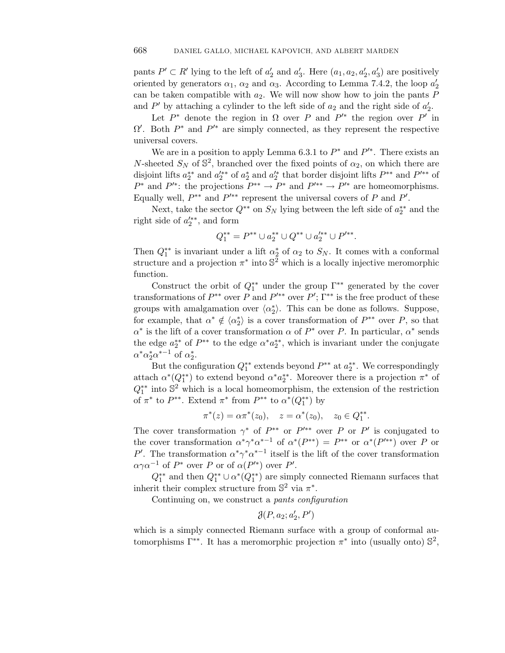pants  $P' \subset R'$  lying to the left of  $a'_2$  and  $a'_3$ . Here  $(a_1, a_2, a'_2, a'_3)$  are positively oriented by generators  $\alpha_1$ ,  $\alpha_2$  and  $\alpha_3$ . According to Lemma 7.4.2, the loop  $a'_2$ can be taken compatible with *a*2. We will now show how to join the pants *P* and  $P'$  by attaching a cylinder to the left side of  $a_2$  and the right side of  $a_2'$ .

Let  $P^*$  denote the region in  $\Omega$  over  $P$  and  $P'^*$  the region over  $P'$  in  $\Omega'$ . Both  $P^*$  and  $P'^*$  are simply connected, as they represent the respective universal covers.

We are in a position to apply Lemma 6.3.1 to  $P^*$  and  $P^{\prime*}$ . There exists an *N*-sheeted  $S_N$  of  $\mathbb{S}^2$ , branched over the fixed points of  $\alpha_2$ , on which there are disjoint lifts  $a_2^{**}$  and  $a_2^{/*}$  of  $a_2^*$  and  $a_2^{/*}$  that border disjoint lifts  $P^{**}$  and  $P^{/**}$  of *P*<sup>∗</sup> and *P*<sup> $'$ ∗</sup>: the projections  $P^{**} \to P^*$  and  $P^{**} \to P^{**}$  are homeomorphisms. Equally well,  $P^{**}$  and  $P^{**}$  represent the universal covers of P and  $P'$ .

Next, take the sector  $Q^{**}$  on  $S_N$  lying between the left side of  $a_2^{**}$  and the right side of  $a_2^{\prime**}$ , and form

$$
Q_1^{**} = P^{**} \cup a_2^{**} \cup Q^{**} \cup a_2'^{**} \cup P'^{**}.
$$

Then  $Q_1^{**}$  is invariant under a lift  $\alpha_2^*$  of  $\alpha_2$  to  $S_N$ . It comes with a conformal structure and a projection  $\pi^*$  into  $\mathbb{S}^2$  which is a locally injective meromorphic function.

Construct the orbit of  $Q_1^{**}$  under the group  $\Gamma^{**}$  generated by the cover transformations of  $P^{**}$  over  $P$  and  $P'^{**}$  over  $P'$ ;  $\Gamma^{**}$  is the free product of these groups with amalgamation over  $\langle \alpha_2^* \rangle$ . This can be done as follows. Suppose, for example, that  $\alpha^* \notin \langle \alpha_2^* \rangle$  is a cover transformation of  $P^{**}$  over  $P$ , so that *α*∗ is the lift of a cover transformation *α* of *P*∗ over *P*. In particular, *α*∗ sends the edge  $a_2^{**}$  of  $P^{**}$  to the edge  $\alpha^* a_2^{**}$ , which is invariant under the conjugate  $\alpha^* \alpha_2^* \alpha^{*-1}$  of  $\alpha_2^*$ .

But the configuration  $Q_1^{**}$  extends beyond  $P^{**}$  at  $a_2^{**}$ . We correspondingly attach  $\alpha^*(Q_1^{**})$  to extend beyond  $\alpha^* a_2^{**}$ . Moreover there is a projection  $\pi^*$  of  $Q_1^{**}$  into  $\mathbb{S}^2$  which is a local homeomorphism, the extension of the restriction of  $\pi^*$  to  $P^{**}$ . Extend  $\pi^*$  from  $P^{**}$  to  $\alpha^*(Q_1^{**})$  by

$$
\pi^*(z) = \alpha \pi^*(z_0), \quad z = \alpha^*(z_0), \quad z_0 \in Q_1^{**}.
$$

The cover transformation  $\gamma^*$  of  $P^{**}$  or  $P^{0**}$  over *P* or *P'* is conjugated to the cover transformation  $\alpha^* \gamma^* \alpha^{*-1}$  of  $\alpha^* (P^{**}) = P^{**}$  or  $\alpha^* (P^{**})$  over *P* or *P*<sup> $\prime$ </sup>. The transformation  $\alpha^* \gamma^* \alpha^{*-1}$  itself is the lift of the cover transformation  $\alpha\gamma\alpha^{-1}$  of  $P^*$  over *P* or of  $\alpha(P'^*)$  over *P'*.

 $Q_1^{**}$  and then  $Q_1^{**} \cup \alpha^*(Q_1^{**})$  are simply connected Riemann surfaces that inherit their complex structure from  $\mathbb{S}^2$  via  $\pi^*$ .

Continuing on, we construct a pants configuration

$$
\mathcal{J}(P,a_2;a_2',P')
$$

which is a simply connected Riemann surface with a group of conformal automorphisms  $\Gamma^{**}$ . It has a meromorphic projection  $\pi^*$  into (usually onto)  $\mathbb{S}^2$ ,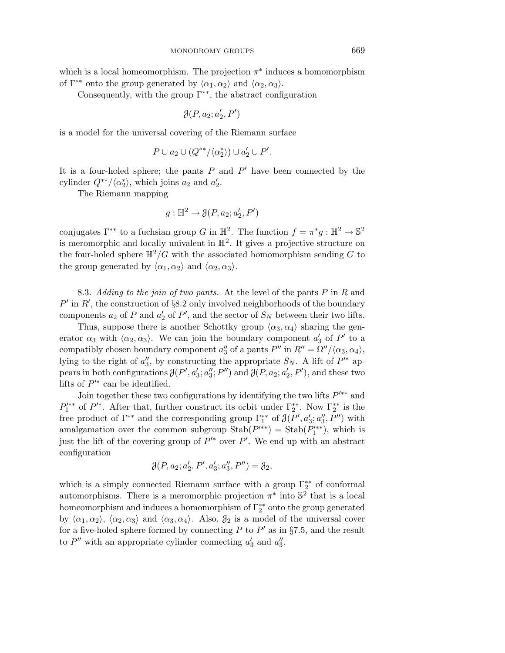which is a local homeomorphism. The projection  $\pi^*$  induces a homomorphism of  $\Gamma^{**}$  onto the group generated by  $\langle \alpha_1, \alpha_2 \rangle$  and  $\langle \alpha_2, \alpha_3 \rangle$ .

Consequently, with the group  $\Gamma^{**}$ , the abstract configuration

$$
\mathcal{J}(P,a_2;a_2',P')
$$

is a model for the universal covering of the Riemann surface

$$
P \cup a_2 \cup (Q^{**}/\langle \alpha_2^* \rangle) \cup a_2' \cup P'.
$$

It is a four-holed sphere; the pants  $P$  and  $P'$  have been connected by the cylinder  $Q^{**}/\langle \alpha_2^* \rangle$ , which joins  $a_2$  and  $a_2'$ .

The Riemann mapping

$$
g: \mathbb{H}^2 \to \mathcal{J}(P, a_2; a'_2, P')
$$

conjugates  $\Gamma^{**}$  to a fuchsian group *G* in  $\mathbb{H}^2$ . The function  $f = \pi^*g : \mathbb{H}^2 \to \mathbb{S}^2$ is meromorphic and locally univalent in  $\mathbb{H}^2$ . It gives a projective structure on the four-holed sphere  $\mathbb{H}^2/G$  with the associated homomorphism sending G to the group generated by  $\langle \alpha_1, \alpha_2 \rangle$  and  $\langle \alpha_2, \alpha_3 \rangle$ .

8.3. Adding to the join of two pants. At the level of the pants *P* in *R* and  $P'$  in  $R'$ , the construction of §8.2 only involved neighborhoods of the boundary components  $a_2$  of  $P$  and  $a'_2$  of  $P'$ , and the sector of  $S_N$  between their two lifts.

Thus, suppose there is another Schottky group  $\langle \alpha_3, \alpha_4 \rangle$  sharing the generator  $\alpha_3$  with  $\langle \alpha_2, \alpha_3 \rangle$ . We can join the boundary component  $a'_3$  of  $P'$  to a compatibly chosen boundary component  $a''_3$  of a pants  $P''$  in  $R'' = \Omega''/ \langle \alpha_3, \alpha_4 \rangle$ , lying to the right of  $a''_3$ , by constructing the appropriate  $S_N$ . A lift of  $P'^*$  appears in both configurations  $\mathcal{J}(P', a'_3; a''_3; P'')$  and  $\mathcal{J}(P, a_2; a'_2, P')$ , and these two lifts of  $P^{\prime*}$  can be identified.

Join together these two configurations by identifying the two lifts  $P<sup>1</sup>∗∗$  and  $P_1^{\prime\ast\ast}$  of  $P^{\prime\ast}$ . After that, further construct its orbit under  $\Gamma_2^{\ast\ast}$ . Now  $\Gamma_2^{\ast\ast}$  is the free product of  $\Gamma^{**}$  and the corresponding group  $\Gamma^{**}$  of  $\partial(P', a'_3; a''_3, P'')$  with amalgamation over the common subgroup  $\text{Stab}(P'^{**}) = \text{Stab}(P'^{**}_1)$ , which is just the lift of the covering group of  $P'^*$  over  $P'$ . We end up with an abstract configuration

$$
\mathcal{J}(P, a_2; a'_2, P', a'_3; a''_3, P'') = \mathcal{J}_2,
$$

which is a simply connected Riemann surface with a group  $\Gamma_2^{**}$  of conformal automorphisms. There is a meromorphic projection  $\pi^*$  into  $\mathbb{S}^2$  that is a local homeomorphism and induces a homomorphism of  $\Gamma^{**}_2$  onto the group generated by  $\langle \alpha_1, \alpha_2 \rangle$ ,  $\langle \alpha_2, \alpha_3 \rangle$  and  $\langle \alpha_3, \alpha_4 \rangle$ . Also,  $\beta_2$  is a model of the universal cover for a five-holed sphere formed by connecting  $P$  to  $P'$  as in §7.5, and the result to  $P''$  with an appropriate cylinder connecting  $a'_3$  and  $a''_3$ .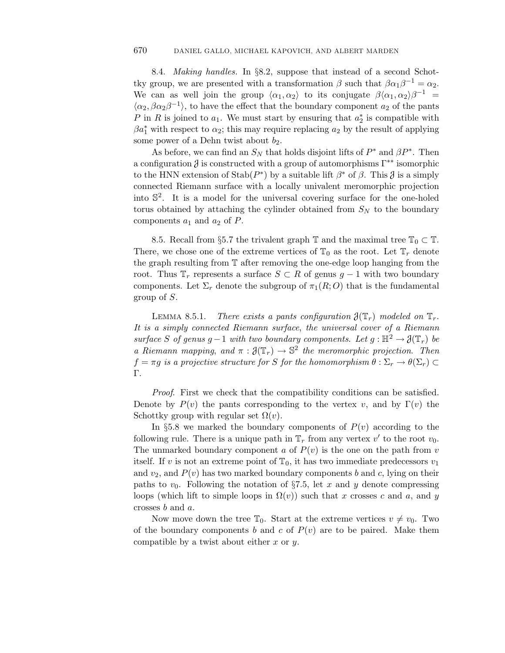8.4. Making handles. In §8.2, suppose that instead of a second Schottky group, we are presented with a transformation  $\beta$  such that  $\beta \alpha_1 \beta^{-1} = \alpha_2$ . We can as well join the group  $\langle \alpha_1, \alpha_2 \rangle$  to its conjugate  $\beta \langle \alpha_1, \alpha_2 \rangle \beta^{-1}$  =  $\langle \alpha_2, \beta \alpha_2 \beta^{-1} \rangle$ , to have the effect that the boundary component  $a_2$  of the pants *P* in *R* is joined to  $a_1$ . We must start by ensuring that  $a_2^*$  is compatible with  $\beta a_1^*$  with respect to  $\alpha_2$ ; this may require replacing  $a_2$  by the result of applying some power of a Dehn twist about  $b_2$ .

As before, we can find an  $S_N$  that holds disjoint lifts of  $P^*$  and  $\beta P^*$ . Then a configuration  $\delta$  is constructed with a group of automorphisms  $\Gamma^{**}$  isomorphic to the HNN extension of  $\text{Stab}(P^*)$  by a suitable lift  $\beta^*$  of  $\beta$ . This  $\beta$  is a simply connected Riemann surface with a locally univalent meromorphic projection into  $\mathbb{S}^2$ . It is a model for the universal covering surface for the one-holed torus obtained by attaching the cylinder obtained from  $S_N$  to the boundary components  $a_1$  and  $a_2$  of  $P$ .

8.5. Recall from §5.7 the trivalent graph  $\mathbb T$  and the maximal tree  $\mathbb T_0 \subset \mathbb T$ . There, we chose one of the extreme vertices of  $\mathbb{T}_0$  as the root. Let  $\mathbb{T}_r$  denote the graph resulting from T after removing the one-edge loop hanging from the root. Thus  $\mathbb{T}_r$  represents a surface  $S \subset R$  of genus  $g-1$  with two boundary components. Let  $\Sigma_r$  denote the subgroup of  $\pi_1(R;O)$  that is the fundamental group of *S*.

LEMMA 8.5.1. There exists a pants configuration  $\mathcal{J}(\mathbb{T}_r)$  modeled on  $\mathbb{T}_r$ . It is a simply connected Riemann surface, the universal cover of a Riemann surface *S* of genus  $g-1$  with two boundary components. Let  $g : \mathbb{H}^2 \to \mathcal{J}(\mathbb{T}_r)$  be a Riemann mapping, and  $\pi : \mathfrak{J}(\mathbb{T}_r) \to \mathbb{S}^2$  the meromorphic projection. Then  $f = \pi g$  is a projective structure for *S* for the homomorphism  $\theta : \Sigma_r \to \theta(\Sigma_r) \subset$ Γ.

Proof. First we check that the compatibility conditions can be satisfied. Denote by  $P(v)$  the pants corresponding to the vertex *v*, and by  $\Gamma(v)$  the Schottky group with regular set  $\Omega(v)$ .

In  $\S5.8$  we marked the boundary components of  $P(v)$  according to the following rule. There is a unique path in  $\mathbb{T}_r$  from any vertex  $v'$  to the root  $v_0$ . The unmarked boundary component *a* of  $P(v)$  is the one on the path from *v* itself. If *v* is not an extreme point of  $\mathbb{T}_0$ , it has two immediate predecessors  $v_1$ and  $v_2$ , and  $P(v)$  has two marked boundary components *b* and *c*, lying on their paths to  $v_0$ . Following the notation of §7.5, let x and y denote compressing loops (which lift to simple loops in  $\Omega(v)$ ) such that *x* crosses *c* and *a*, and *y* crosses *b* and *a*.

Now move down the tree  $\mathbb{T}_0$ . Start at the extreme vertices  $v \neq v_0$ . Two of the boundary components *b* and *c* of  $P(v)$  are to be paired. Make them compatible by a twist about either *x* or *y*.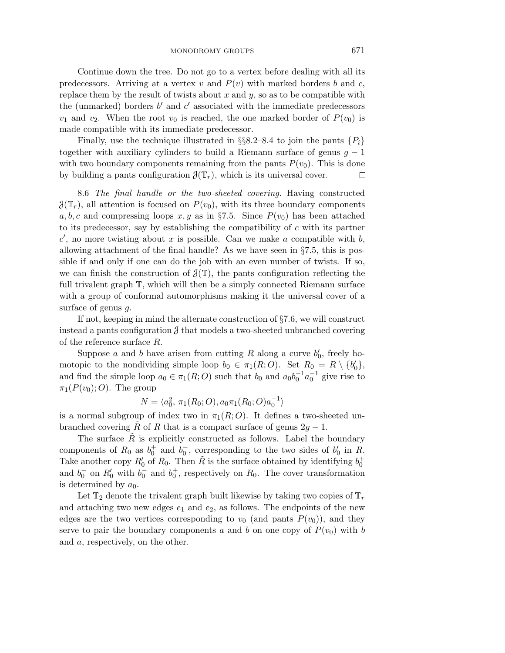Continue down the tree. Do not go to a vertex before dealing with all its predecessors. Arriving at a vertex  $v$  and  $P(v)$  with marked borders  $b$  and  $c$ , replace them by the result of twists about *x* and *y*, so as to be compatible with the (unmarked) borders  $b'$  and  $c'$  associated with the immediate predecessors  $v_1$  and  $v_2$ . When the root  $v_0$  is reached, the one marked border of  $P(v_0)$  is made compatible with its immediate predecessor.

Finally, use the technique illustrated in  $\S$ §8.2–8.4 to join the pants  $\{P_i\}$ together with auxiliary cylinders to build a Riemann surface of genus *g* − 1 with two boundary components remaining from the pants  $P(v_0)$ . This is done by building a pants configuration  $\mathcal{J}(\mathbb{T}_r)$ , which is its universal cover.  $\Box$ 

8.6 The final handle or the two-sheeted covering. Having constructed  $\mathcal{J}(\mathbb{T}_r)$ , all attention is focused on  $P(v_0)$ , with its three boundary components *a, b, c* and compressing loops *x, y* as in §7.5. Since  $P(v_0)$  has been attached to its predecessor, say by establishing the compatibility of *c* with its partner  $c'$ , no more twisting about *x* is possible. Can we make *a* compatible with *b*, allowing attachment of the final handle? As we have seen in §7.5, this is possible if and only if one can do the job with an even number of twists. If so, we can finish the construction of  $\mathcal{J}(\mathbb{T})$ , the pants configuration reflecting the full trivalent graph T, which will then be a simply connected Riemann surface with a group of conformal automorphisms making it the universal cover of a surface of genus *g*.

If not, keeping in mind the alternate construction of §7.6, we will construct instead a pants configuration  $\beta$  that models a two-sheeted unbranched covering of the reference surface *R*.

Suppose *a* and *b* have arisen from cutting *R* along a curve  $b'_0$ , freely homotopic to the nondividing simple loop  $b_0 \in \pi_1(R; O)$ . Set  $R_0 = R \setminus \{b'_0\}$ , and find the simple loop  $a_0 \in \pi_1(R; O)$  such that  $b_0$  and  $a_0b_0^{-1}a_0^{-1}$  give rise to  $\pi_1(P(v_0);O)$ . The group

$$
N = \langle a_0^2, \pi_1(R_0; O), a_0 \pi_1(R_0; O) a_0^{-1} \rangle
$$

is a normal subgroup of index two in  $\pi_1(R; O)$ . It defines a two-sheeted unbranched covering  $\tilde{R}$  of  $R$  that is a compact surface of genus  $2q - 1$ .

The surface  $R$  is explicitly constructed as follows. Label the boundary components of  $R_0$  as  $b_0^+$  and  $b_0^-$ , corresponding to the two sides of  $b_0'$  in  $R$ . Take another copy  $R'_0$  of  $R_0$ . Then  $\tilde{R}$  is the surface obtained by identifying  $b_0^+$ and  $b_0^-$  on  $R'_0$  with  $b_0^-$  and  $b_0^+$ , respectively on  $R_0$ . The cover transformation is determined by  $a_0$ .

Let  $\mathbb{T}_2$  denote the trivalent graph built likewise by taking two copies of  $\mathbb{T}_r$ and attaching two new edges  $e_1$  and  $e_2$ , as follows. The endpoints of the new edges are the two vertices corresponding to  $v_0$  (and pants  $P(v_0)$ ), and they serve to pair the boundary components *a* and *b* on one copy of  $P(v_0)$  with *b* and *a*, respectively, on the other.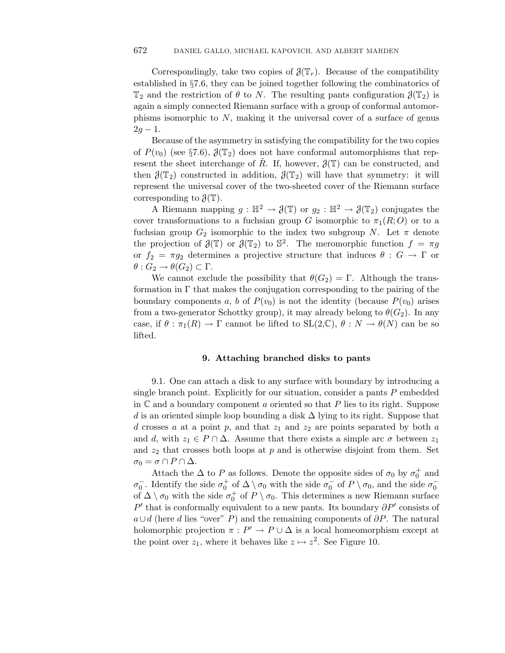Correspondingly, take two copies of  $\mathcal{J}(\mathbb{T}_r)$ . Because of the compatibility established in §7.6, they can be joined together following the combinatorics of  $\mathbb{T}_2$  and the restriction of  $\theta$  to *N*. The resulting pants configuration  $\mathcal{J}(\mathbb{T}_2)$  is again a simply connected Riemann surface with a group of conformal automorphisms isomorphic to *N*, making it the universal cover of a surface of genus  $2q - 1$ .

Because of the asymmetry in satisfying the compatibility for the two copies of  $P(v_0)$  (see §7.6),  $\mathcal{J}(\mathbb{T}_2)$  does not have conformal automorphisms that represent the sheet interchange of  $\tilde{R}$ . If, however,  $\mathcal{J}(\mathbb{T})$  can be constructed, and then  $\mathcal{J}(\mathbb{T}_2)$  constructed in addition,  $\mathcal{J}(\mathbb{T}_2)$  will have that symmetry: it will represent the universal cover of the two-sheeted cover of the Riemann surface corresponding to  $\mathfrak{J}(\mathbb{T})$ .

A Riemann mapping  $g : \mathbb{H}^2 \to \mathcal{J}(\mathbb{T})$  or  $q_2 : \mathbb{H}^2 \to \mathcal{J}(\mathbb{T}_2)$  conjugates the cover transformations to a fuchsian group *G* isomorphic to  $\pi_1(R; O)$  or to a fuchsian group  $G_2$  isomorphic to the index two subgroup *N*. Let  $\pi$  denote the projection of  $\mathfrak{J}(\mathbb{T})$  or  $\mathfrak{J}(\mathbb{T}_2)$  to  $\mathbb{S}^2$ . The meromorphic function  $f = \pi g$ or  $f_2 = \pi g_2$  determines a projective structure that induces  $\theta : G \to \Gamma$  or  $\theta$  :  $G_2 \to \theta(G_2) \subset \Gamma$ .

We cannot exclude the possibility that  $\theta(G_2) = \Gamma$ . Although the transformation in Γ that makes the conjugation corresponding to the pairing of the boundary components *a*, *b* of  $P(v_0)$  is not the identity (because  $P(v_0)$  arises from a two-generator Schottky group), it may already belong to  $\theta(G_2)$ . In any case, if  $\theta : \pi_1(R) \to \Gamma$  cannot be lifted to  $SL(2,\mathbb{C}), \theta : N \to \theta(N)$  can be so lifted.

### **9. Attaching branched disks to pants**

9.1. One can attach a disk to any surface with boundary by introducing a single branch point. Explicitly for our situation, consider a pants *P* embedded in C and a boundary component *a* oriented so that *P* lies to its right. Suppose *d* is an oriented simple loop bounding a disk ∆ lying to its right. Suppose that *d* crosses *a* at a point *p*, and that *z*<sup>1</sup> and *z*<sup>2</sup> are points separated by both *a* and *d*, with  $z_1 \in P \cap \Delta$ . Assume that there exists a simple arc  $\sigma$  between  $z_1$ and  $z_2$  that crosses both loops at  $p$  and is otherwise disjoint from them. Set  $\sigma_0 = \sigma \cap P \cap \Delta$ .

Attach the  $\Delta$  to *P* as follows. Denote the opposite sides of  $\sigma_0$  by  $\sigma_0^+$  and  $\sigma_0^-$ . Identify the side  $\sigma_0^+$  of  $\Delta \setminus \sigma_0$  with the side  $\sigma_0^-$  of  $P \setminus \sigma_0$ , and the side  $\sigma_0^$ of  $\Delta \setminus \sigma_0$  with the side  $\sigma_0^+$  of  $P \setminus \sigma_0$ . This determines a new Riemann surface  $P'$  that is conformally equivalent to a new pants. Its boundary  $\partial P'$  consists of *a*∪*d* (here *d* lies "over" *P*) and the remaining components of *∂P*. The natural holomorphic projection  $\pi : P' \to P \cup \Delta$  is a local homeomorphism except at the point over  $z_1$ , where it behaves like  $z \mapsto z^2$ . See Figure 10.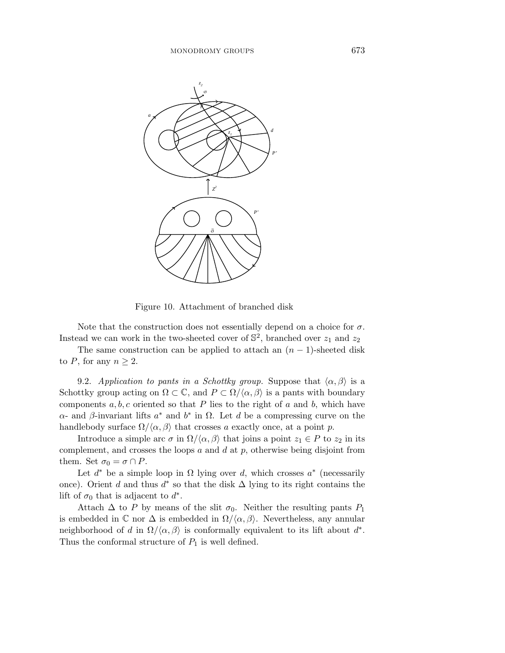

Figure 10. Attachment of branched disk

Note that the construction does not essentially depend on a choice for  $\sigma$ . Instead we can work in the two-sheeted cover of  $\mathbb{S}^2$ , branched over  $z_1$  and  $z_2$ 

The same construction can be applied to attach an  $(n-1)$ -sheeted disk to *P*, for any  $n \geq 2$ .

9.2. Application to pants in a Schottky group. Suppose that  $\langle \alpha, \beta \rangle$  is a Schottky group acting on  $\Omega \subset \mathbb{C}$ , and  $P \subset \Omega/(\alpha, \beta)$  is a pants with boundary components *a, b, c* oriented so that *P* lies to the right of *a* and *b*, which have *α*- and *β*-invariant lifts *a*∗ and *b*∗ in Ω. Let *d* be a compressing curve on the handlebody surface  $\Omega/\langle \alpha, \beta \rangle$  that crosses *a* exactly once, at a point *p*.

Introduce a simple arc  $\sigma$  in  $\Omega/\langle \alpha, \beta \rangle$  that joins a point  $z_1 \in P$  to  $z_2$  in its complement, and crosses the loops *a* and *d* at *p*, otherwise being disjoint from them. Set  $\sigma_0 = \sigma \cap P$ .

Let  $d^*$  be a simple loop in  $\Omega$  lying over  $d$ , which crosses  $a^*$  (necessarily once). Orient *d* and thus *d*∗ so that the disk ∆ lying to its right contains the lift of  $\sigma_0$  that is adjacent to  $d^*$ .

Attach  $\Delta$  to *P* by means of the slit  $\sigma_0$ . Neither the resulting pants  $P_1$ is embedded in  $\mathbb C$  nor  $\Delta$  is embedded in  $\Omega/\langle\alpha,\beta\rangle$ . Nevertheless, any annular neighborhood of *d* in  $\Omega/\langle \alpha, \beta \rangle$  is conformally equivalent to its lift about *d*<sup>\*</sup>. Thus the conformal structure of  $P_1$  is well defined.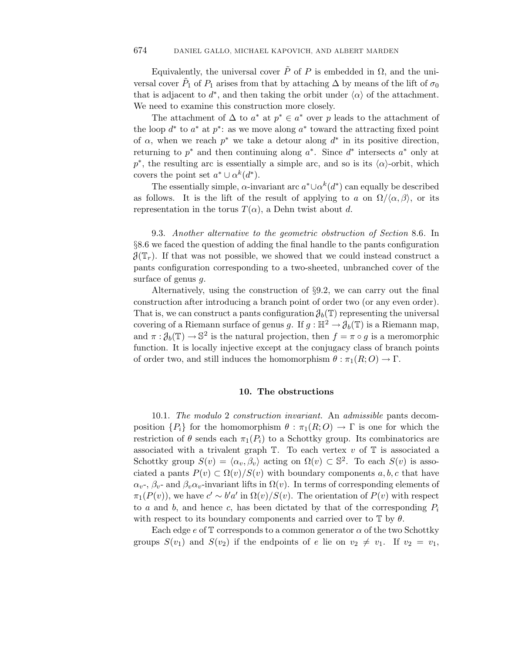Equivalently, the universal cover  $\tilde{P}$  of  $P$  is embedded in  $\Omega$ , and the universal cover  $\tilde{P}_1$  of  $P_1$  arises from that by attaching  $\Delta$  by means of the lift of  $\sigma_0$ that is adjacent to  $d^*$ , and then taking the orbit under  $\langle \alpha \rangle$  of the attachment. We need to examine this construction more closely.

The attachment of  $\Delta$  to  $a^*$  at  $p^* \in a^*$  over  $p$  leads to the attachment of the loop *d*∗ to *a*∗ at *p*∗: as we move along *a*∗ toward the attracting fixed point of  $\alpha$ , when we reach  $p^*$  we take a detour along  $d^*$  in its positive direction, returning to *p*∗ and then continuing along *a*∗. Since *d*∗ intersects *a*∗ only at  $p^*$ , the resulting arc is essentially a simple arc, and so is its  $\langle \alpha \rangle$ -orbit, which covers the point set  $a^* \cup \alpha^k(d^*)$ .

The essentially simple, *α*-invariant arc  $a^* \cup a^k(d^*)$  can equally be described as follows. It is the lift of the result of applying to *a* on  $\Omega/\langle \alpha, \beta \rangle$ , or its representation in the torus  $T(\alpha)$ , a Dehn twist about *d*.

9.3. Another alternative to the geometric obstruction of Section 8.6. In §8.6 we faced the question of adding the final handle to the pants configuration  $\mathcal{J}(\mathbb{T}_r)$ . If that was not possible, we showed that we could instead construct a pants configuration corresponding to a two-sheeted, unbranched cover of the surface of genus *g*.

Alternatively, using the construction of §9.2, we can carry out the final construction after introducing a branch point of order two (or any even order). That is, we can construct a pants configuration  $\partial_b(\mathbb{T})$  representing the universal covering of a Riemann surface of genus *g*. If  $g : \mathbb{H}^2 \to \mathcal{J}_b(\mathbb{T})$  is a Riemann map, and  $\pi : \mathcal{J}_b(\mathbb{T}) \to \mathbb{S}^2$  is the natural projection, then  $f = \pi \circ q$  is a meromorphic function. It is locally injective except at the conjugacy class of branch points of order two, and still induces the homomorphism  $\theta : \pi_1(R;O) \to \Gamma$ .

#### **10. The obstructions**

10.1. The modulo 2 construction invariant. An admissible pants decomposition  ${P_i}$  for the homomorphism  $\theta$  :  $\pi_1(R; O) \to \Gamma$  is one for which the restriction of  $\theta$  sends each  $\pi_1(P_i)$  to a Schottky group. Its combinatorics are associated with a trivalent graph  $\mathbb{T}$ . To each vertex  $v$  of  $\mathbb{T}$  is associated a Schottky group  $S(v) = \langle \alpha_v, \beta_v \rangle$  acting on  $\Omega(v) \subset \mathbb{S}^2$ . To each  $S(v)$  is associated a pants  $P(v) \subset \Omega(v)/S(v)$  with boundary components a, b, c that have  $\alpha_v$ -,  $\beta_v$ - and  $\beta_v \alpha_v$ -invariant lifts in  $\Omega(v)$ . In terms of corresponding elements of  $\pi_1(P(v))$ , we have  $c' \sim b'a'$  in  $\Omega(v)/S(v)$ . The orientation of  $P(v)$  with respect to *a* and *b*, and hence *c*, has been dictated by that of the corresponding  $P_i$ with respect to its boundary components and carried over to  $\mathbb{T}$  by  $\theta$ .

Each edge  $e$  of  $\mathbb T$  corresponds to a common generator  $\alpha$  of the two Schottky groups  $S(v_1)$  and  $S(v_2)$  if the endpoints of *e* lie on  $v_2 \neq v_1$ . If  $v_2 = v_1$ ,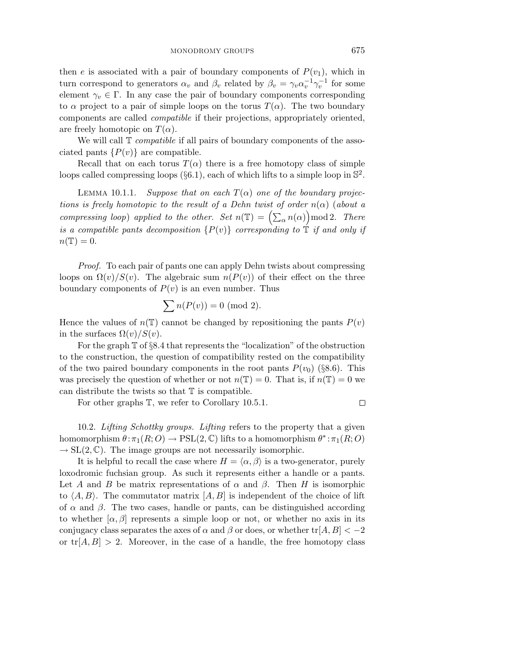then *e* is associated with a pair of boundary components of  $P(v_1)$ , which in turn correspond to generators  $\alpha_v$  and  $\beta_v$  related by  $\beta_v = \gamma_v \alpha_v^{-1} \gamma_v^{-1}$  for some element  $\gamma_v \in \Gamma$ . In any case the pair of boundary components corresponding to  $\alpha$  project to a pair of simple loops on the torus  $T(\alpha)$ . The two boundary components are called compatible if their projections, appropriately oriented, are freely homotopic on  $T(\alpha)$ .

We will call  $\mathbb T$  *compatible* if all pairs of boundary components of the associated pants  $\{P(v)\}\$ are compatible.

Recall that on each torus  $T(\alpha)$  there is a free homotopy class of simple loops called compressing loops  $(\S6.1)$ , each of which lifts to a simple loop in  $\S^2$ .

LEMMA 10.1.1. Suppose that on each  $T(\alpha)$  one of the boundary projections is freely homotopic to the result of a Dehn twist of order  $n(\alpha)$  (about a loops called compressing loops (§6.1), each of which lifts to a simple loop in  $\mathbb{S}^2$ .<br>
LEMMA 10.1.1. Suppose that on each  $T(\alpha)$  one of the boundary projections is freely homotopic to the result of a Dehn twist of or is a compatible pants decomposition  $\{P(v)\}$  corresponding to  $\mathbb T$  if and only if  $n(\mathbb{T})=0.$ 

Proof. To each pair of pants one can apply Dehn twists about compressing loops on  $\Omega(v)/S(v)$ . The algebraic sum  $n(P(v))$  of their effect on the three boundary components of  $P(v)$  is an even number. Thus

$$
\sum n(P(v)) = 0 \pmod{2}.
$$

Hence the values of  $n(\mathbb{T})$  cannot be changed by repositioning the pants  $P(v)$ in the surfaces  $\Omega(v)/S(v)$ .

For the graph  $\mathbb T$  of §8.4 that represents the "localization" of the obstruction to the construction, the question of compatibility rested on the compatibility of the two paired boundary components in the root pants  $P(v_0)$  (§8.6). This was precisely the question of whether or not  $n(\mathbb{T}) = 0$ . That is, if  $n(\mathbb{T}) = 0$  we can distribute the twists so that  $T$  is compatible.

For other graphs T, we refer to Corollary 10*.*5*.*1.

10.2. Lifting Schottky groups. Lifting refers to the property that a given homomorphism  $\theta : \pi_1(R; O) \to \text{PSL}(2, \mathbb{C})$  lifts to a homomorphism  $\theta^* : \pi_1(R; O)$  $\rightarrow$  SL(2,  $\mathbb{C}$ ). The image groups are not necessarily isomorphic.

It is helpful to recall the case where  $H = \langle \alpha, \beta \rangle$  is a two-generator, purely loxodromic fuchsian group. As such it represents either a handle or a pants. Let *A* and *B* be matrix representations of  $\alpha$  and  $\beta$ . Then *H* is isomorphic to  $\langle A, B \rangle$ . The commutator matrix  $[A, B]$  is independent of the choice of lift of  $\alpha$  and  $\beta$ . The two cases, handle or pants, can be distinguished according to whether  $[\alpha, \beta]$  represents a simple loop or not, or whether no axis in its conjugacy class separates the axes of  $\alpha$  and  $\beta$  or does, or whether tr[*A, B*]  $\langle$  −2 or  $tr[A, B] > 2$ . Moreover, in the case of a handle, the free homotopy class

 $\Box$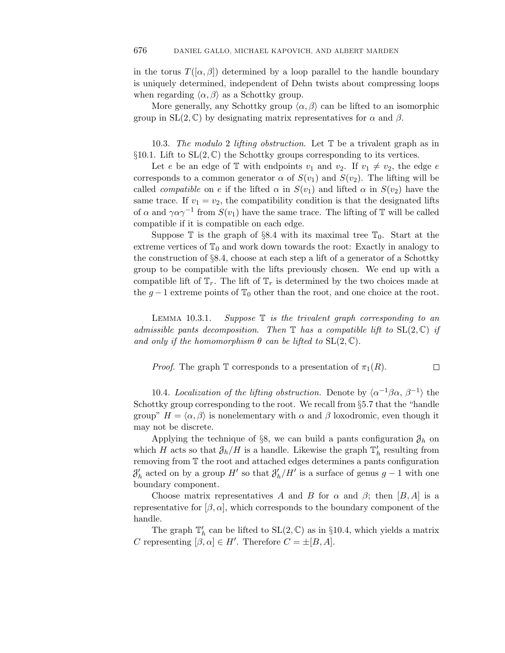in the torus  $T([\alpha, \beta])$  determined by a loop parallel to the handle boundary is uniquely determined, independent of Dehn twists about compressing loops when regarding  $\langle \alpha, \beta \rangle$  as a Schottky group.

More generally, any Schottky group  $\langle \alpha, \beta \rangle$  can be lifted to an isomorphic group in  $SL(2, \mathbb{C})$  by designating matrix representatives for  $\alpha$  and  $\beta$ .

10.3. The modulo 2 lifting obstruction. Let T be a trivalent graph as in §10.1. Lift to  $SL(2, \mathbb{C})$  the Schottky groups corresponding to its vertices.

Let *e* be an edge of  $\mathbb{T}$  with endpoints  $v_1$  and  $v_2$ . If  $v_1 \neq v_2$ , the edge *e* corresponds to a common generator  $\alpha$  of  $S(v_1)$  and  $S(v_2)$ . The lifting will be called *compatible* on *e* if the lifted  $\alpha$  in  $S(v_1)$  and lifted  $\alpha$  in  $S(v_2)$  have the same trace. If  $v_1 = v_2$ , the compatibility condition is that the designated lifts of  $\alpha$  and  $\gamma \alpha \gamma^{-1}$  from  $S(v_1)$  have the same trace. The lifting of T will be called compatible if it is compatible on each edge.

Suppose  $\mathbb T$  is the graph of §8.4 with its maximal tree  $\mathbb T_0$ . Start at the extreme vertices of  $\mathbb{T}_0$  and work down towards the root: Exactly in analogy to the construction of §8.4, choose at each step a lift of a generator of a Schottky group to be compatible with the lifts previously chosen. We end up with a compatible lift of  $\mathbb{T}_r$ . The lift of  $\mathbb{T}_r$  is determined by the two choices made at the  $g-1$  extreme points of  $\mathbb{T}_0$  other than the root, and one choice at the root.

LEMMA 10.3.1.  $Suppose \tT$  *is the trivalent graph corresponding to an* admissible pants decomposition. Then  $\mathbb T$  has a compatible lift to  $SL(2,\mathbb C)$  if and only if the homomorphism  $\theta$  can be lifted to  $SL(2,\mathbb{C})$ .

*Proof.* The graph  $\mathbb T$  corresponds to a presentation of  $\pi_1(R)$ .  $\Box$ 

10.4. Localization of the lifting obstruction. Denote by  $\langle \alpha^{-1}\beta\alpha, \beta^{-1} \rangle$  the Schottky group corresponding to the root. We recall from §5.7 that the "handle group"  $H = \langle \alpha, \beta \rangle$  is nonelementary with  $\alpha$  and  $\beta$  loxodromic, even though it may not be discrete.

Applying the technique of §8, we can build a pants configuration  $\mathcal{J}_h$  on which *H* acts so that  $\partial_h/H$  is a handle. Likewise the graph  $\mathbb{T}'_h$  resulting from removing from T the root and attached edges determines a pants configuration  $\mathcal{J}'_h$  acted on by a group *H*<sup>*'*</sup> so that  $\mathcal{J}'_h$ /*H'* is a surface of genus *g* − 1 with one boundary component.

Choose matrix representatives A and B for  $\alpha$  and  $\beta$ ; then  $[B, A]$  is a representative for  $[\beta, \alpha]$ , which corresponds to the boundary component of the handle.

The graph  $\mathbb{T}'_h$  can be lifted to  $\mathrm{SL}(2,\mathbb{C})$  as in §10.4, which yields a matrix *C* representing  $[\beta, \alpha] \in H'$ . Therefore  $C = \pm [B, A]$ .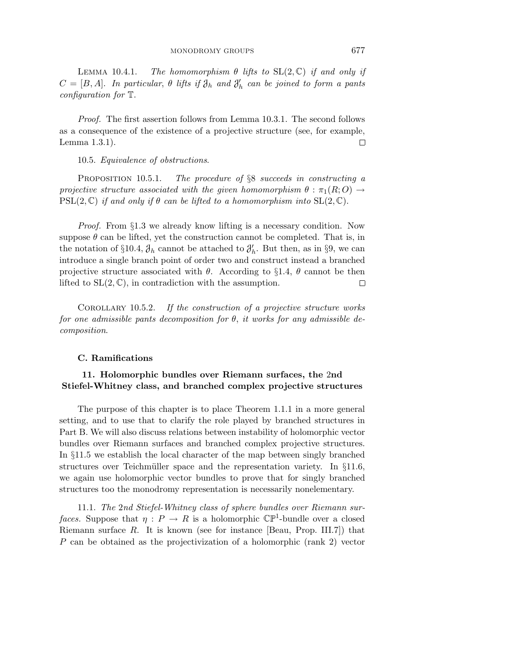Proof. The first assertion follows from Lemma 10*.*3*.*1. The second follows as a consequence of the existence of a projective structure (see, for example, Lemma 1*.*3*.*1).  $\Box$ 

10.5. Equivalence of obstructions.

PROPOSITION 10.5.1. The procedure of §8 succeeds in constructing a projective structure associated with the given homomorphism  $\theta$  :  $\pi_1(R;O) \rightarrow$  $PSL(2,\mathbb{C})$  if and only if  $\theta$  can be lifted to a homomorphism into  $SL(2,\mathbb{C})$ .

Proof. From §1.3 we already know lifting is a necessary condition. Now suppose  $\theta$  can be lifted, yet the construction cannot be completed. That is, in the notation of §10.4,  $\mathcal{J}_h$  cannot be attached to  $\mathcal{J}'_h$ . But then, as in §9, we can introduce a single branch point of order two and construct instead a branched projective structure associated with  $\theta$ . According to §1.4,  $\theta$  cannot be then lifted to  $SL(2, \mathbb{C})$ , in contradiction with the assumption.  $\Box$ 

Corollary 10*.*5*.*2. If the construction of a projective structure works for one admissible pants decomposition for *θ*, it works for any admissible decomposition.

## **C. Ramifications**

# **11. Holomorphic bundles over Riemann surfaces, the** 2**nd Stiefel-Whitney class, and branched complex projective structures**

The purpose of this chapter is to place Theorem 1*.*1*.*1 in a more general setting, and to use that to clarify the role played by branched structures in Part B. We will also discuss relations between instability of holomorphic vector bundles over Riemann surfaces and branched complex projective structures. In §11.5 we establish the local character of the map between singly branched structures over Teichmüller space and the representation variety. In  $\S 11.6$ , we again use holomorphic vector bundles to prove that for singly branched structures too the monodromy representation is necessarily nonelementary.

11.1. The 2nd Stiefel-Whitney class of sphere bundles over Riemann surfaces. Suppose that  $\eta$  :  $P \to R$  is a holomorphic  $\mathbb{CP}^1$ -bundle over a closed Riemann surface *R*. It is known (see for instance [Beau, Prop. III.7]) that *P* can be obtained as the projectivization of a holomorphic (rank 2) vector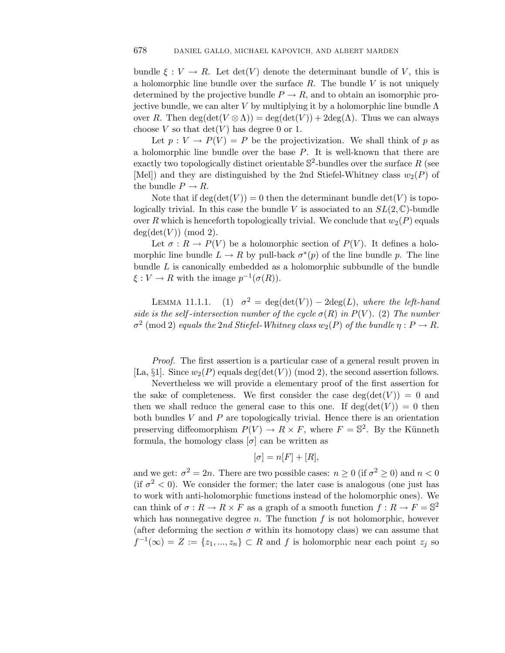bundle  $\xi: V \to R$ . Let  $\det(V)$  denote the determinant bundle of *V*, this is a holomorphic line bundle over the surface *R*. The bundle *V* is not uniquely determined by the projective bundle  $P \to R$ , and to obtain an isomorphic projective bundle, we can alter *V* by multiplying it by a holomorphic line bundle Λ over *R*. Then deg(det( $V \otimes \Lambda$ )) = deg(det( $V$ )) + 2deg( $\Lambda$ ). Thus we can always choose *V* so that  $\det(V)$  has degree 0 or 1.

Let  $p: V \to P(V) = P$  be the projectivization. We shall think of p as a holomorphic line bundle over the base *P*. It is well-known that there are exactly two topologically distinct orientable  $\mathbb{S}^2$ -bundles over the surface R (see [Mel]) and they are distinguished by the 2nd Stiefel-Whitney class  $w_2(P)$  of the bundle  $P \to R$ .

Note that if  $deg(det(V)) = 0$  then the determinant bundle  $det(V)$  is topologically trivial. In this case the bundle *V* is associated to an  $SL(2,\mathbb{C})$ -bundle over *R* which is henceforth topologically trivial. We conclude that  $w_2(P)$  equals  $deg(det(V))$  (mod 2).

Let  $\sigma: R \to P(V)$  be a holomorphic section of  $P(V)$ . It defines a holomorphic line bundle  $L \to R$  by pull-back  $\sigma^*(p)$  of the line bundle *p*. The line bundle *L* is canonically embedded as a holomorphic subbundle of the bundle  $\xi: V \to R$  with the image  $p^{-1}(\sigma(R))$ .

LEMMA 11.1.1. (1)  $\sigma^2 = \deg(\det(V)) - 2\deg(L)$ , where the left-hand side is the self-intersection number of the cycle  $\sigma(R)$  in  $P(V)$ . (2) The number  $\sigma^2$  (mod 2) equals the 2nd Stiefel-Whitney class  $w_2(P)$  of the bundle  $\eta : P \to R$ .

Proof. The first assertion is a particular case of a general result proven in [La,  $\S1$ ]. Since  $w_2(P)$  equals deg(det(V)) (mod 2), the second assertion follows.

Nevertheless we will provide a elementary proof of the first assertion for the sake of completeness. We first consider the case  $\deg(\det(V)) = 0$  and then we shall reduce the general case to this one. If  $deg(det(V)) = 0$  then both bundles *V* and *P* are topologically trivial. Hence there is an orientation preserving diffeomorphism  $P(V) \to R \times F$ , where  $F = \mathbb{S}^2$ . By the Künneth formula, the homology class  $[\sigma]$  can be written as

$$
[\sigma] = n[F] + [R],
$$

and we get:  $\sigma^2 = 2n$ . There are two possible cases:  $n \geq 0$  (if  $\sigma^2 \geq 0$ ) and  $n < 0$ (if  $\sigma^2$  < 0). We consider the former; the later case is analogous (one just has to work with anti-holomorphic functions instead of the holomorphic ones). We can think of  $\sigma: R \to R \times F$  as a graph of a smooth function  $f: R \to F = \mathbb{S}^2$ which has nonnegative degree  $n$ . The function  $f$  is not holomorphic, however (after deforming the section  $\sigma$  within its homotopy class) we can assume that  $f^{-1}(\infty) = Z := \{z_1, ..., z_n\} \subset R$  and *f* is holomorphic near each point  $z_j$  so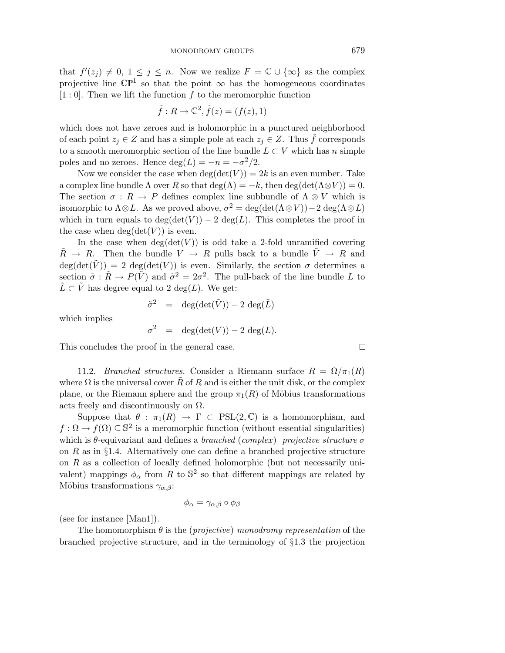that  $f'(z_j) \neq 0, 1 \leq j \leq n$ . Now we realize  $F = \mathbb{C} \cup \{\infty\}$  as the complex projective line  $\mathbb{CP}^1$  so that the point  $\infty$  has the homogeneous coordinates [1 : 0]. Then we lift the function *f* to the meromorphic function

$$
\tilde{f}: R \to \mathbb{C}^2, \tilde{f}(z) = (f(z), 1)
$$

which does not have zeroes and is holomorphic in a punctured neighborhood of each point  $z_j \in Z$  and has a simple pole at each  $z_j \in Z$ . Thus f corresponds to a smooth meromorphic section of the line bundle  $L \subset V$  which has *n* simple poles and no zeroes. Hence  $deg(L) = -n = -\sigma^2/2$ .

Now we consider the case when  $deg(det(V)) = 2k$  is an even number. Take a complex line bundle  $\Lambda$  over  $R$  so that deg( $\Lambda$ ) =  $-k$ , then deg(det( $\Lambda \otimes V$ )) = 0. The section  $\sigma : R \to P$  defines complex line subbundle of  $\Lambda \otimes V$  which is isomorphic to  $\Lambda \otimes L$ . As we proved above,  $\sigma^2 = \deg(\det(\Lambda \otimes V)) - 2 \deg(\Lambda \otimes L)$ which in turn equals to  $deg(det(V)) - 2 deg(L)$ . This completes the proof in the case when  $deg(det(V))$  is even.

In the case when  $deg(det(V))$  is odd take a 2-fold unramified covering  $\tilde{R} \rightarrow R$ . Then the bundle  $V \rightarrow R$  pulls back to a bundle  $\tilde{V} \rightarrow R$  and  $deg(det(\tilde{V})) = 2 deg(det(V))$  is even. Similarly, the section  $\sigma$  determines a section  $\tilde{\sigma}$ :  $\tilde{R} \to P(\tilde{V})$  and  $\tilde{\sigma}^2 = 2\sigma^2$ . The pull-back of the line bundle *L* to  $\tilde{L} \subset \tilde{V}$  has degree equal to 2 deg(*L*). We get:

$$
\tilde{\sigma}^2 = \deg(\det(\tilde{V})) - 2 \deg(\tilde{L})
$$

which implies

$$
\sigma^2 = \deg(\det(V)) - 2 \deg(L).
$$

This concludes the proof in the general case.

11.2. *Branched structures*. Consider a Riemann surface  $R = \Omega/\pi_1(R)$ where  $\Omega$  is the universal cover *R* of *R* and is either the unit disk, or the complex plane, or the Riemann sphere and the group  $\pi_1(R)$  of Möbius transformations acts freely and discontinuously on  $\Omega$ .

Suppose that  $\theta$  :  $\pi_1(R) \to \Gamma \subset \text{PSL}(2,\mathbb{C})$  is a homomorphism, and  $f: \Omega \to f(\Omega) \subseteq \mathbb{S}^2$  is a meromorphic function (without essential singularities) which is  $\theta$ -equivariant and defines a *branched* (complex) projective structure  $\sigma$ on  $R$  as in  $\S 1.4$ . Alternatively one can define a branched projective structure on *R* as a collection of locally defined holomorphic (but not necessarily univalent) mappings  $\phi_{\alpha}$  from *R* to  $\mathbb{S}^2$  so that different mappings are related by Möbius transformations  $\gamma_{\alpha,\beta}$ :

$$
\phi_{\alpha} = \gamma_{\alpha,\beta} \circ \phi_{\beta}
$$

(see for instance [Man1]).

The homomorphism  $\theta$  is the (*projective*) monodromy representation of the branched projective structure, and in the terminology of §1.3 the projection

 $\Box$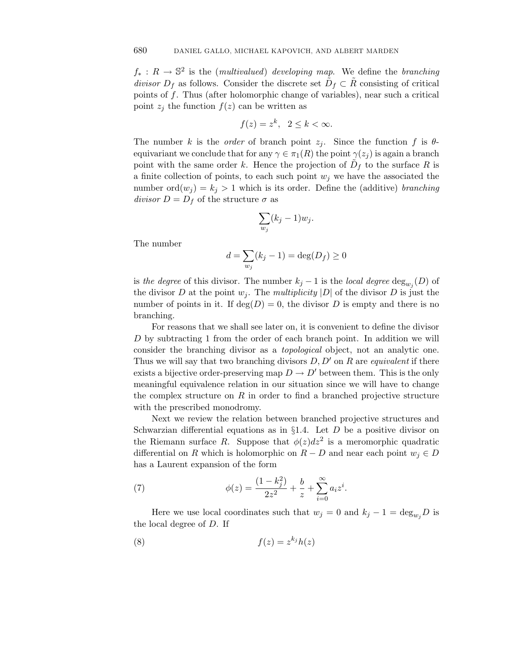$f_*: R \to \mathbb{S}^2$  is the (*multivalued*) developing map. We define the branching divisor  $D_f$  as follows. Consider the discrete set  $\tilde{D}_f \subset \tilde{R}$  consisting of critical points of *f*. Thus (after holomorphic change of variables), near such a critical point  $z_j$  the function  $f(z)$  can be written as

$$
f(z) = z^k, \ \ 2 \le k < \infty.
$$

The number *k* is the *order* of branch point  $z_j$ . Since the function  $f$  is  $\theta$ equivariant we conclude that for any  $\gamma \in \pi_1(R)$  the point  $\gamma(z_i)$  is again a branch point with the same order *k*. Hence the projection of  $D_f$  to the surface R is a finite collection of points, to each such point  $w_j$  we have the associated the number  $\text{ord}(w_j) = k_j > 1$  which is its order. Define the (additive) branching  $divisor D = D_f$  of the structure  $\sigma$  as

$$
\sum_{w_j} (k_j - 1) w_j.
$$

The number

$$
\sum_{w_j} (k_j - 1) w_j.
$$

$$
d = \sum_{w_j} (k_j - 1) = \deg(D_f) \ge 0
$$

is the degree of this divisor. The number  $k_j - 1$  is the local degree  $\deg_{w_i}(D)$  of the divisor *D* at the point  $w_j$ . The *multiplicity* |*D*| of the divisor *D* is just the number of points in it. If  $deg(D) = 0$ , the divisor D is empty and there is no branching.

For reasons that we shall see later on, it is convenient to define the divisor *D* by subtracting 1 from the order of each branch point. In addition we will consider the branching divisor as a topological object, not an analytic one. Thus we will say that two branching divisors  $D, D'$  on  $R$  are *equivalent* if there exists a bijective order-preserving map  $D \to D'$  between them. This is the only meaningful equivalence relation in our situation since we will have to change the complex structure on *R* in order to find a branched projective structure with the prescribed monodromy.

Next we review the relation between branched projective structures and Schwarzian differential equations as in §1.4. Let *D* be a positive divisor on the Riemann surface *R*. Suppose that  $\phi(z)dz^2$  is a meromorphic quadratic differential on *R* which is holomorphic on  $R - D$  and near each point  $w_j \in D$ has a Laurent expansion of the form  $\begin{align} \n\int dz^2 \n- D \n\end{align}$ 

(7) 
$$
\phi(z) = \frac{(1 - k_j^2)}{2z^2} + \frac{b}{z} + \sum_{i=0}^{\infty} a_i z^i.
$$

Here we use local coordinates such that  $w_j = 0$  and  $k_j - 1 = \deg_{w_j} D$  is the local degree of *D*. If

$$
(8) \t\t f(z) = z^{k_j}h(z)
$$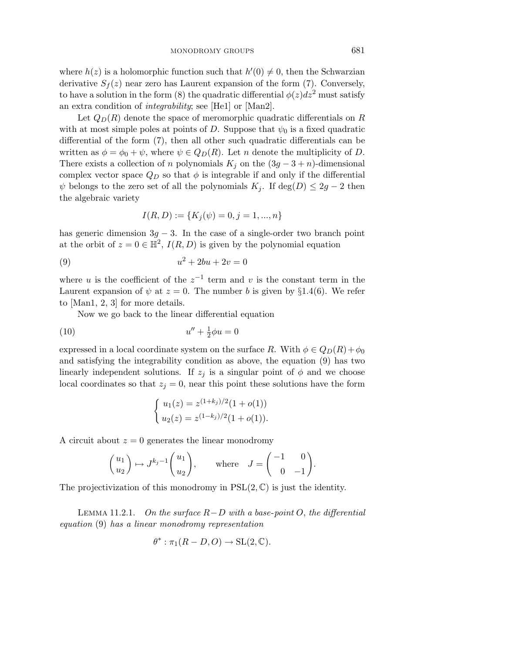where  $h(z)$  is a holomorphic function such that  $h'(0) \neq 0$ , then the Schwarzian derivative  $S_f(z)$  near zero has Laurent expansion of the form (7). Conversely, to have a solution in the form (8) the quadratic differential  $\phi(z)dz^2$  must satisfy an extra condition of integrability; see [He1] or [Man2].

Let  $Q_D(R)$  denote the space of meromorphic quadratic differentials on  $R$ with at most simple poles at points of *D*. Suppose that  $\psi_0$  is a fixed quadratic differential of the form (7), then all other such quadratic differentials can be written as  $\phi = \phi_0 + \psi$ , where  $\psi \in Q_D(R)$ . Let *n* denote the multiplicity of *D*. There exists a collection of *n* polynomials  $K_j$  on the  $(3g - 3 + n)$ -dimensional complex vector space  $Q_D$  so that  $\phi$  is integrable if and only if the differential  $\psi$  belongs to the zero set of all the polynomials  $K_i$ . If deg(*D*)  $\leq 2g - 2$  then the algebraic variety

$$
I(R, D) := \{ K_j(\psi) = 0, j = 1, ..., n \}
$$

has generic dimension  $3g - 3$ . In the case of a single-order two branch point at the orbit of  $z = 0 \in \mathbb{H}^2$ ,  $I(R, D)$  is given by the polynomial equation

(9) 
$$
u^2 + 2bu + 2v = 0
$$

where *u* is the coefficient of the  $z^{-1}$  term and *v* is the constant term in the Laurent expansion of  $\psi$  at  $z = 0$ . The number *b* is given by §1.4(6). We refer to [Man1, 2, 3] for more details.

Now we go back to the linear differential equation

$$
(10)\qquad \qquad u'' + \frac{1}{2}\phi u = 0
$$

expressed in a local coordinate system on the surface *R*. With  $\phi \in Q_D(R) + \phi_0$ and satisfying the integrability condition as above, the equation (9) has two (linearly independent solutions. If  $z_j$  is a singular point of  $\phi$  and we choose local coordinates so that  $z_j = 0$ , near this point these solutions have the form

$$
\begin{cases}\nu_1(z) = z^{(1+k_j)/2}(1+o(1)) \\
u_2(z) = z^{(1-k_j)/2}(1+o(1)).\n\end{cases}
$$

A circuit about  $z = 0$  generates the linear monodromy

$$
\begin{pmatrix} u_1 \\ u_2 \end{pmatrix} \mapsto J^{k_j - 1} \begin{pmatrix} u_1 \\ u_2 \end{pmatrix}, \quad \text{where} \quad J = \begin{pmatrix} -1 & 0 \\ 0 & -1 \end{pmatrix}.
$$

The projectivization of this monodromy in  $PSL(2,\mathbb{C})$  is just the identity.

LEMMA 11.2.1. On the surface  $R−D$  with a base-point  $O$ , the differential equation (9) has a linear monodromy representation

$$
\theta^* : \pi_1(R - D, O) \to SL(2, \mathbb{C}).
$$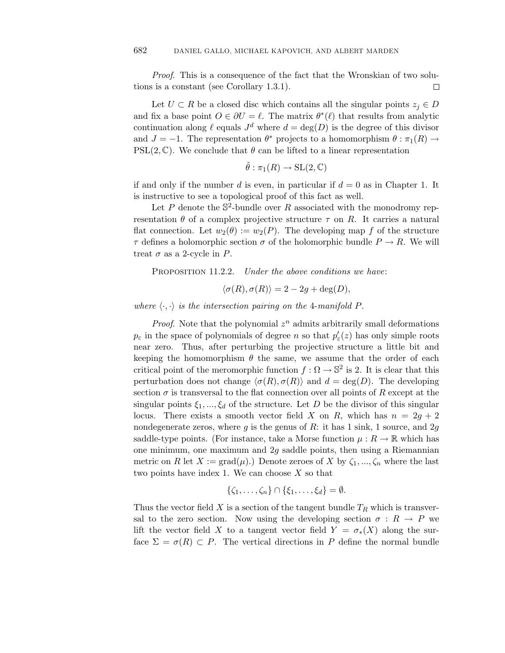Proof. This is a consequence of the fact that the Wronskian of two solutions is a constant (see Corollary 1*.*3*.*1).  $\Box$ 

Let  $U \subset R$  be a closed disc which contains all the singular points  $z_j \in D$ and fix a base point  $O \in \partial U = \ell$ . The matrix  $\theta^*(\ell)$  that results from analytic continuation along  $\ell$  equals  $J^d$  where  $d = \deg(D)$  is the degree of this divisor and  $J = -1$ . The representation  $\theta^*$  projects to a homomorphism  $\theta : \pi_1(R) \to$ PSL(2,  $\mathbb{C}$ ). We conclude that  $\theta$  can be lifted to a linear representation

$$
\tilde{\theta} : \pi_1(R) \to SL(2,\mathbb{C})
$$

if and only if the number *d* is even, in particular if  $d = 0$  as in Chapter 1. It is instructive to see a topological proof of this fact as well.

Let P denote the  $\mathbb{S}^2$ -bundle over R associated with the monodromy representation  $\theta$  of a complex projective structure  $\tau$  on  $R$ . It carries a natural flat connection. Let  $w_2(\theta) := w_2(P)$ . The developing map f of the structure *τ* defines a holomorphic section *σ* of the holomorphic bundle  $P \to R$ . We will treat  $\sigma$  as a 2-cycle in  $P$ .

PROPOSITION 11.2.2. *Under the above conditions we have:* 

$$
\langle \sigma(R), \sigma(R) \rangle = 2 - 2g + \deg(D),
$$

where  $\langle \cdot, \cdot \rangle$  is the intersection pairing on the 4-manifold *P*.

*Proof.* Note that the polynomial  $z^n$  admits arbitrarily small deformations  $p_{\varepsilon}$  in the space of polynomials of degree *n* so that  $p'_{\varepsilon}(z)$  has only simple roots near zero. Thus, after perturbing the projective structure a little bit and keeping the homomorphism  $\theta$  the same, we assume that the order of each critical point of the meromorphic function  $f : \Omega \to \mathbb{S}^2$  is 2. It is clear that this perturbation does not change  $\langle \sigma(R), \sigma(R) \rangle$  and  $d = \deg(D)$ . The developing section  $\sigma$  is transversal to the flat connection over all points of  $R$  except at the singular points  $\xi_1, ..., \xi_d$  of the structure. Let *D* be the divisor of this singular locus. There exists a smooth vector field *X* on *R*, which has  $n = 2g + 2$ nondegenerate zeros, where *g* is the genus of *R*: it has 1 sink, 1 source, and 2*g* saddle-type points. (For instance, take a Morse function  $\mu : R \to \mathbb{R}$  which has one minimum, one maximum and 2*g* saddle points, then using a Riemannian metric on *R* let  $X := \text{grad}(\mu)$ .) Denote zeroes of *X* by  $\zeta_1, ..., \zeta_n$  where the last two points have index 1. We can choose *X* so that

$$
\{\zeta_1,\ldots,\zeta_n\}\cap\{\xi_1,\ldots,\xi_d\}=\emptyset.
$$

Thus the vector field  $X$  is a section of the tangent bundle  $T_R$  which is transversal to the zero section. Now using the developing section  $\sigma : R \to P$  we lift the vector field *X* to a tangent vector field  $Y = \sigma_*(X)$  along the surface  $\Sigma = \sigma(R) \subset P$ . The vertical directions in P define the normal bundle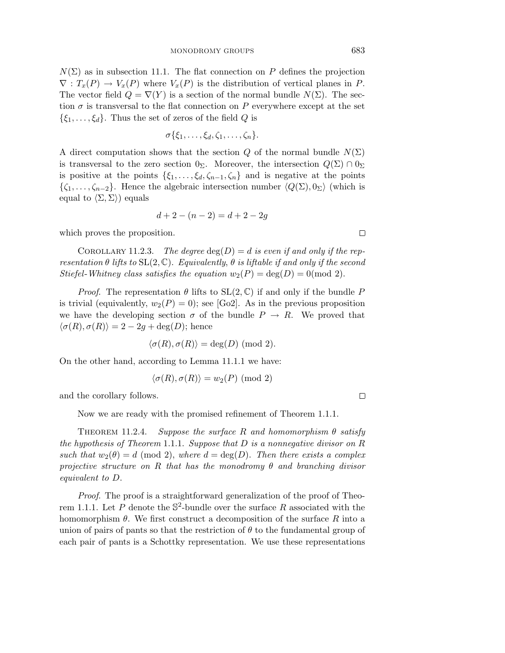$N(\Sigma)$  as in subsection 11.1. The flat connection on *P* defines the projection  $\nabla$ :  $T_x(P) \to V_x(P)$  where  $V_x(P)$  is the distribution of vertical planes in *P*. The vector field  $Q = \nabla(Y)$  is a section of the normal bundle  $N(\Sigma)$ . The section  $\sigma$  is transversal to the flat connection on P everywhere except at the set  $\{\xi_1,\ldots,\xi_d\}$ . Thus the set of zeros of the field *Q* is

$$
\sigma\{\xi_1,\ldots,\xi_d,\zeta_1,\ldots,\zeta_n\}.
$$

A direct computation shows that the section *Q* of the normal bundle  $N(\Sigma)$ is transversal to the zero section  $0_{\Sigma}$ . Moreover, the intersection  $Q(\Sigma) \cap 0_{\Sigma}$ is positive at the points  $\{\xi_1, \ldots, \xi_d, \zeta_{n-1}, \zeta_n\}$  and is negative at the points  $\{\zeta_1,\ldots,\zeta_{n-2}\}.$  Hence the algebraic intersection number  $\langle Q(\Sigma),0_\Sigma\rangle$  (which is equal to  $\langle \Sigma, \Sigma \rangle$ ) equals

$$
d + 2 - (n - 2) = d + 2 - 2g
$$

which proves the proposition.

COROLLARY 11.2.3. The degree  $deg(D) = d$  is even if and only if the representation  $\theta$  lifts to  $SL(2,\mathbb{C})$ . Equivalently,  $\theta$  is liftable if and only if the second Stiefel-Whitney class satisfies the equation  $w_2(P) = \deg(D) = 0 \pmod{2}$ .

*Proof.* The representation  $\theta$  lifts to  $SL(2,\mathbb{C})$  if and only if the bundle P is trivial (equivalently,  $w_2(P) = 0$ ); see [Go2]. As in the previous proposition we have the developing section  $\sigma$  of the bundle  $P \to R$ . We proved that  $\langle \sigma(R), \sigma(R) \rangle = 2 - 2g + \text{deg}(D)$ ; hence

$$
\langle \sigma(R), \sigma(R) \rangle = \deg(D) \pmod{2}.
$$

On the other hand, according to Lemma 11*.*1*.*1 we have:

$$
\langle \sigma(R), \sigma(R) \rangle = w_2(P) \pmod{2}
$$

and the corollary follows.

Now we are ready with the promised refinement of Theorem 1*.*1*.*1.

THEOREM 11.2.4. Suppose the surface  $R$  and homomorphism  $\theta$  satisfy the hypothesis of Theorem 1*.*1*.*1. Suppose that *D* is a nonnegative divisor on *R* such that  $w_2(\theta) = d \pmod{2}$ , where  $d = \deg(D)$ . Then there exists a complex projective structure on *R* that has the monodromy *θ* and branching divisor equivalent to *D*.

Proof. The proof is a straightforward generalization of the proof of Theorem 1.1.1. Let P denote the  $\mathbb{S}^2$ -bundle over the surface R associated with the homomorphism  $\theta$ . We first construct a decomposition of the surface R into a union of pairs of pants so that the restriction of  $\theta$  to the fundamental group of each pair of pants is a Schottky representation. We use these representations

 $\Box$ 

 $\Box$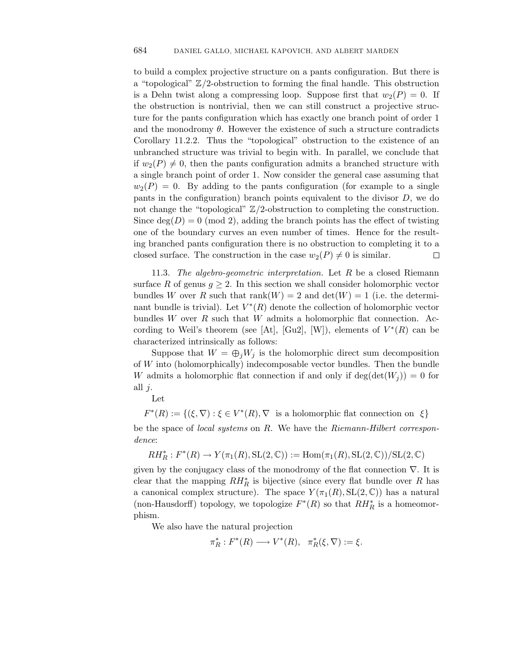to build a complex projective structure on a pants configuration. But there is a "topological" Z*/*2-obstruction to forming the final handle. This obstruction is a Dehn twist along a compressing loop. Suppose first that  $w_2(P) = 0$ . If the obstruction is nontrivial, then we can still construct a projective structure for the pants configuration which has exactly one branch point of order 1 and the monodromy  $\theta$ . However the existence of such a structure contradicts Corollary 11*.*2*.*2. Thus the "topological" obstruction to the existence of an unbranched structure was trivial to begin with. In parallel, we conclude that if  $w_2(P) \neq 0$ , then the pants configuration admits a branched structure with a single branch point of order 1. Now consider the general case assuming that  $w_2(P) = 0$ . By adding to the pants configuration (for example to a single pants in the configuration) branch points equivalent to the divisor *D*, we do not change the "topological" Z*/*2-obstruction to completing the construction. Since  $\deg(D) = 0 \pmod{2}$ , adding the branch points has the effect of twisting one of the boundary curves an even number of times. Hence for the resulting branched pants configuration there is no obstruction to completing it to a closed surface. The construction in the case  $w_2(P) \neq 0$  is similar. □

11.3. The algebro-geometric interpretation. Let *R* be a closed Riemann surface R of genus  $g \geq 2$ . In this section we shall consider holomorphic vector bundles *W* over *R* such that  $rank(W) = 2$  and  $det(W) = 1$  (i.e. the determinant bundle is trivial). Let  $V^*(R)$  denote the collection of holomorphic vector bundles *W* over *R* such that *W* admits a holomorphic flat connection. According to Weil's theorem (see [At], [Gu2], [W]), elements of  $V^*(R)$  can be characterized intrinsically as follows:

Suppose that  $W = \bigoplus_i W_j$  is the holomorphic direct sum decomposition of *W* into (holomorphically) indecomposable vector bundles. Then the bundle *W* admits a holomorphic flat connection if and only if  $\deg(\det(W_i)) = 0$  for all *j*.

Let

 $F^*(R) := \{(\xi, \nabla) : \xi \in V^*(R), \nabla$  is a holomorphic flat connection on  $\xi\}$ be the space of local systems on *R*. We have the Riemann-Hilbert correspondence:

 $RH_R^*: F^*(R) \to Y(\pi_1(R), \text{SL}(2, \mathbb{C})) := \text{Hom}(\pi_1(R), \text{SL}(2, \mathbb{C})) / \text{SL}(2, \mathbb{C})$ 

given by the conjugacy class of the monodromy of the flat connection  $\nabla$ . It is clear that the mapping *RH*∗ *<sup>R</sup>* is bijective (since every flat bundle over *R* has a canonical complex structure). The space  $Y(\pi_1(R), SL(2, \mathbb{C}))$  has a natural (non-Hausdorff) topology, we topologize  $F^*(R)$  so that  $RH_R^*$  is a homeomorphism.

We also have the natural projection

 $\pi_R^*: F^*(R) \longrightarrow V^*(R), \quad \pi_R^*(\xi, \nabla) := \xi.$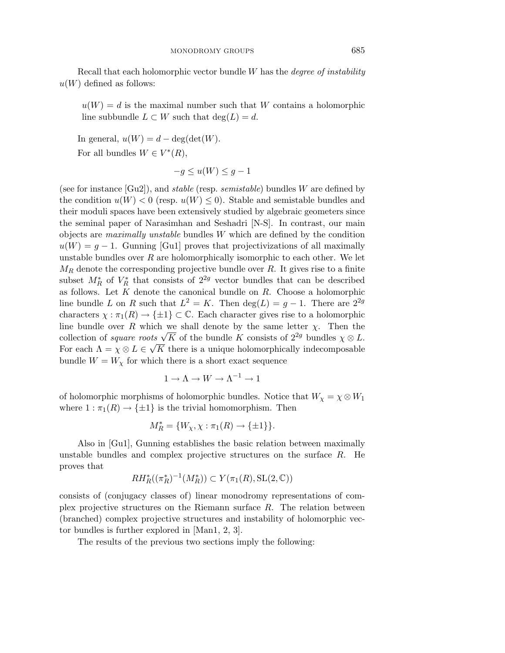Recall that each holomorphic vector bundle *W* has the degree of instability  $u(W)$  defined as follows:

 $u(W) = d$  is the maximal number such that *W* contains a holomorphic line subbundle  $L \subset W$  such that  $deg(L) = d$ .

In general,  $u(W) = d - \deg(\det(W))$ . For all bundles  $W \in V^*(R)$ ,

$$
-g \le u(W) \le g - 1
$$

(see for instance [Gu2]), and stable (resp. semistable) bundles *W* are defined by the condition  $u(W) < 0$  (resp.  $u(W) \leq 0$ ). Stable and semistable bundles and their moduli spaces have been extensively studied by algebraic geometers since the seminal paper of Narasimhan and Seshadri [N-S]. In contrast, our main objects are maximally unstable bundles *W* which are defined by the condition  $u(W) = q - 1$ . Gunning [Gu1] proves that projectivizations of all maximally unstable bundles over *R* are holomorphically isomorphic to each other. We let *M<sup>R</sup>* denote the corresponding projective bundle over *R*. It gives rise to a finite subset  $M_R^*$  of  $V_R^*$  that consists of  $2^{2g}$  vector bundles that can be described as follows. Let *K* denote the canonical bundle on *R*. Choose a holomorphic line bundle *L* on *R* such that  $L^2 = K$ . Then deg(*L*) = *g* − 1. There are  $2^{2g}$ characters  $\chi : \pi_1(R) \to \{\pm 1\} \subset \mathbb{C}$ . Each character gives rise to a holomorphic line bundle over *R* which we shall denote by the same letter *χ*. Then the Fine bundle over *R* which we shall denote by the same letter  $\chi$ . Then the collection of *square roots*  $\sqrt{K}$  of the bundle *K* consists of  $2^{2g}$  bundles  $\chi \otimes L$ . For each  $\Lambda = \chi \otimes L \in \sqrt{K}$  there is a unique holomorphically indecomposable bundle  $W = W_\chi$  for which there is a short exact sequence

$$
1 \to \Lambda \to W \to \Lambda^{-1} \to 1
$$

of holomorphic morphisms of holomorphic bundles. Notice that  $W_\chi = \chi \otimes W_1$ where  $1 : \pi_1(R) \to {\pm 1}$  is the trivial homomorphism. Then

$$
M_R^* = \{W_\chi, \chi : \pi_1(R) \to \{\pm 1\}\}.
$$

Also in [Gu1], Gunning establishes the basic relation between maximally unstable bundles and complex projective structures on the surface *R*. He proves that

$$
RH^*_{R}((\pi^*_R)^{-1}(M^*_R)) \subset Y(\pi_1(R), \text{SL}(2, \mathbb{C}))
$$

consists of (conjugacy classes of) linear monodromy representations of complex projective structures on the Riemann surface *R*. The relation between (branched) complex projective structures and instability of holomorphic vector bundles is further explored in [Man1, 2, 3].

The results of the previous two sections imply the following: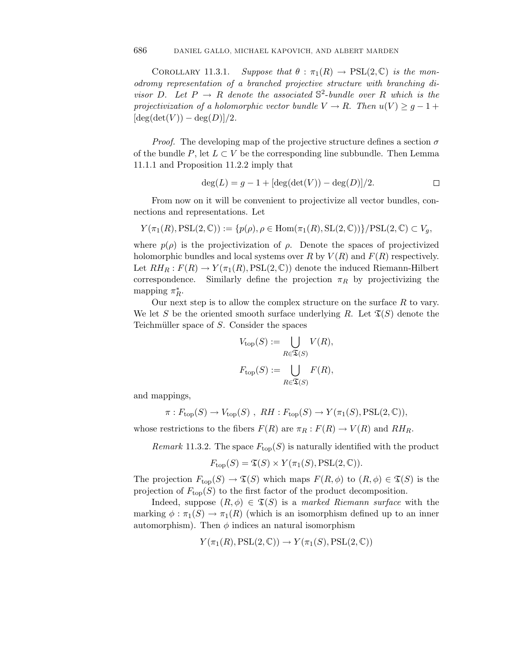COROLLARY 11.3.1.  $Suppose that  $\theta : \pi_1(R) \to \text{PSL}(2, \mathbb{C})$  is the mon$ odromy representation of a branched projective structure with branching divisor *D*. Let  $P \rightarrow R$  denote the associated  $\mathbb{S}^2$ -bundle over *R* which is the projectivization of a holomorphic vector bundle  $V \to R$ . Then  $u(V) \geq g - 1 +$  $[\deg(\det(V)) - \deg(D)]/2.$ 

*Proof.* The developing map of the projective structure defines a section  $\sigma$ of the bundle  $P$ , let  $L \subset V$  be the corresponding line subbundle. Then Lemma 11*.*1*.*1 and Proposition 11*.*2*.*2 imply that

$$
deg(L) = g - 1 + [deg(det(V)) - deg(D)]/2.
$$

From now on it will be convenient to projectivize all vector bundles, connections and representations. Let

$$
Y(\pi_1(R), \mathrm{PSL}(2, \mathbb{C})) := \{p(\rho), \rho \in \mathrm{Hom}(\pi_1(R), \mathrm{SL}(2, \mathbb{C}))\}/\mathrm{PSL}(2, \mathbb{C}) \subset V_g,
$$

where  $p(\rho)$  is the projectivization of  $\rho$ . Denote the spaces of projectivized holomorphic bundles and local systems over *R* by  $V(R)$  and  $F(R)$  respectively. Let  $RH_R: F(R) \to Y(\pi_1(R), PSL(2, \mathbb{C}))$  denote the induced Riemann-Hilbert correspondence. Similarly define the projection  $\pi_R$  by projectivizing the mapping  $\pi_R^*$ .

Our next step is to allow the complex structure on the surface *R* to vary.<br>
et *S* be the oriented smooth surface underlying *R*. Let  $\mathfrak{T}(S)$  denote the<br>
muiller space of *S*. Consider the spaces<br>  $V_{\text{top}}(S) := \bigcup_{V(R)} V$ We let *S* be the oriented smooth surface underlying *R*. Let  $\mathfrak{T}(S)$  denote the

Teichmüller space of *S*. Consider the spaces  
\n
$$
V_{\text{top}}(S) := \bigcup_{R \in \mathfrak{T}(S)} V(R),
$$
\n
$$
F_{\text{top}}(S) := \bigcup_{R \in \mathfrak{T}(S)} F(R),
$$

and mappings,

$$
\pi: F_{\text{top}}(S) \to V_{\text{top}}(S) , RH: F_{\text{top}}(S) \to Y(\pi_1(S), \text{PSL}(2, \mathbb{C})),
$$

whose restrictions to the fibers  $F(R)$  are  $\pi_R : F(R) \to V(R)$  and  $RH_R$ .

*Remark* 11.3.2. The space  $F_{top}(S)$  is naturally identified with the product

$$
F_{\text{top}}(S) = \mathfrak{T}(S) \times Y(\pi_1(S), \text{PSL}(2, \mathbb{C})).
$$

The projection  $F_{top}(S) \to \mathfrak{T}(S)$  which maps  $F(R, \phi)$  to  $(R, \phi) \in \mathfrak{T}(S)$  is the projection of  $F_{\text{top}}(S)$  to the first factor of the product decomposition.

Indeed, suppose  $(R, \phi) \in \mathfrak{T}(S)$  is a marked Riemann surface with the marking  $\phi : \pi_1(S) \to \pi_1(R)$  (which is an isomorphism defined up to an inner automorphism). Then  $\phi$  indices an natural isomorphism

$$
Y(\pi_1(R),\operatorname{PSL}(2,\mathbb{C})) \to Y(\pi_1(S),\operatorname{PSL}(2,\mathbb{C}))
$$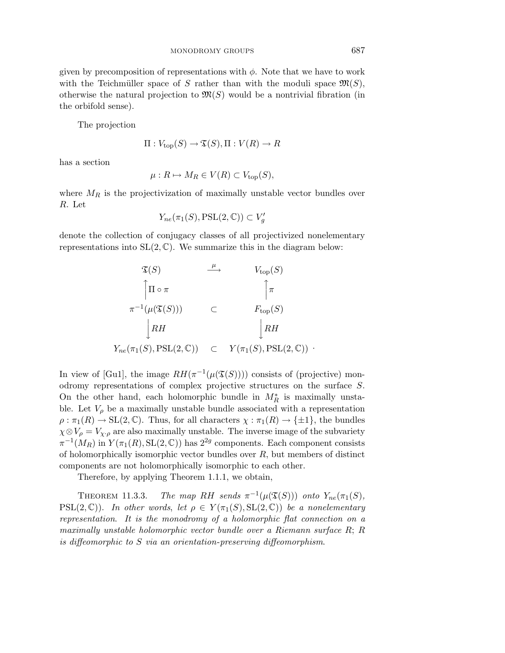given by precomposition of representations with  $\phi$ . Note that we have to work with the Teichmüller space of *S* rather than with the moduli space  $\mathfrak{M}(S)$ , otherwise the natural projection to  $\mathfrak{M}(S)$  would be a nontrivial fibration (in the orbifold sense).

The projection

$$
\Pi: V_{\text{top}}(S) \to \mathfrak{T}(S), \Pi: V(R) \to R
$$

has a section

$$
\mu: R \mapsto M_R \in V(R) \subset V_{\text{top}}(S),
$$

where  $M_R$  is the projectivization of maximally unstable vector bundles over *R*. Let

$$
Y_{ne}(\pi_1(S), \text{PSL}(2, \mathbb{C})) \subset V_g'
$$

denote the collection of conjugacy classes of all projectivized nonelementary representations into  $SL(2, \mathbb{C})$ . We summarize this in the diagram below:  $\frac{3}{1}$ 

$$
\begin{array}{ccc}\n\mathfrak{T}(S) & \xrightarrow{\mu} & V_{\text{top}}(S) \\
\uparrow \Pi \circ \pi & & \uparrow \pi \\
\pi^{-1}(\mu(\mathfrak{T}(S))) & \subset & F_{\text{top}}(S) \\
\downarrow RH & & \downarrow RH \\
Y_{ne}(\pi_1(S), \text{PSL}(2, \mathbb{C})) & \subset & Y(\pi_1(S), \text{PSL}(2, \mathbb{C}))\n\end{array}
$$

In view of [Gu1], the image  $RH(\pi^{-1}(\mu(\mathfrak{T}(S))))$  consists of (projective) monodromy representations of complex projective structures on the surface *S*. On the other hand, each holomorphic bundle in  $M_R^*$  is maximally unstable. Let  $V_\rho$  be a maximally unstable bundle associated with a representation  $\rho : \pi_1(R) \to SL(2,\mathbb{C})$ . Thus, for all characters  $\chi : \pi_1(R) \to {\pm 1}$ , the bundles  $\chi \otimes V_{\rho} = V_{\chi \cdot \rho}$  are also maximally unstable. The inverse image of the subvariety  $\pi^{-1}(M_R)$  in  $Y(\pi_1(R), SL(2, \mathbb{C}))$  has  $2^{2g}$  components. Each component consists of holomorphically isomorphic vector bundles over *R*, but members of distinct components are not holomorphically isomorphic to each other.

Therefore, by applying Theorem 1*.*1*.*1, we obtain,

THEOREM 11.3.3. The map RH sends  $\pi^{-1}(\mu(\mathfrak{T}(S)))$  onto  $Y_{ne}(\pi_1(S))$ , PSL(2,  $\mathbb{C}$ )). In other words, let  $\rho \in Y(\pi_1(S), \text{SL}(2, \mathbb{C}))$  be a nonelementary representation. It is the monodromy of a holomorphic flat connection on a maximally unstable holomorphic vector bundle over a Riemann surface *R*; *R* is diffeomorphic to *S* via an orientation-preserving diffeomorphism.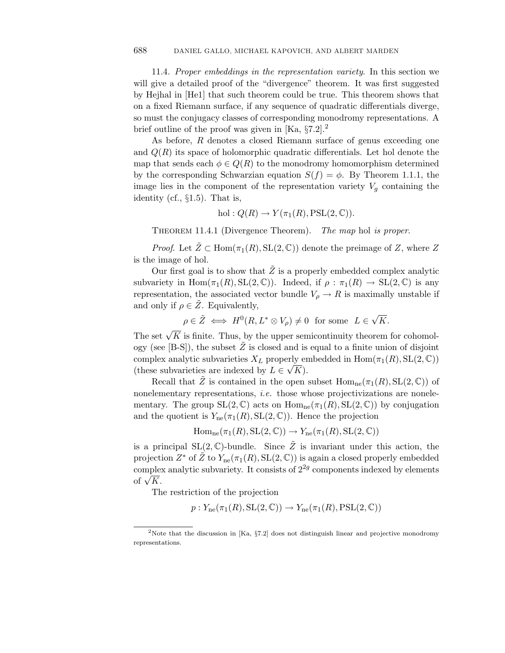11.4. Proper embeddings in the representation variety. In this section we will give a detailed proof of the "divergence" theorem. It was first suggested by Hejhal in [He1] that such theorem could be true. This theorem shows that on a fixed Riemann surface, if any sequence of quadratic differentials diverge, so must the conjugacy classes of corresponding monodromy representations. A brief outline of the proof was given in  $[Ka, §7.2].<sup>2</sup>$ 

As before, *R* denotes a closed Riemann surface of genus exceeding one and *Q*(*R*) its space of holomorphic quadratic differentials. Let hol denote the map that sends each  $\phi \in Q(R)$  to the monodromy homomorphism determined by the corresponding Schwarzian equation  $S(f) = \phi$ . By Theorem 1.1.1, the image lies in the component of the representation variety  $V_q$  containing the identity (cf., §1.5). That is,

$$
hol: Q(R) \to Y(\pi_1(R), \mathrm{PSL}(2,\mathbb{C})).
$$

THEOREM 11.4.1 (Divergence Theorem). The map hol is proper.

*Proof.* Let  $\tilde{Z} \subset \text{Hom}(\pi_1(R), \text{SL}(2, \mathbb{C}))$  denote the preimage of Z, where Z is the image of hol.

Our first goal is to show that  $Z$  is a properly embedded complex analytic subvariety in  $\text{Hom}(\pi_1(R), \text{SL}(2, \mathbb{C}))$ . Indeed, if  $\rho : \pi_1(R) \to \text{SL}(2, \mathbb{C})$  is any representation, the associated vector bundle  $V_\rho \to R$  is maximally unstable if and only if  $\rho \in Z$ . Equivalently,

 $\rho \in \tilde{Z} \iff H^0(R, L^* \otimes V_\rho) \neq 0$  for some  $L \in \sqrt{K}$ .

The set  $\sqrt{K}$  is finite. Thus, by the upper semicontinuity theorem for cohomology (see [B-S]), the subset  $\tilde{Z}$  is closed and is equal to a finite union of disjoint complex analytic subvarieties  $X_L$  properly embedded in  $\text{Hom}(\pi_1(R), \text{SL}(2, \mathbb{C}))$ complex analytic subvarieties  $\Lambda_L$  property entitles subvarieties are indexed by  $L \in \sqrt{K}$ .

Recall that  $\tilde{Z}$  is contained in the open subset  $\text{Hom}_{\text{ne}}(\pi_1(R), \text{SL}(2, \mathbb{C}))$  of nonelementary representations, *i.e.* those whose projectivizations are nonelementary. The group  $SL(2,\mathbb{C})$  acts on  $Hom_{ne}(\pi_1(R), SL(2,\mathbb{C}))$  by conjugation and the quotient is  $Y_{\text{ne}}(\pi_1(R), \text{SL}(2, \mathbb{C}))$ . Hence the projection

 $\text{Hom}_{\text{ne}}(\pi_1(R), \text{SL}(2, \mathbb{C})) \rightarrow Y_{\text{ne}}(\pi_1(R), \text{SL}(2, \mathbb{C}))$ 

is a principal  $SL(2,\mathbb{C})$ -bundle. Since  $\tilde{Z}$  is invariant under this action, the projection  $Z^*$  of  $\tilde{Z}$  to  $Y_{\text{ne}}(\pi_1(R), \text{SL}(2, \mathbb{C}))$  is again a closed properly embedded complex analytic subvariety. It consists of  $2^{2g}$  components indexed by elements  $\frac{\text{complete.}}{\text{of }\sqrt{K}}$ .

The restriction of the projection

 $p: Y_{\text{ne}}(\pi_1(R), \text{SL}(2, \mathbb{C})) \to Y_{\text{ne}}(\pi_1(R), \text{PSL}(2, \mathbb{C}))$ 

<sup>&</sup>lt;sup>2</sup>Note that the discussion in [Ka,  $\S7.2$ ] does not distinguish linear and projective monodromy representations.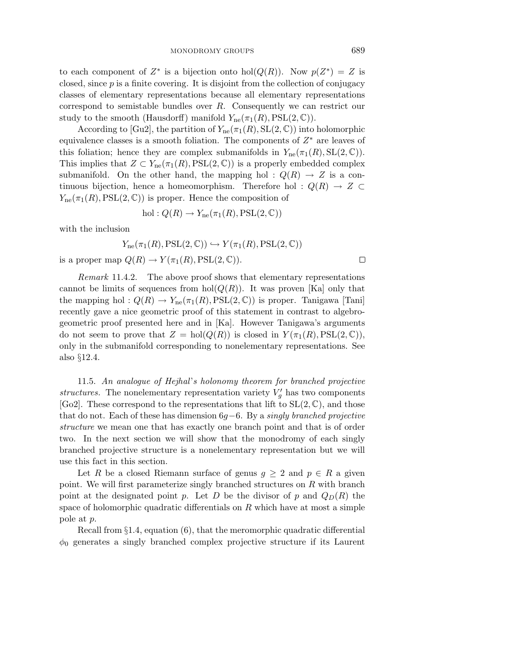to each component of  $Z^*$  is a bijection onto hol( $Q(R)$ ). Now  $p(Z^*) = Z$  is closed, since *p* is a finite covering. It is disjoint from the collection of conjugacy classes of elementary representations because all elementary representations correspond to semistable bundles over *R*. Consequently we can restrict our study to the smooth (Hausdorff) manifold  $Y_{\text{ne}}(\pi_1(R), \text{PSL}(2, \mathbb{C}))$ .

According to [Gu2], the partition of  $Y_{\text{ne}}(\pi_1(R), \text{SL}(2, \mathbb{C}))$  into holomorphic equivalence classes is a smooth foliation. The components of *Z*∗ are leaves of this foliation; hence they are complex submanifolds in  $Y_{\text{ne}}(\pi_1(R), \text{SL}(2, \mathbb{C}))$ . This implies that  $Z \subset Y_{\text{ne}}(\pi_1(R), \text{PSL}(2, \mathbb{C}))$  is a properly embedded complex submanifold. On the other hand, the mapping hol :  $Q(R) \rightarrow Z$  is a continuous bijection, hence a homeomorphism. Therefore hol :  $Q(R) \rightarrow Z \subset$  $Y_{\text{ne}}(\pi_1(R), \text{PSL}(2, \mathbb{C}))$  is proper. Hence the composition of

hol: 
$$
Q(R) \to Y_{\text{ne}}(\pi_1(R), \text{PSL}(2, \mathbb{C}))
$$

with the inclusion

$$
Y_{\rm ne}(\pi_1(R),\rm{PSL}(2,\mathbb{C}))\hookrightarrow Y(\pi_1(R),\rm{PSL}(2,\mathbb{C}))
$$
  
is a proper map  $Q(R)\to Y(\pi_1(R),\rm{PSL}(2,\mathbb{C})).$ 

Remark 11*.*4*.*2. The above proof shows that elementary representations cannot be limits of sequences from  $hol(Q(R))$ . It was proven [Ka] only that the mapping hol :  $Q(R) \to Y_{ne}(\pi_1(R), PSL(2,\mathbb{C}))$  is proper. Tanigawa [Tani] recently gave a nice geometric proof of this statement in contrast to algebrogeometric proof presented here and in [Ka]. However Tanigawa's arguments do not seem to prove that  $Z = hol(Q(R))$  is closed in  $Y(\pi_1(R), PSL(2, \mathbb{C}))$ , only in the submanifold corresponding to nonelementary representations. See also §12.4.

11.5. An analogue of Hejhal's holonomy theorem for branched projective structures. The nonelementary representation variety  $V'_g$  has two components [Go2]. These correspond to the representations that lift to  $SL(2,\mathbb{C})$ , and those that do not. Each of these has dimension 6*g*−6. By a singly branched projective structure we mean one that has exactly one branch point and that is of order two. In the next section we will show that the monodromy of each singly branched projective structure is a nonelementary representation but we will use this fact in this section.

Let *R* be a closed Riemann surface of genus  $g \geq 2$  and  $p \in R$  a given point. We will first parameterize singly branched structures on *R* with branch point at the designated point *p*. Let *D* be the divisor of *p* and  $Q_D(R)$  the space of holomorphic quadratic differentials on *R* which have at most a simple pole at *p*.

Recall from  $\S1.4$ , equation  $(6)$ , that the meromorphic quadratic differential  $\phi_0$  generates a singly branched complex projective structure if its Laurent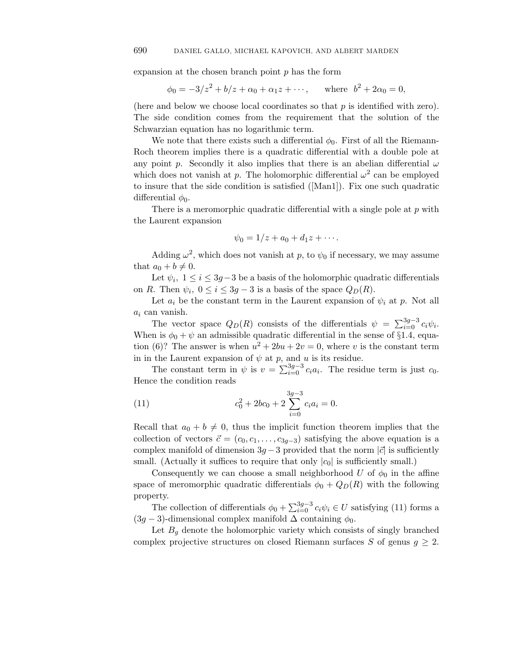expansion at the chosen branch point *p* has the form

$$
\phi_0 = -3/z^2 + b/z + \alpha_0 + \alpha_1 z + \cdots
$$
, where  $b^2 + 2\alpha_0 = 0$ ,

(here and below we choose local coordinates so that *p* is identified with zero). The side condition comes from the requirement that the solution of the Schwarzian equation has no logarithmic term.

We note that there exists such a differential  $\phi_0$ . First of all the Riemann-Roch theorem implies there is a quadratic differential with a double pole at any point *p*. Secondly it also implies that there is an abelian differential  $\omega$ which does not vanish at *p*. The holomorphic differential  $\omega^2$  can be employed to insure that the side condition is satisfied ([Man1]). Fix one such quadratic differential  $\phi_0$ .

There is a meromorphic quadratic differential with a single pole at *p* with the Laurent expansion

$$
\psi_0=1/z+a_0+d_1z+\cdots.
$$

Adding  $\omega^2$ , which does not vanish at p, to  $\psi_0$  if necessary, we may assume that  $a_0 + b \neq 0$ .

Let  $\psi_i$ ,  $1 \leq i \leq 3g-3$  be a basis of the holomorphic quadratic differentials on *R*. Then  $\psi_i$ ,  $0 \le i \le 3g - 3$  is a basis of the space  $Q_D(R)$ .

Let  $a_i$  be the constant term in the Laurent expansion of  $\psi_i$  at  $p$ . Not all *a<sup>i</sup>* can vanish. Let  $\psi_i$ ,  $1 \le i \le 3g - 3$  be a basis of the notomorphic quadratic differentials *e*. Then  $\psi_i$ ,  $0 \le i \le 3g - 3$  is a basis of the space  $Q_D(R)$ .<br>Let  $a_i$  be the constant term in the Laurent expansion of  $\psi_i$  at  $p$ . Not a

When is  $\phi_0 + \psi$  an admissible quadratic differential in the sense of §1.4, equation (6)? The answer is when  $u^2 + 2bu + 2v = 0$ , where *v* is the constant term in in the Laurent expansion of  $\psi$  at  $p$ , and  $u$  is its residue. The vector space  $Q_D(A)$  consists of the dimerentials  $\psi = \sum_{i=0} c_i \psi_i$ .<br>
in is  $\phi_0 + \psi$  an admissible quadratic differential in the sense of §1.4, equa-<br>
(6)? The answer is when  $u^2 + 2bu + 2v = 0$ , where v is the constant

Hence the condition reads

(11) 
$$
c_0^2 + 2bc_0 + 2\sum_{i=0}^{3g-3} c_i a_i = 0.
$$

Recall that  $a_0 + b \neq 0$ , thus the implicit function theorem implies that the collection of vectors  $\vec{c} = (c_0, c_1, \ldots, c_{3q-3})$  satisfying the above equation is a complex manifold of dimension  $3q - 3$  provided that the norm  $|\vec{c}|$  is sufficiently small. (Actually it suffices to require that only  $|c_0|$  is sufficiently small.)

Consequently we can choose a small neighborhood *U* of  $\phi_0$  in the affine space of meromorphic quadratic differentials  $\phi_0 + Q_D(R)$  with the following property. The collection of differentials  $\phi_0 + Q_D(R)$  is surfacently small.)<br>The collection of differentials  $\phi_0 + Q_D(R)$  with the following<br>erty.<br>The collection of differentials  $\phi_0 + \sum_{i=0}^{3g-3} c_i \psi_i \in U$  satisfying (11) forms a

 $(3g-3)$ -dimensional complex manifold  $\Delta$  containing  $\phi_0$ .

Let  $B_g$  denote the holomorphic variety which consists of singly branched complex projective structures on closed Riemann surfaces *S* of genus  $g \geq 2$ .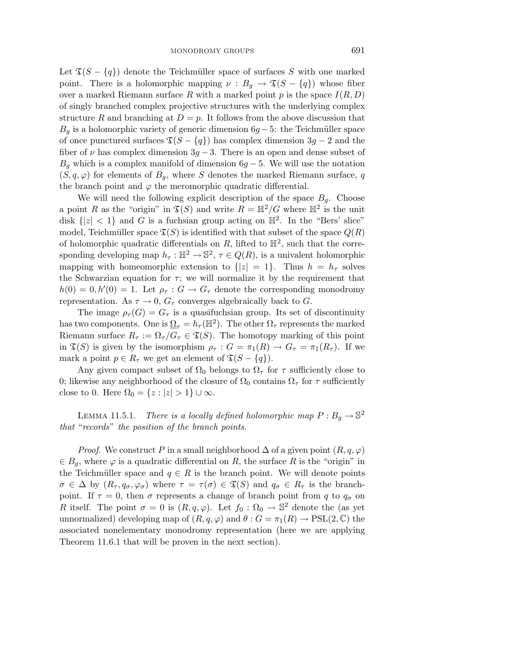Let  $\mathfrak{T}(S - \{q\})$  denote the Teichmüller space of surfaces S with one marked point. There is a holomorphic mapping  $\nu : B_q \to \mathfrak{T}(S - \{q\})$  whose fiber over a marked Riemann surface  $R$  with a marked point  $p$  is the space  $I(R, D)$ of singly branched complex projective structures with the underlying complex structure *R* and branching at  $D = p$ . It follows from the above discussion that  $B_q$  is a holomorphic variety of generic dimension  $6g - 5$ : the Teichmüller space of once punctured surfaces  $\mathfrak{T}(S - \{q\})$  has complex dimension  $3g - 2$  and the fiber of  $\nu$  has complex dimension  $3g - 3$ . There is an open and dense subset of  $B_q$  which is a complex manifold of dimension  $6g - 5$ . We will use the notation  $(S, q, \varphi)$  for elements of  $B_q$ , where S denotes the marked Riemann surface, q the branch point and  $\varphi$  the meromorphic quadratic differential.

We will need the following explicit description of the space  $B<sub>g</sub>$ . Choose a point *R* as the "origin" in  $\mathfrak{T}(S)$  and write  $R = \mathbb{H}^2/G$  where  $\mathbb{H}^2$  is the unit disk  $\{|z| < 1\}$  and G is a fuchsian group acting on  $\mathbb{H}^2$ . In the "Bers' slice" model, Teichmüller space  $\mathfrak{T}(S)$  is identified with that subset of the space  $Q(R)$ of holomorphic quadratic differentials on  $R$ , lifted to  $\mathbb{H}^2$ , such that the corresponding developing map  $h_{\tau}: \mathbb{H}^2 \to \mathbb{S}^2$ ,  $\tau \in Q(R)$ , is a univalent holomorphic mapping with homeomorphic extension to  $\{|z|=1\}$ . Thus  $h = h_\tau$  solves the Schwarzian equation for  $\tau$ ; we will normalize it by the requirement that  $h(0) = 0, h'(0) = 1$ . Let  $\rho_{\tau}: G \to G_{\tau}$  denote the corresponding monodromy representation. As  $\tau \to 0$ ,  $G_{\tau}$  converges algebraically back to *G*.

The image  $\rho_{\tau}(G) = G_{\tau}$  is a quasifuchsian group. Its set of discontinuity has two components. One is  $\Omega_{\tau} = h_{\tau}(\mathbb{H}^2)$ . The other  $\Omega_{\tau}$  represents the marked Riemann surface  $R_{\tau} := \Omega_{\tau}/G_{\tau} \in \mathfrak{T}(S)$ . The homotopy marking of this point in  $\mathfrak{T}(S)$  is given by the isomorphism  $\rho_{\tau}: G = \pi_1(R) \to G_{\tau} = \pi_1(R_{\tau}).$  If we mark a point  $p \in R_{\tau}$  we get an element of  $\mathfrak{T}(S - \{q\})$ .

Any given compact subset of  $\Omega_0$  belongs to  $\Omega_\tau$  for  $\tau$  sufficiently close to 0; likewise any neighborhood of the closure of  $\Omega_0$  contains  $\Omega_\tau$  for  $\tau$  sufficiently close to 0. Here  $\Omega_0 = \{z : |z| > 1\} \cup \infty$ .

LEMMA 11.5.1. There is a locally defined holomorphic map  $P: B_g \to \mathbb{S}^2$ that "records" the position of the branch points.

*Proof.* We construct P in a small neighborhood  $\Delta$  of a given point  $(R, q, \varphi)$  $\in B_q$ , where  $\varphi$  is a quadratic differential on R, the surface R is the "origin" in the Teichmüller space and  $q \in R$  is the branch point. We will denote points  $\sigma \in \Delta$  by  $(R_{\tau}, q_{\sigma}, \varphi_{\sigma})$  where  $\tau = \tau(\sigma) \in \mathfrak{T}(S)$  and  $q_{\sigma} \in R_{\tau}$  is the branchpoint. If  $\tau = 0$ , then  $\sigma$  represents a change of branch point from  $q$  to  $q_{\sigma}$  on *R* itself. The point  $\sigma = 0$  is  $(R, q, \varphi)$ . Let  $f_0 : \Omega_0 \to \mathbb{S}^2$  denote the (as yet unnormalized) developing map of  $(R, q, \varphi)$  and  $\theta : G = \pi_1(R) \to \text{PSL}(2, \mathbb{C})$  the associated nonelementary monodromy representation (here we are applying Theorem 11*.*6*.*1 that will be proven in the next section).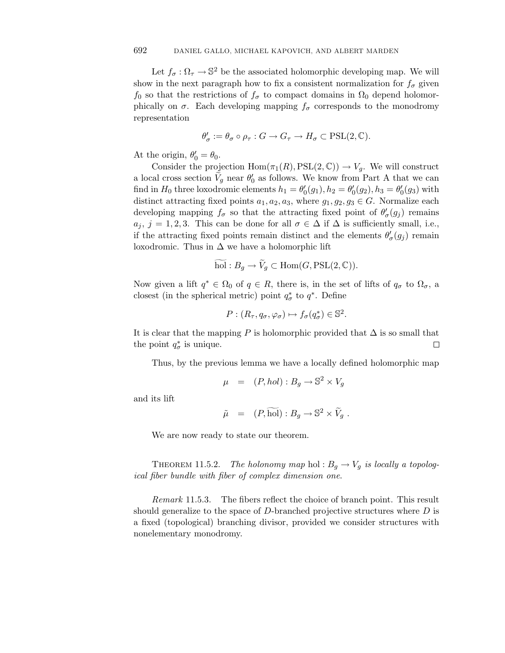Let  $f_{\sigma} : \Omega_{\tau} \to \mathbb{S}^2$  be the associated holomorphic developing map. We will show in the next paragraph how to fix a consistent normalization for  $f_{\sigma}$  given  $f_0$  so that the restrictions of  $f_\sigma$  to compact domains in  $\Omega_0$  depend holomorphically on  $\sigma$ . Each developing mapping  $f_{\sigma}$  corresponds to the monodromy representation

$$
\theta'_\sigma:=\theta_\sigma\circ\rho_\tau:G\to G_\tau\to H_\sigma\subset \mathrm{PSL}(2,\mathbb{C}).
$$

At the origin,  $\theta_0' = \theta_0$ .

Consider the projection  $Hom(\pi_1(R), PSL(2, \mathbb{C})) \to V_q$ . We will construct  $\theta_{\sigma} := \theta_{\sigma} \circ \rho_{\tau} : G \to G_{\tau} \to H_{\sigma} \subset \text{PSL}(2, \mathbb{C}).$ <br>At the origin,  $\theta'_{0} = \theta_{0}$ .<br>Consider the projection  $\text{Hom}(\pi_{1}(R), \text{PSL}(2, \mathbb{C})) \to V_{g}$ . We will construct<br>a local cross section  $\tilde{V}_{g}$  near  $\theta'_{0}$  as follow find in  $H_0$  three loxodromic elements  $h_1 = \theta'_0(g_1), h_2 = \theta'_0(g_2), h_3 = \theta'_0(g_3)$  with distinct attracting fixed points  $a_1, a_2, a_3$ , where  $g_1, g_2, g_3 \in G$ . Normalize each developing mapping  $f_{\sigma}$  so that the attracting fixed point of  $\theta_{\sigma}'(g_j)$  remains  $a_j$ ,  $j = 1, 2, 3$ . This can be done for all  $\sigma \in \Delta$  if  $\Delta$  is sufficiently small, i.e., if the attracting fixed points remain distinct and the elements  $\theta'_{\sigma}(g_j)$  remain loxodromic. Thus in  $\Delta$  we have a holomorphic lift d points rem<br>  $\Delta$  we have a<br>
hol :  $B_g \rightarrow \tilde{V}_g$ 

$$
\widetilde{\text{hol}}: B_g \to \widetilde{V}_g \subset \text{Hom}(G, \text{PSL}(2, \mathbb{C})).
$$

Now given a lift  $q^* \in \Omega_0$  of  $q \in R$ , there is, in the set of lifts of  $q_\sigma$  to  $\Omega_\sigma$ , a closest (in the spherical metric) point  $q^*_{\sigma}$  to  $q^*$ . Define

$$
P: (R_{\tau}, q_{\sigma}, \varphi_{\sigma}) \mapsto f_{\sigma}(q_{\sigma}^*) \in \mathbb{S}^2.
$$

It is clear that the mapping *P* is holomorphic provided that  $\Delta$  is so small that the point  $q^*_{\sigma}$  is unique.  $\Box$ 

Thus, by the previous lemma we have a locally defined holomorphic map

$$
\mu = (P, hol) : B_g \to \mathbb{S}^2 \times V_g
$$

and its lift

$$
\mu = (P, hol) : B_g \to \mathbb{S}^2 \times V_g
$$
  

$$
\tilde{\mu} = (P, \widetilde{hol}) : B_g \to \mathbb{S}^2 \times \widetilde{V}_g.
$$

We are now ready to state our theorem.

THEOREM 11.5.2. The holonomy map hol :  $B_g \to V_g$  is locally a topological fiber bundle with fiber of complex dimension one.

Remark 11*.*5*.*3. The fibers reflect the choice of branch point. This result should generalize to the space of *D*-branched projective structures where *D* is a fixed (topological) branching divisor, provided we consider structures with nonelementary monodromy.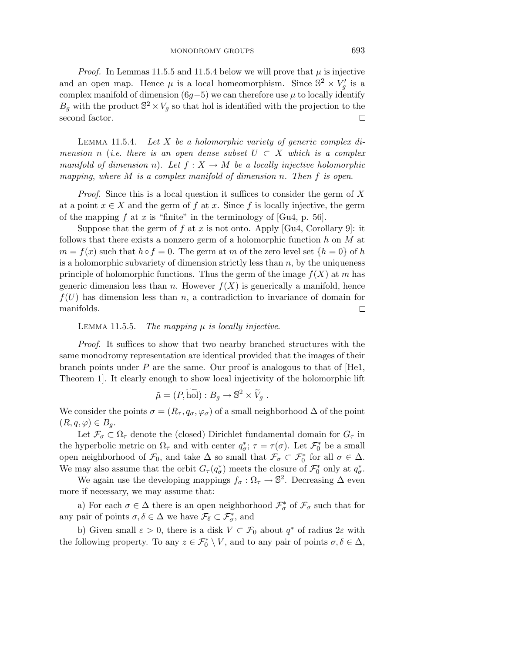*Proof.* In Lemmas 11.5.5 and 11.5.4 below we will prove that  $\mu$  is injective and an open map. Hence  $\mu$  is a local homeomorphism. Since  $\mathbb{S}^2 \times V_g'$  is a complex manifold of dimension ( $6g-5$ ) we can therefore use  $\mu$  to locally identify  $B_g$  with the product  $\mathbb{S}^2 \times V_g$  so that hol is identified with the projection to the second factor.  $\Box$ 

LEMMA 11.5.4. Let *X* be a holomorphic variety of generic complex dimension *n* (*i.e. there is an open dense subset*  $U \subset X$  which is a complex manifold of dimension *n*). Let  $f : X \to M$  be a locally injective holomorphic mapping, where *M* is a complex manifold of dimension *n*. Then *f* is open.

Proof. Since this is a local question it suffices to consider the germ of *X* at a point  $x \in X$  and the germ of  $f$  at  $x$ . Since  $f$  is locally injective, the germ of the mapping  $f$  at  $x$  is "finite" in the terminology of [Gu4, p. 56].

Suppose that the germ of *f* at *x* is not onto. Apply [Gu4, Corollary 9]: it follows that there exists a nonzero germ of a holomorphic function *h* on *M* at  $m = f(x)$  such that  $h \circ f = 0$ . The germ at *m* of the zero level set  $\{h = 0\}$  of *h* is a holomorphic subvariety of dimension strictly less than *n*, by the uniqueness principle of holomorphic functions. Thus the germ of the image  $f(X)$  at *m* has generic dimension less than *n*. However  $f(X)$  is generically a manifold, hence  $f(U)$  has dimension less than *n*, a contradiction to invariance of domain for manifolds. □

LEMMA 11.5.5. The mapping  $\mu$  is locally injective.

Proof. It suffices to show that two nearby branched structures with the same monodromy representation are identical provided that the images of their branch points under *P* are the same. Our proof is analogous to that of [He1, Theorem 1]. It clearly enough to show local injectivity of the holomorphic lift entation are identical provident<br> *i* provident in the same. Our proof is<br>  $\tilde{\mu} = (P, \widetilde{\text{hol}}) : B_g \to \mathbb{S}^2 \times \widetilde{V}^2$ 

$$
\tilde{\mu} = (P, \widetilde{\text{hol}}) : B_g \to \mathbb{S}^2 \times \widetilde{V}_g .
$$

We consider the points  $\sigma = (R_{\tau}, q_{\sigma}, \varphi_{\sigma})$  of a small neighborhood  $\Delta$  of the point  $(R, q, \varphi) \in B_q$ .

Let  $\mathcal{F}_{\sigma} \subset \Omega_{\tau}$  denote the (closed) Dirichlet fundamental domain for  $G_{\tau}$  in the hyperbolic metric on  $\Omega_{\tau}$  and with center  $q_{\sigma}^{*}$ ;  $\tau = \tau(\sigma)$ . Let  $\mathcal{F}_{0}^{*}$  be a small open neighborhood of  $\mathcal{F}_0$ , and take  $\Delta$  so small that  $\mathcal{F}_{\sigma} \subset \mathcal{F}_0^*$  for all  $\sigma \in \Delta$ . We may also assume that the orbit  $G_{\tau}(q_{\sigma}^{*})$  meets the closure of  $\mathcal{F}_{0}^{*}$  only at  $q_{\sigma}^{*}$ .

We again use the developing mappings  $f_{\sigma} : \Omega_{\tau} \to \mathbb{S}^2$ . Decreasing  $\Delta$  even more if necessary, we may assume that:

a) For each  $\sigma \in \Delta$  there is an open neighborhood  $\mathcal{F}^*_{\sigma}$  of  $\mathcal{F}_{\sigma}$  such that for any pair of points  $\sigma, \delta \in \Delta$  we have  $\mathcal{F}_{\delta} \subset \mathcal{F}_{\sigma}^*$ , and

b) Given small  $\varepsilon > 0$ , there is a disk  $V \subset \mathcal{F}_0$  about  $q^*$  of radius  $2\varepsilon$  with the following property. To any  $z \in \mathcal{F}_0^* \setminus V$ , and to any pair of points  $\sigma, \delta \in \Delta$ ,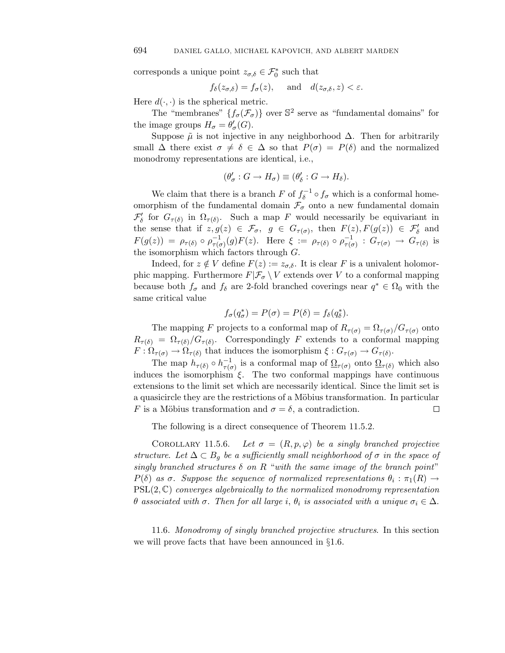corresponds a unique point  $z_{\sigma,\delta} \in \mathcal{F}_0^*$  such that

$$
f_{\delta}(z_{\sigma,\delta}) = f_{\sigma}(z)
$$
, and  $d(z_{\sigma,\delta}, z) < \varepsilon$ .

Here  $d(\cdot, \cdot)$  is the spherical metric.

The "membranes"  $\{f_{\sigma}(\mathcal{F}_{\sigma})\}$  over  $\mathbb{S}^2$  serve as "fundamental domains" for the image groups  $H_{\sigma} = \theta_{\sigma}'(G)$ .

Suppose  $\tilde{\mu}$  is not injective in any neighborhood  $\Delta$ . Then for arbitrarily small  $\Delta$  there exist  $\sigma \neq \delta \in \Delta$  so that  $P(\sigma) = P(\delta)$  and the normalized monodromy representations are identical, i.e.,

$$
(\theta'_{\sigma} : G \to H_{\sigma}) \equiv (\theta'_{\delta} : G \to H_{\delta}).
$$

We claim that there is a branch *F* of  $f_{\delta}^{-1} \circ f_{\sigma}$  which is a conformal homeomorphism of the fundamental domain  $\mathcal{F}_{\sigma}$  onto a new fundamental domain  $\mathcal{F}'_{\delta}$  for  $G_{\tau(\delta)}$  in  $\Omega_{\tau(\delta)}$ . Such a map *F* would necessarily be equivariant in the sense that if  $z, g(z) \in \mathcal{F}_{\sigma}, g \in G_{\tau(\sigma)},$  then  $F(z), F(g(z)) \in \mathcal{F}'_{\delta}$  and  $F(g(z)) = \rho_{\tau(\delta)} \circ \rho_{\tau(\sigma)}^{-1}(g)F(z)$ . Here  $\xi := \rho_{\tau(\delta)} \circ \rho_{\tau(\sigma)}^{-1} : G_{\tau(\sigma)} \to G_{\tau(\delta)}$  is the isomorphism which factors through *G*.

Indeed, for  $z \notin V$  define  $F(z) := z_{\sigma, \delta}$ . It is clear *F* is a univalent holomorphic mapping. Furthermore  $F|\mathcal{F}_{\sigma} \setminus V$  extends over *V* to a conformal mapping because both  $f_{\sigma}$  and  $f_{\delta}$  are 2-fold branched coverings near  $q^* \in \Omega_0$  with the same critical value

$$
f_{\sigma}(q_{\sigma}^*) = P(\sigma) = P(\delta) = f_{\delta}(q_{\delta}^*).
$$

The mapping *F* projects to a conformal map of  $R_{\tau(\sigma)} = \Omega_{\tau(\sigma)}/G_{\tau(\sigma)}$  onto  $R_{\tau(\delta)} = \Omega_{\tau(\delta)}/G_{\tau(\delta)}$ . Correspondingly *F* extends to a conformal mapping  $F: \Omega_{\tau(\sigma)} \to \Omega_{\tau(\delta)}$  that induces the isomorphism  $\xi: G_{\tau(\sigma)} \to G_{\tau(\delta)}$ .

The map  $h_{\tau(\delta)} \circ h_{\tau(\sigma)}^{-1}$  is a conformal map of  $\underline{\Omega}_{\tau(\sigma)}$  onto  $\underline{\Omega}_{\tau(\delta)}$  which also induces the isomorphism *ξ*. The two conformal mappings have continuous extensions to the limit set which are necessarily identical. Since the limit set is a quasicircle they are the restrictions of a Möbius transformation. In particular *F* is a Möbius transformation and  $\sigma = \delta$ , a contradiction. 口

The following is a direct consequence of Theorem 11*.*5*.*2.

COROLLARY 11.5.6. Let  $\sigma = (R, p, \varphi)$  be a singly branched projective structure. Let  $\Delta \subset B_q$  be a sufficiently small neighborhood of  $\sigma$  in the space of singly branched structures  $\delta$  on  $R$  "with the same image of the branch point" *P*(*δ*) as *σ*. Suppose the sequence of normalized representations  $θ_i : π_1(R) \rightarrow$  $PSL(2,\mathbb{C})$  converges algebraically to the normalized monodromy representation *θ* associated with *σ*. Then for all large *i*,  $θ$ *i* is associated with a unique  $σ$ <sup>*i*</sup> ∈  $Δ$ .

11.6. Monodromy of singly branched projective structures. In this section we will prove facts that have been announced in §1.6.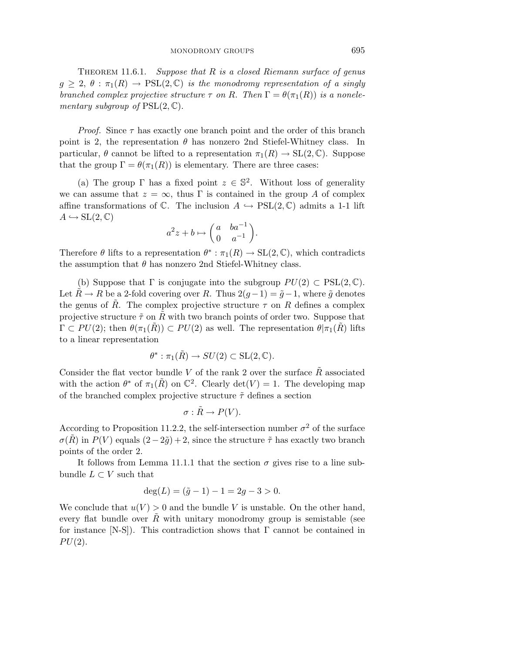THEOREM 11.6.1. Suppose that *R* is a closed Riemann surface of genus  $g \geq 2$ ,  $\theta : \pi_1(R) \to \text{PSL}(2,\mathbb{C})$  is the monodromy representation of a singly branched complex projective structure  $\tau$  on *R*. Then  $\Gamma = \theta(\pi_1(R))$  is a nonelementary subgroup of PSL(2*,* C).

*Proof.* Since  $\tau$  has exactly one branch point and the order of this branch point is 2, the representation  $\theta$  has nonzero 2nd Stiefel-Whitney class. In particular,  $\theta$  cannot be lifted to a representation  $\pi_1(R) \to SL(2,\mathbb{C})$ . Suppose that the group  $\Gamma = \theta(\pi_1(R))$  is elementary. There are three cases:

(a) The group  $\Gamma$  has a fixed point  $z \in \mathbb{S}^2$ . Without loss of generality we can assume that  $z = \infty$ , thus  $\Gamma$  is contained in the group A of complex affine transformations of  $\mathbb{C}$ . The inclusion  $A \hookrightarrow \text{PSL}(2,\mathbb{C})$  admits a 1-1 lift  $A \hookrightarrow SL(2,\mathbb{C})$ 

$$
a^2z + b \mapsto \begin{pmatrix} a & ba^{-1} \\ 0 & a^{-1} \end{pmatrix}.
$$

Therefore  $\theta$  lifts to a representation  $\theta^* : \pi_1(R) \to SL(2,\mathbb{C})$ , which contradicts the assumption that  $\theta$  has nonzero 2nd Stiefel-Whitney class.

(b) Suppose that  $\Gamma$  is conjugate into the subgroup  $PU(2) \subset \text{PSL}(2,\mathbb{C})$ . Let *R* → *R* be a 2-fold covering over *R*. Thus  $2(g-1) = \tilde{g}-1$ , where  $\tilde{g}$  denotes the genus of *R*. The complex projective structure  $\tau$  on *R* defines a complex projective structure  $\tilde{\tau}$  on R with two branch points of order two. Suppose that  $\Gamma \subset PU(2)$ ; then  $\theta(\pi_1(R)) \subset PU(2)$  as well. The representation  $\theta|\pi_1(R)$  lifts to a linear representation

$$
\theta^* : \pi_1(\tilde{R}) \to SU(2) \subset SL(2, \mathbb{C}).
$$

Consider the flat vector bundle *V* of the rank 2 over the surface  $\tilde{R}$  associated with the action  $\theta^*$  of  $\pi_1(\tilde{R})$  on  $\mathbb{C}^2$ . Clearly  $\det(V) = 1$ . The developing map of the branched complex projective structure ˜*τ* defines a section

$$
\sigma : \tilde{R} \to P(V).
$$

According to Proposition 11.2.2, the self-intersection number  $\sigma^2$  of the surface  $\sigma(R)$  in *P*(*V*) equals  $(2-2\tilde{g})+2$ , since the structure  $\tilde{\tau}$  has exactly two branch points of the order 2.

It follows from Lemma 11.1.1 that the section  $\sigma$  gives rise to a line subbundle  $L \subset V$  such that

$$
\deg(L) = (\tilde{g} - 1) - 1 = 2g - 3 > 0.
$$

We conclude that  $u(V) > 0$  and the bundle *V* is unstable. On the other hand, every flat bundle over  $\tilde{R}$  with unitary monodromy group is semistable (see for instance  $[N-S]$ ). This contradiction shows that  $\Gamma$  cannot be contained in  $PU(2)$ .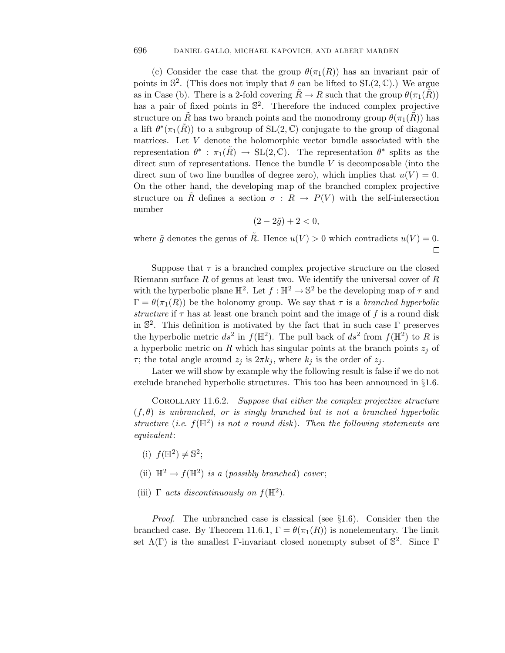(c) Consider the case that the group  $\theta(\pi_1(R))$  has an invariant pair of points in  $\mathbb{S}^2$ . (This does not imply that  $\theta$  can be lifted to  $SL(2,\mathbb{C})$ .) We argue as in Case (b). There is a 2-fold covering  $\tilde{R} \to R$  such that the group  $\theta(\pi_1(\tilde{R}))$ has a pair of fixed points in  $\mathbb{S}^2$ . Therefore the induced complex projective structure on  $\tilde{R}$  has two branch points and the monodromy group  $\theta(\pi_1(\tilde{R}))$  has a lift  $\theta^*(\pi_1(R))$  to a subgroup of  $SL(2,\mathbb{C})$  conjugate to the group of diagonal matrices. Let *V* denote the holomorphic vector bundle associated with the representation  $\theta^*$ :  $\pi_1(R) \to SL(2,\mathbb{C})$ . The representation  $\theta^*$  splits as the direct sum of representations. Hence the bundle *V* is decomposable (into the direct sum of two line bundles of degree zero), which implies that  $u(V) = 0$ . On the other hand, the developing map of the branched complex projective structure on  $\tilde{R}$  defines a section  $\sigma: R \to P(V)$  with the self-intersection number

$$
(2-2\tilde{g})+2<0,
$$

where  $\tilde{g}$  denotes the genus of  $\tilde{R}$ . Hence  $u(V) > 0$  which contradicts  $u(V) = 0$ .  $\Box$ 

Suppose that  $\tau$  is a branched complex projective structure on the closed Riemann surface *R* of genus at least two. We identify the universal cover of *R* with the hyperbolic plane  $\mathbb{H}^2$ . Let  $f : \mathbb{H}^2 \to \mathbb{S}^2$  be the developing map of  $\tau$  and  $\Gamma = \theta(\pi_1(R))$  be the holonomy group. We say that  $\tau$  is a *branched hyperbolic* structure if  $\tau$  has at least one branch point and the image of  $f$  is a round disk in  $\mathbb{S}^2$ . This definition is motivated by the fact that in such case  $\Gamma$  preserves the hyperbolic metric  $ds^2$  in  $f(\mathbb{H}^2)$ . The pull back of  $ds^2$  from  $f(\mathbb{H}^2)$  to R is a hyperbolic metric on *R* which has singular points at the branch points *z<sup>j</sup>* of *τ*; the total angle around  $z_j$  is  $2\pi k_j$ , where  $k_j$  is the order of  $z_j$ .

Later we will show by example why the following result is false if we do not exclude branched hyperbolic structures. This too has been announced in §1.6.

Corollary 11*.*6*.*2. Suppose that either the complex projective structure  $(f, \theta)$  is unbranched, or is singly branched but is not a branched hyperbolic structure (*i.e.*  $f(\mathbb{H}^2)$  is not a round disk). Then the following statements are equivalent:

- (i)  $f(\mathbb{H}^2) \neq \mathbb{S}^2$ ;
- (ii)  $\mathbb{H}^2 \to f(\mathbb{H}^2)$  *is a (possibly branched) cover*;
- (iii)  $\Gamma$  *acts discontinuously on*  $f(\mathbb{H}^2)$ .

*Proof.* The unbranched case is classical (see  $\S1.6$ ). Consider then the branched case. By Theorem 11.6.1,  $\Gamma = \theta(\pi_1(R))$  is nonelementary. The limit set  $\Lambda(\Gamma)$  is the smallest Γ-invariant closed nonempty subset of  $\mathbb{S}^2$ . Since Γ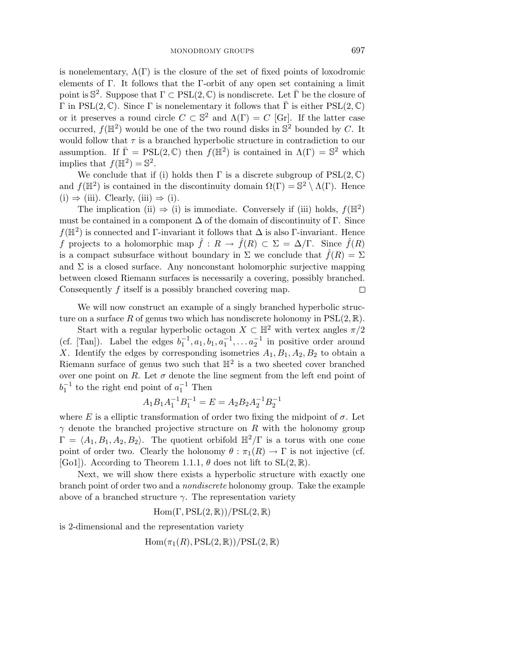is nonelementary,  $\Lambda(\Gamma)$  is the closure of the set of fixed points of loxodromic elements of Γ. It follows that the Γ-orbit of any open set containing a limit point is  $\mathbb{S}^2$ . Suppose that  $\Gamma \subset \mathrm{PSL}(2,\mathbb{C})$  is nondiscrete. Let  $\overline{\Gamma}$  be the closure of Γ in PSL(2,  $\mathbb{C}$ ). Since Γ is nonelementary it follows that  $\overline{\Gamma}$  is either PSL(2,  $\mathbb{C}$ ) or it preserves a round circle  $C \subset \mathbb{S}^2$  and  $\Lambda(\Gamma) = C$  [Gr]. If the latter case occurred,  $f(\mathbb{H}^2)$  would be one of the two round disks in  $\mathbb{S}^2$  bounded by *C*. It would follow that  $\tau$  is a branched hyperbolic structure in contradiction to our assumption. If  $\overline{\Gamma} = \text{PSL}(2, \mathbb{C})$  then  $f(\mathbb{H}^2)$  is contained in  $\Lambda(\Gamma) = \mathbb{S}^2$  which implies that  $f(\mathbb{H}^2) = \mathbb{S}^2$ .

We conclude that if (i) holds then  $\Gamma$  is a discrete subgroup of  $PSL(2,\mathbb{C})$ and  $f(\mathbb{H}^2)$  is contained in the discontinuity domain  $\Omega(\Gamma) = \mathbb{S}^2 \setminus \Lambda(\Gamma)$ . Hence  $(i) \Rightarrow (iii)$ . Clearly,  $(iii) \Rightarrow (i)$ .

The implication (ii)  $\Rightarrow$  (i) is immediate. Conversely if (iii) holds,  $f(\mathbb{H}^2)$ must be contained in a component  $\Delta$  of the domain of discontinuity of  $\Gamma$ . Since  $f(\mathbb{H}^2)$  is connected and Γ-invariant it follows that  $\Delta$  is also Γ-invariant. Hence *f* projects to a holomorphic map  $\hat{f}: R \to \hat{f}(R) \subset \Sigma = \Delta/\Gamma$ . Since  $\hat{f}(R)$ is a compact subsurface without boundary in  $\Sigma$  we conclude that  $\hat{f}(R)=\Sigma$ and  $\Sigma$  is a closed surface. Any nonconstant holomorphic surjective mapping between closed Riemann surfaces is necessarily a covering, possibly branched. Consequently *f* itself is a possibly branched covering map.  $\Box$ 

We will now construct an example of a singly branched hyperbolic structure on a surface R of genus two which has nondiscrete holonomy in  $PSL(2,\mathbb{R})$ .

Start with a regular hyperbolic octagon  $X \subset \mathbb{H}^2$  with vertex angles  $\pi/2$ (cf. [Tan]). Label the edges  $b_1^{-1}, a_1, b_1, a_1^{-1}, \ldots a_2^{-1}$  in positive order around X. Identify the edges by corresponding isometries  $A_1, B_1, A_2, B_2$  to obtain a Riemann surface of genus two such that  $\mathbb{H}^2$  is a two sheeted cover branched over one point on *R*. Let  $\sigma$  denote the line segment from the left end point of  $b_1^{-1}$  to the right end point of  $a_1^{-1}$  Then

$$
A_1 B_1 A_1^{-1} B_1^{-1} = E = A_2 B_2 A_2^{-1} B_2^{-1}
$$

where *E* is a elliptic transformation of order two fixing the midpoint of  $\sigma$ . Let *γ* denote the branched projective structure on *R* with the holonomy group  $\Gamma = \langle A_1, B_1, A_2, B_2 \rangle$ . The quotient orbifold  $\mathbb{H}^2/\Gamma$  is a torus with one cone point of order two. Clearly the holonomy  $\theta : \pi_1(R) \to \Gamma$  is not injective (cf. [Go1]). According to Theorem 1.1.1,  $\theta$  does not lift to  $SL(2,\mathbb{R})$ .

Next, we will show there exists a hyperbolic structure with exactly one branch point of order two and a nondiscrete holonomy group. Take the example above of a branched structure  $\gamma$ . The representation variety

Hom(Γ*,*PSL(2*,* R))*/*PSL(2*,* R)

is 2-dimensional and the representation variety

 $\text{Hom}(\pi_1(R), \text{PSL}(2,\mathbb{R}))/\text{PSL}(2,\mathbb{R})$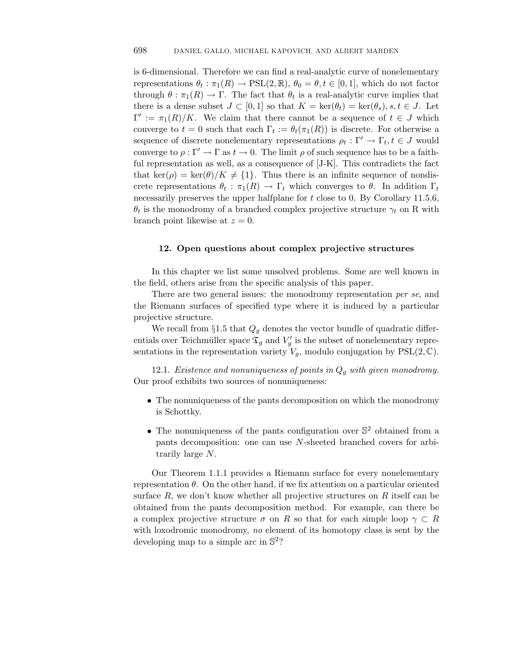is 6-dimensional. Therefore we can find a real-analytic curve of nonelementary representations  $\theta_t : \pi_1(R) \to \text{PSL}(2, \mathbb{R}), \theta_0 = \theta, t \in [0, 1],$  which do not factor through  $\theta$  :  $\pi_1(R) \to \Gamma$ . The fact that  $\theta_t$  is a real-analytic curve implies that there is a dense subset  $J \subset [0,1]$  so that  $K = \text{ker}(\theta_t) = \text{ker}(\theta_s)$ ,  $s, t \in J$ . Let  $\Gamma' := \pi_1(R)/K$ . We claim that there cannot be a sequence of  $t \in J$  which converge to  $t = 0$  such that each  $\Gamma_t := \theta_t(\pi_1(R))$  is discrete. For otherwise a sequence of discrete nonelementary representations  $\rho_t : \Gamma' \to \Gamma_t, t \in J$  would converge to  $\rho : \Gamma' \to \Gamma$  as  $t \to 0$ . The limit  $\rho$  of such sequence has to be a faithful representation as well, as a consequence of [J-K]. This contradicts the fact that ker( $\rho$ ) = ker( $\theta$ )/K  $\neq$  {1}. Thus there is an infinite sequence of nondiscrete representations  $\theta_t : \pi_1(R) \to \Gamma_t$  which converges to  $\theta$ . In addition  $\Gamma_t$ necessarily preserves the upper halfplane for *t* close to 0. By Corollary 11.5.6,  $\theta_t$  is the monodromy of a branched complex projective structure  $\gamma_t$  on R with branch point likewise at  $z = 0$ .

## **12. Open questions about complex projective structures**

In this chapter we list some unsolved problems. Some are well known in the field, others arise from the specific analysis of this paper.

There are two general issues: the monodromy representation per se, and the Riemann surfaces of specified type where it is induced by a particular projective structure.

We recall from §1.5 that  $Q_g$  denotes the vector bundle of quadratic differentials over Teichmüller space  $\mathfrak{T}_g$  and  $V'_g$  is the subset of nonelementary representations in the representation variety  $V_g$ , modulo conjugation by  $PSL(2,\mathbb{C})$ .

12.1. Existence and nonuniqueness of points in *Q<sup>g</sup>* with given monodromy. Our proof exhibits two sources of nonuniqueness:

- The nonuniqueness of the pants decomposition on which the monodromy is Schottky.
- The nonuniqueness of the pants configuration over  $\mathbb{S}^2$  obtained from a pants decomposition: one can use *N*-sheeted branched covers for arbitrarily large *N*.

Our Theorem 1*.*1*.*1 provides a Riemann surface for every nonelementary representation  $\theta$ . On the other hand, if we fix attention on a particular oriented surface *R*, we don't know whether all projective structures on *R* itself can be obtained from the pants decomposition method. For example, can there be a complex projective structure  $\sigma$  on R so that for each simple loop  $\gamma \subset R$ with loxodromic monodromy, no element of its homotopy class is sent by the developing map to a simple arc in  $\mathbb{S}^2$ ?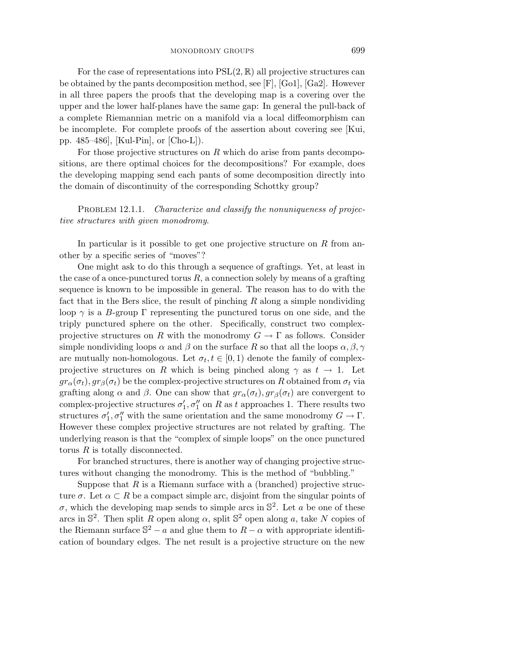For the case of representations into  $PSL(2,\mathbb{R})$  all projective structures can be obtained by the pants decomposition method, see  $[F]$ ,  $[Ga1]$ ,  $[Ga2]$ . However in all three papers the proofs that the developing map is a covering over the upper and the lower half-planes have the same gap: In general the pull-back of a complete Riemannian metric on a manifold via a local diffeomorphism can be incomplete. For complete proofs of the assertion about covering see [Kui, pp. 485–486], [Kul-Pin], or [Cho-L]).

For those projective structures on *R* which do arise from pants decompositions, are there optimal choices for the decompositions? For example, does the developing mapping send each pants of some decomposition directly into the domain of discontinuity of the corresponding Schottky group?

PROBLEM 12.1.1. Characterize and classify the nonuniqueness of projective structures with given monodromy.

In particular is it possible to get one projective structure on *R* from another by a specific series of "moves"?

One might ask to do this through a sequence of graftings. Yet, at least in the case of a once-punctured torus  $R$ , a connection solely by means of a grafting sequence is known to be impossible in general. The reason has to do with the fact that in the Bers slice, the result of pinching *R* along a simple nondividing loop  $\gamma$  is a *B*-group  $\Gamma$  representing the punctured torus on one side, and the triply punctured sphere on the other. Specifically, construct two complexprojective structures on *R* with the monodromy  $G \to \Gamma$  as follows. Consider simple nondividing loops  $\alpha$  and  $\beta$  on the surface R so that all the loops  $\alpha, \beta, \gamma$ are mutually non-homologous. Let  $\sigma_t, t \in [0, 1)$  denote the family of complexprojective structures on *R* which is being pinched along  $\gamma$  as  $t \to 1$ . Let  $gr_{\alpha}(\sigma_t)$ ,  $gr_{\beta}(\sigma_t)$  be the complex-projective structures on *R* obtained from  $\sigma_t$  via grafting along  $\alpha$  and  $\beta$ . One can show that  $gr_{\alpha}(\sigma_t)$ ,  $gr_{\beta}(\sigma_t)$  are convergent to complex-projective structures  $\sigma'_{1}, \sigma''_{1}$  on *R* as *t* approaches 1. There results two structures  $\sigma'_1, \sigma''_1$  with the same orientation and the same monodromy  $G \to \Gamma$ . However these complex projective structures are not related by grafting. The underlying reason is that the "complex of simple loops" on the once punctured torus *R* is totally disconnected.

For branched structures, there is another way of changing projective structures without changing the monodromy. This is the method of "bubbling."

Suppose that  $R$  is a Riemann surface with a (branched) projective structure  $\sigma$ . Let  $\alpha \subset R$  be a compact simple arc, disjoint from the singular points of  $\sigma$ , which the developing map sends to simple arcs in  $\mathbb{S}^2$ . Let *a* be one of these arcs in  $\mathbb{S}^2$ . Then split *R* open along *α*, split  $\mathbb{S}^2$  open along *a*, take *N* copies of the Riemann surface  $S^2 - a$  and glue them to  $R - \alpha$  with appropriate identification of boundary edges. The net result is a projective structure on the new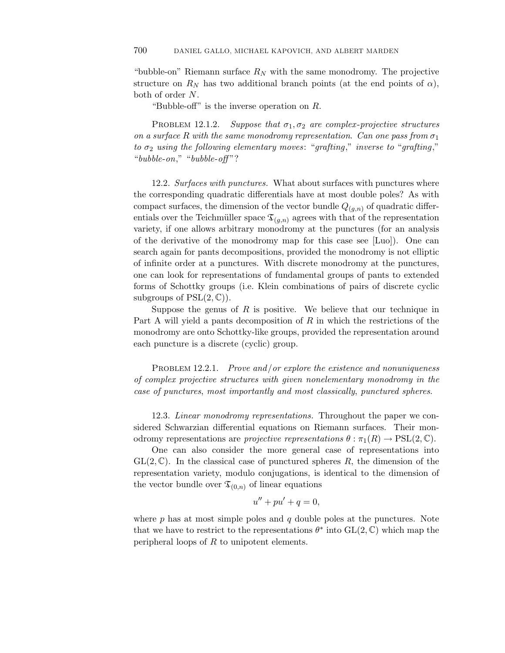"bubble-on" Riemann surface  $R_N$  with the same monodromy. The projective structure on  $R_N$  has two additional branch points (at the end points of  $\alpha$ ), both of order *N*.

"Bubble-off" is the inverse operation on *R*.

PROBLEM 12.1.2. Suppose that  $\sigma_1, \sigma_2$  are complex-projective structures on a surface R with the same monodromy representation. Can one pass from  $\sigma_1$ to  $\sigma_2$  using the following elementary moves: "grafting," inverse to "grafting," "bubble-on," "bubble-off"?

12.2. Surfaces with punctures. What about surfaces with punctures where the corresponding quadratic differentials have at most double poles? As with compact surfaces, the dimension of the vector bundle  $Q_{(q,n)}$  of quadratic differentials over the Teichmüller space  $\mathfrak{T}_{(g,n)}$  agrees with that of the representation variety, if one allows arbitrary monodromy at the punctures (for an analysis of the derivative of the monodromy map for this case see [Luo]). One can search again for pants decompositions, provided the monodromy is not elliptic of infinite order at a punctures. With discrete monodromy at the punctures, one can look for representations of fundamental groups of pants to extended forms of Schottky groups (i.e. Klein combinations of pairs of discrete cyclic subgroups of  $PSL(2,\mathbb{C})$ .

Suppose the genus of  $R$  is positive. We believe that our technique in Part A will yield a pants decomposition of *R* in which the restrictions of the monodromy are onto Schottky-like groups, provided the representation around each puncture is a discrete (cyclic) group.

PROBLEM 12.2.1. Prove and/or explore the existence and nonuniqueness of complex projective structures with given nonelementary monodromy in the case of punctures, most importantly and most classically, punctured spheres.

12.3. Linear monodromy representations. Throughout the paper we considered Schwarzian differential equations on Riemann surfaces. Their monodromy representations are *projective representations*  $\theta : \pi_1(R) \to \text{PSL}(2,\mathbb{C})$ .

One can also consider the more general case of representations into  $GL(2,\mathbb{C})$ . In the classical case of punctured spheres R, the dimension of the representation variety, modulo conjugations, is identical to the dimension of the vector bundle over  $\mathfrak{T}_{(0,n)}$  of linear equations

$$
u'' + pu' + q = 0,
$$

where *p* has at most simple poles and *q* double poles at the punctures. Note that we have to restrict to the representations  $\theta^*$  into  $GL(2,\mathbb{C})$  which map the peripheral loops of *R* to unipotent elements.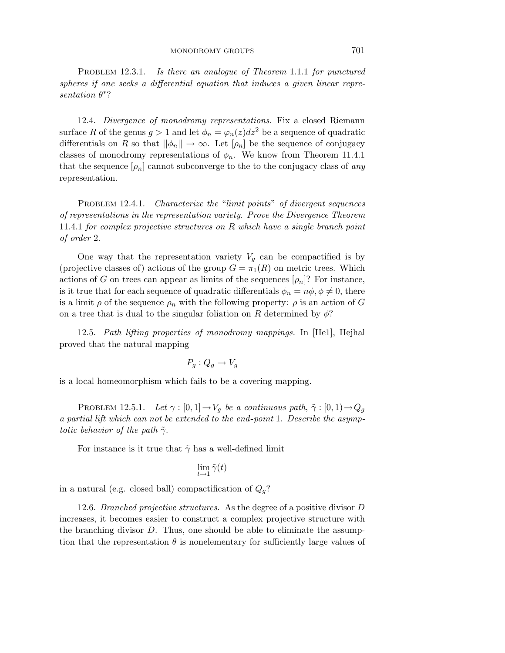PROBLEM 12.3.1. 12*.*3*.*1. Is there an analogue of Theorem 1*.*1*.*1 for punctured spheres if one seeks a differential equation that induces a given linear representation *θ*∗?

12.4. Divergence of monodromy representations. Fix a closed Riemann surface R of the genus  $g > 1$  and let  $\phi_n = \varphi_n(z) dz^2$  be a sequence of quadratic differentials on *R* so that  $||\phi_n|| \to \infty$ . Let  $[\rho_n]$  be the sequence of conjugacy classes of monodromy representations of  $\phi_n$ . We know from Theorem 11.4.1 that the sequence  $[\rho_n]$  cannot subconverge to the to the conjugacy class of any representation.

PROBLEM 12.4.1. Characterize the "limit points" of divergent sequences of representations in the representation variety. Prove the Divergence Theorem 11*.*4*.*1 for complex projective structures on *R* which have a single branch point of order 2.

One way that the representation variety  $V_g$  can be compactified is by (projective classes of) actions of the group  $G = \pi_1(R)$  on metric trees. Which actions of *G* on trees can appear as limits of the sequences  $[\rho_n]$ ? For instance, is it true that for each sequence of quadratic differentials  $\phi_n = n\phi, \phi \neq 0$ , there is a limit  $\rho$  of the sequence  $\rho_n$  with the following property:  $\rho$  is an action of *G* on a tree that is dual to the singular foliation on *R* determined by  $\phi$ ?

12.5. Path lifting properties of monodromy mappings. In [He1], Hejhal proved that the natural mapping

$$
P_g: Q_g \to V_g
$$

is a local homeomorphism which fails to be a covering mapping.

PROBLEM 12.5.1. Let  $\gamma : [0,1] \to V_g$  be a continuous path,  $\tilde{\gamma} : [0,1] \to Q_g$ a partial lift which can not be extended to the end-point 1. Describe the asymptotic behavior of the path *γ*˜.

For instance is it true that  $\tilde{\gamma}$  has a well-defined limit

$$
\lim_{t\to 1}\tilde{\gamma}(t)
$$

in a natural (e.g. closed ball) compactification of  $Q_q$ ?

12.6. Branched projective structures. As the degree of a positive divisor *D* increases, it becomes easier to construct a complex projective structure with the branching divisor *D*. Thus, one should be able to eliminate the assumption that the representation  $\theta$  is nonelementary for sufficiently large values of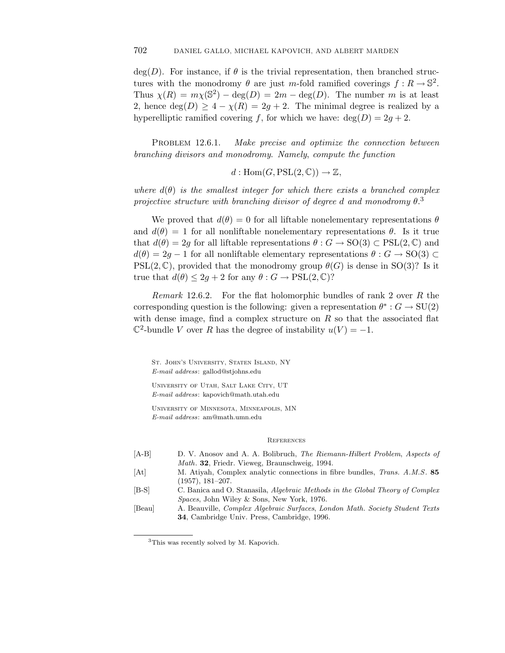deg(*D*). For instance, if  $\theta$  is the trivial representation, then branched structures with the monodromy  $\theta$  are just *m*-fold ramified coverings  $f: R \to \mathbb{S}^2$ . Thus  $\chi(R) = m\chi(\mathbb{S}^2) - \text{deg}(D) = 2m - \text{deg}(D)$ . The number *m* is at least 2, hence  $deg(D) \geq 4 - \chi(R) = 2g + 2$ . The minimal degree is realized by a hyperelliptic ramified covering *f*, for which we have:  $deg(D) = 2g + 2$ .

PROBLEM 12.6.1. 12*.*6*.*1. Make precise and optimize the connection between branching divisors and monodromy. Namely, compute the function

 $d: \text{Hom}(G, \text{PSL}(2, \mathbb{C})) \to \mathbb{Z},$ 

where  $d(\theta)$  is the smallest integer for which there exists a branched complex projective structure with branching divisor of degree *d* and monodromy *θ*. 3

We proved that  $d(\theta) = 0$  for all liftable nonelementary representations  $\theta$ and  $d(\theta) = 1$  for all nonliftable nonelementary representations  $\theta$ . Is it true that  $d(\theta) = 2q$  for all liftable representations  $\theta : G \to SO(3) \subset \text{PSL}(2, \mathbb{C})$  and  $d(\theta) = 2g - 1$  for all nonliftable elementary representations  $\theta : G \to SO(3) \subset$  $PSL(2,\mathbb{C})$ , provided that the monodromy group  $\theta(G)$  is dense in SO(3)? Is it true that  $d(\theta) \leq 2g + 2$  for any  $\theta : G \to \text{PSL}(2, \mathbb{C})$ ?

Remark 12*.*6*.*2. For the flat holomorphic bundles of rank 2 over *R* the corresponding question is the following: given a representation  $\theta^*: G \to SU(2)$ with dense image, find a complex structure on *R* so that the associated flat  $\mathbb{C}^2$ -bundle *V* over *R* has the degree of instability  $u(V) = -1$ .

St. John's University, Staten Island, NY *E-mail address*: gallod@stjohns.edu

University of Utah, Salt Lake City, UT *E-mail address*: kapovich@math.utah.edu

University of Minnesota, Minneapolis, MN *E-mail address*: am@math.umn.edu

## **REFERENCES**

| $[A-B]$ | D. V. Anosov and A. A. Bolibruch, The Riemann-Hilbert Problem, Aspects of           |
|---------|-------------------------------------------------------------------------------------|
|         | <i>Math.</i> <b>32.</b> Friedr. Vieweg, Braunschweig, 1994.                         |
| [At]    | M. Atiyah, Complex analytic connections in fibre bundles, <i>Trans. A.M.S.</i> 85   |
|         | $(1957), 181-207.$                                                                  |
| $[B-S]$ | C. Banica and O. Stanasila, Algebraic Methods in the Global Theory of Complex       |
|         | <i>Spaces</i> , John Wiley & Sons, New York, 1976.                                  |
| [Beau]  | A. Beauville, <i>Complex Algebraic Surfaces, London Math. Society Student Texts</i> |
|         | <b>34</b> , Cambridge Univ. Press, Cambridge, 1996.                                 |
|         |                                                                                     |

<sup>3</sup>This was recently solved by M. Kapovich.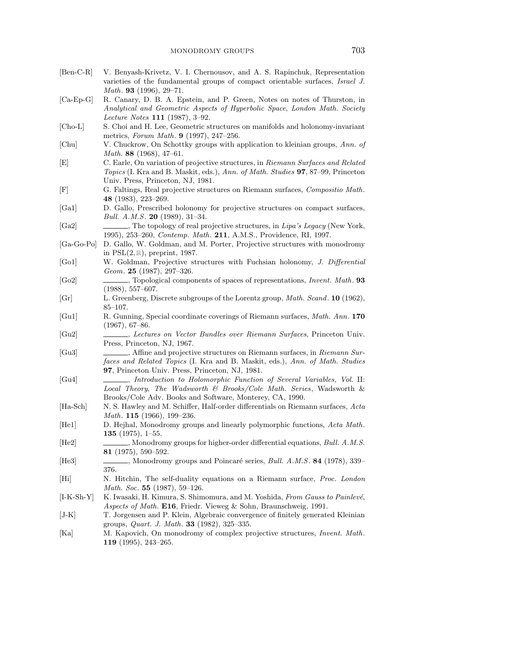| $[Ben-C-R]$        | V. Benyash-Krivetz, V. I. Chernousov, and A. S. Rapinchuk, Representation<br>varieties of the fundamental groups of compact orientable surfaces, Israel J.<br>Math. 93 (1996), 29-71.                    |
|--------------------|----------------------------------------------------------------------------------------------------------------------------------------------------------------------------------------------------------|
| $[Ca-Ep-G]$        | R. Canary, D. B. A. Epstein, and P. Green, Notes on notes of Thurston, in<br>Analytical and Geometric Aspects of Hyperbolic Space, London Math. Society<br><i>Lecture Notes</i> 111 $(1987), 3-92.$      |
| $[Cho-L]$          | S. Choi and H. Lee, Geometric structures on manifolds and holonomy-invariant<br>metrics, Forum Math. $9$ (1997), 247–256.                                                                                |
| [Chu]              | V. Chuckrow, On Schottky groups with application to kleinian groups, Ann. of<br>Math. 88 $(1968)$ , 47-61.                                                                                               |
| [E]                | C. Earle, On variation of projective structures, in Riemann Surfaces and Related<br>Topics (I. Kra and B. Maskit, eds.), Ann. of Math. Studies 97, 87-99, Princeton<br>Univ. Press, Princeton, NJ, 1981. |
| [F]                | G. Faltings, Real projective structures on Riemann surfaces, Compositio Math.<br>48 $(1983)$ , 223-269.                                                                                                  |
| [Ga1]              | D. Gallo, Prescribed holonomy for projective structures on compact surfaces,<br><i>Bull. A.M.S.</i> <b>20</b> (1989), 31-34.                                                                             |
| [Ga2]              | , The topology of real projective structures, in Lipa's Legacy (New York,<br>1995), 253-260, <i>Contemp. Math.</i> 211, A.M.S., Providence, RI, 1997.                                                    |
| $[Ga-Go-Po]$       | D. Gallo, W. Goldman, and M. Porter, Projective structures with monodromy<br>in $PSL(2,\mathbb{R})$ , preprint, 1987.                                                                                    |
| [Go1]              | W. Goldman, Projective structures with Fuchsian holonomy, J. Differential<br>Geom. $25$ (1987), 297-326.                                                                                                 |
| [G <sub>0</sub> 2] | $(1988), 557-607.$                                                                                                                                                                                       |
| Gr                 | L. Greenberg, Discrete subgroups of the Lorentz group, <i>Math. Scand.</i> 10 (1962),<br>$85 - 107.$                                                                                                     |
| [Gu1]              | R. Gunning, Special coordinate coverings of Riemann surfaces, Math. Ann. 170<br>$(1967), 67-86.$                                                                                                         |
| [Gu2]              | Press, Princeton, NJ, 1967.                                                                                                                                                                              |
| [Gu3]              | Affine and projective structures on Riemann surfaces, in Riemann Sur-<br>faces and Related Topics (I. Kra and B. Maskit, eds.), Ann. of Math. Studies<br>97, Princeton Univ. Press, Princeton, NJ, 1981. |
| [Gu4]              | , Introduction to Holomorphic Function of Several Variables, Vol. II:<br>Local Theory, The Wadsworth & Brooks/Cole Math. Series, Wadsworth &<br>Brooks/Cole Adv. Books and Software, Monterey, CA, 1990. |
| [Ha-Sch]           | N. S. Hawley and M. Schiffer, Half-order differentials on Riemann surfaces, Acta<br>Math. 115 (1966), 199-236.                                                                                           |
| [He1]              | D. Hejhal, Monodromy groups and linearly polymorphic functions, Acta Math.<br><b>135</b> (1975), 1–55.                                                                                                   |
| He2                | _, Monodromy groups for higher-order differential equations, Bull. A.M.S.<br>81 $(1975)$ , 590-592.                                                                                                      |
| He3                | Monodromy groups and Poincaré series, <i>Bull. A.M.S.</i> 84 (1978), 339–<br>376.                                                                                                                        |
| Hi                 | N. Hitchin, The self-duality equations on a Riemann surface, Proc. London<br>Math. Soc. 55 $(1987), 59-126.$                                                                                             |
| $ I-K-Sh-Y $       | K. Iwasaki, H. Kimura, S. Shimomura, and M. Yoshida, From Gauss to Painlevé,<br>Aspects of Math. E16, Friedr. Vieweg & Sohn, Braunschweig, 1991.                                                         |
| $ J-K $            | T. Jorgensen and P. Klein, Algebraic convergence of finitely generated Kleinian                                                                                                                          |
| Ka                 | groups, <i>Quart. J. Math.</i> <b>33</b> (1982), 325-335.<br>M. Kapovich, On monodromy of complex projective structures, <i>Invent. Math.</i><br>119 $(1995)$ , 243-265.                                 |